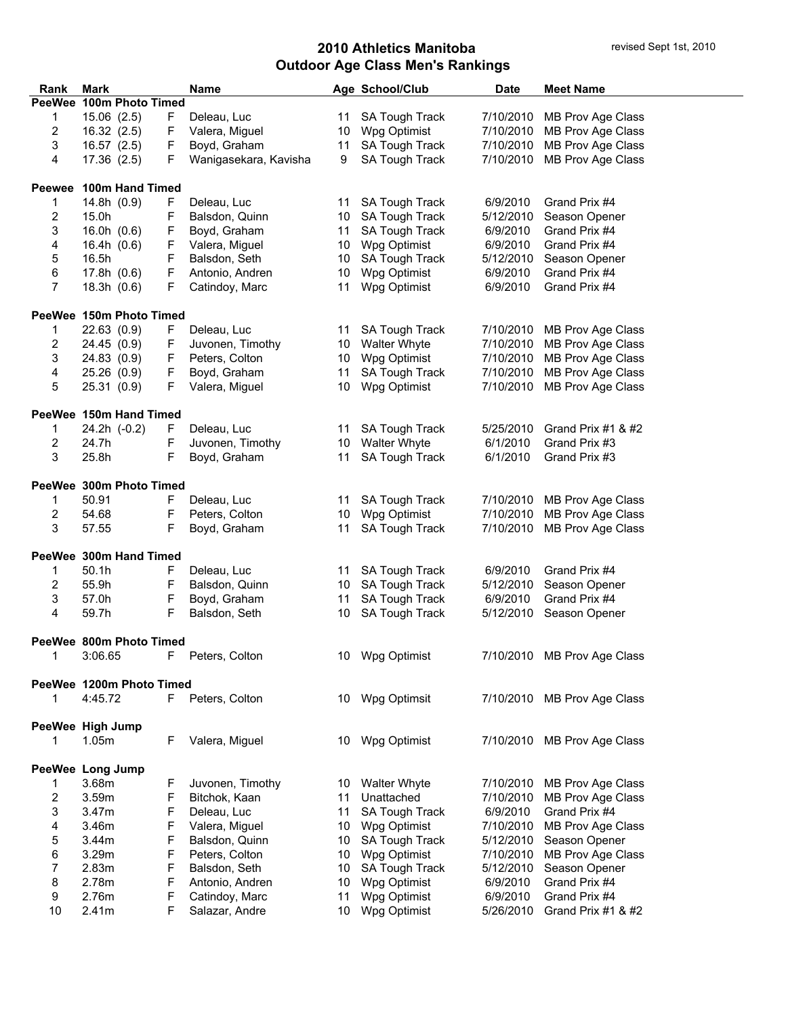| Rank          | Mark                     |    | <b>Name</b>           |                 | Age School/Club       | <b>Date</b> | <b>Meet Name</b>             |
|---------------|--------------------------|----|-----------------------|-----------------|-----------------------|-------------|------------------------------|
|               | PeeWee 100m Photo Timed  |    |                       |                 |                       |             |                              |
| 1             | 15.06(2.5)<br>F          |    | Deleau, Luc           | 11              | SA Tough Track        | 7/10/2010   | MB Prov Age Class            |
| 2             | 16.32(2.5)<br>F          |    | Valera, Miguel        |                 | 10 Wpg Optimist       | 7/10/2010   | MB Prov Age Class            |
| 3             | F<br>16.57(2.5)          |    | Boyd, Graham          | 11              | SA Tough Track        | 7/10/2010   | MB Prov Age Class            |
| 4             | 17.36 (2.5)<br>F         |    | Wanigasekara, Kavisha | 9               | SA Tough Track        | 7/10/2010   | MB Prov Age Class            |
|               |                          |    |                       |                 |                       |             |                              |
| <b>Peewee</b> | 100m Hand Timed          |    |                       |                 |                       |             |                              |
| 1             | 14.8h (0.9)<br>F         |    | Deleau, Luc           | 11              | <b>SA Tough Track</b> | 6/9/2010    | Grand Prix #4                |
| 2             | 15.0h<br>F               |    | Balsdon, Quinn        |                 | 10 SA Tough Track     | 5/12/2010   | Season Opener                |
| 3             | F<br>16.0h $(0.6)$       |    | Boyd, Graham          | 11              | <b>SA Tough Track</b> | 6/9/2010    | Grand Prix #4                |
| 4             | F<br>16.4h $(0.6)$       |    | Valera, Miguel        |                 | 10 Wpg Optimist       | 6/9/2010    | Grand Prix #4                |
| 5             | 16.5h<br>F               |    | Balsdon, Seth         | 10              | <b>SA Tough Track</b> | 5/12/2010   | Season Opener                |
| 6             | F<br>17.8h $(0.6)$       |    | Antonio, Andren       | 10              | Wpg Optimist          | 6/9/2010    | Grand Prix #4                |
| 7             | F<br>18.3h(0.6)          |    | Catindoy, Marc        | 11              | Wpg Optimist          | 6/9/2010    | Grand Prix #4                |
|               |                          |    |                       |                 |                       |             |                              |
|               | PeeWee 150m Photo Timed  |    |                       |                 |                       |             |                              |
| 1             | 22.63 (0.9)<br>F         |    | Deleau, Luc           | 11              | <b>SA Tough Track</b> |             | 7/10/2010 MB Prov Age Class  |
| 2             | 24.45 (0.9)<br>F         |    | Juvonen, Timothy      | 10              | <b>Walter Whyte</b>   | 7/10/2010   | MB Prov Age Class            |
| 3             | F<br>24.83 (0.9)         |    | Peters, Colton        | 10              | Wpg Optimist          | 7/10/2010   | MB Prov Age Class            |
| 4             | F<br>25.26(0.9)          |    | Boyd, Graham          | 11              | SA Tough Track        | 7/10/2010   | MB Prov Age Class            |
| 5             | F<br>25.31 (0.9)         |    | Valera, Miguel        | 10              | Wpg Optimist          | 7/10/2010   | MB Prov Age Class            |
|               |                          |    |                       |                 |                       |             |                              |
|               | PeeWee 150m Hand Timed   |    |                       |                 |                       |             |                              |
| 1             | 24.2h (-0.2)<br>F        |    | Deleau, Luc           | 11              | <b>SA Tough Track</b> | 5/25/2010   | Grand Prix #1 & #2           |
| 2             | F<br>24.7h               |    | Juvonen, Timothy      | 10              | <b>Walter Whyte</b>   | 6/1/2010    | Grand Prix #3                |
| 3             | F<br>25.8h               |    | Boyd, Graham          | 11              | SA Tough Track        | 6/1/2010    | Grand Prix #3                |
|               |                          |    |                       |                 |                       |             |                              |
|               | PeeWee 300m Photo Timed  |    |                       |                 |                       |             |                              |
| 1             | 50.91<br>F               |    | Deleau, Luc           | 11              | SA Tough Track        | 7/10/2010   | MB Prov Age Class            |
| 2             | F<br>54.68               |    | Peters, Colton        | 10              | Wpg Optimist          | 7/10/2010   | MB Prov Age Class            |
| 3             | F<br>57.55               |    | Boyd, Graham          | 11              | SA Tough Track        | 7/10/2010   | MB Prov Age Class            |
|               |                          |    |                       |                 |                       |             |                              |
|               | PeeWee 300m Hand Timed   |    |                       |                 |                       |             |                              |
| 1             | 50.1h<br>F               |    | Deleau, Luc           |                 | 11 SA Tough Track     | 6/9/2010    | Grand Prix #4                |
| 2             | 55.9h<br>F               |    | Balsdon, Quinn        |                 | 10 SA Tough Track     |             | 5/12/2010 Season Opener      |
| 3             | F<br>57.0h               |    | Boyd, Graham          | 11              | SA Tough Track        | 6/9/2010    | Grand Prix #4                |
| 4             | F<br>59.7h               |    | Balsdon, Seth         | 10              | SA Tough Track        | 5/12/2010   | Season Opener                |
|               |                          |    |                       |                 |                       |             |                              |
|               | PeeWee 800m Photo Timed  |    |                       |                 |                       |             |                              |
| 1             | 3:06.65<br>F             |    | Peters, Colton        |                 | 10 Wpg Optimist       |             | 7/10/2010 MB Prov Age Class  |
|               | PeeWee 1200m Photo Timed |    |                       |                 |                       |             |                              |
| 1             | 4:45.72                  | F. | Peters, Colton        |                 | 10 Wpg Optimsit       |             | 7/10/2010 MB Prov Age Class  |
|               |                          |    |                       |                 |                       |             |                              |
|               | PeeWee High Jump         |    |                       |                 |                       |             |                              |
| 1             | 1.05m<br>F.              |    | Valera, Miguel        |                 | 10 Wpg Optimist       | 7/10/2010   | MB Prov Age Class            |
|               |                          |    |                       |                 |                       |             |                              |
|               | PeeWee Long Jump         |    |                       |                 |                       |             |                              |
| 1             | 3.68m<br>F               |    | Juvonen, Timothy      | 10              | <b>Walter Whyte</b>   | 7/10/2010   | MB Prov Age Class            |
| 2             | F<br>3.59m               |    | Bitchok, Kaan         | 11              | Unattached            | 7/10/2010   | MB Prov Age Class            |
| 3             | F<br>3.47m               |    | Deleau, Luc           | 11              | SA Tough Track        | 6/9/2010    | Grand Prix #4                |
| 4             | F<br>3.46m               |    | Valera, Miguel        | 10              | Wpg Optimist          | 7/10/2010   | MB Prov Age Class            |
| 5             | F<br>3.44m               |    | Balsdon, Quinn        | 10              | SA Tough Track        | 5/12/2010   | Season Opener                |
| 6             | F<br>3.29m               |    | Peters, Colton        | 10 <sup>1</sup> | Wpg Optimist          | 7/10/2010   | MB Prov Age Class            |
| 7             | F<br>2.83m               |    | Balsdon, Seth         | 10              | SA Tough Track        | 5/12/2010   | Season Opener                |
| 8             | F<br>2.78m               |    | Antonio, Andren       | 10              | Wpg Optimist          | 6/9/2010    | Grand Prix #4                |
| 9             | F<br>2.76m               |    | Catindoy, Marc        | 11              | Wpg Optimist          | 6/9/2010    | Grand Prix #4                |
| 10            | F<br>2.41m               |    | Salazar, Andre        | 10              | Wpg Optimist          |             | 5/26/2010 Grand Prix #1 & #2 |
|               |                          |    |                       |                 |                       |             |                              |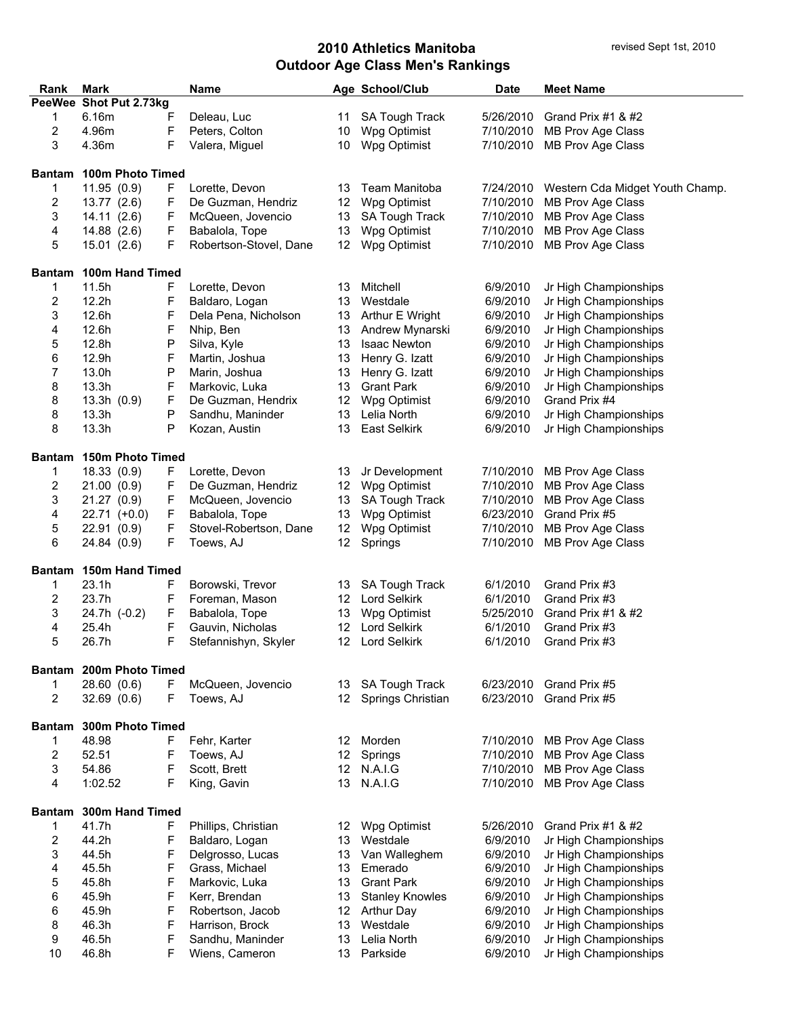| Rank           | Mark                    |    | <b>Name</b>            |    | Age School/Club        | <b>Date</b> | <b>Meet Name</b>                |
|----------------|-------------------------|----|------------------------|----|------------------------|-------------|---------------------------------|
|                | PeeWee Shot Put 2.73kg  |    |                        |    |                        |             |                                 |
| 1              | 6.16m                   | F  | Deleau, Luc            |    | 11 SA Tough Track      | 5/26/2010   | Grand Prix $#1$ & $#2$          |
| $\overline{c}$ | 4.96m                   | F  | Peters, Colton         | 10 | Wpg Optimist           | 7/10/2010   | MB Prov Age Class               |
| 3              | 4.36m                   | F  | Valera, Miguel         | 10 | Wpg Optimist           | 7/10/2010   | MB Prov Age Class               |
|                |                         |    |                        |    |                        |             |                                 |
| <b>Bantam</b>  | 100m Photo Timed        |    |                        |    |                        |             |                                 |
| 1              | 11.95(0.9)              | F. | Lorette, Devon         | 13 | Team Manitoba          | 7/24/2010   | Western Cda Midget Youth Champ. |
| 2              | 13.77(2.6)              | F  | De Guzman, Hendriz     | 12 | Wpg Optimist           | 7/10/2010   | MB Prov Age Class               |
| 3              | 14.11(2.6)              | F  | McQueen, Jovencio      | 13 | SA Tough Track         | 7/10/2010   | MB Prov Age Class               |
| 4              | 14.88 (2.6)             | F  | Babalola, Tope         | 13 | Wpg Optimist           | 7/10/2010   | MB Prov Age Class               |
| 5              | 15.01(2.6)              | F  | Robertson-Stovel, Dane | 12 | Wpg Optimist           | 7/10/2010   | MB Prov Age Class               |
|                |                         |    |                        |    |                        |             |                                 |
| <b>Bantam</b>  | 100m Hand Timed         |    |                        |    |                        |             |                                 |
| 1              | 11.5h                   | F  | Lorette, Devon         | 13 | Mitchell               | 6/9/2010    | Jr High Championships           |
| 2              | 12.2h                   | F  | Baldaro, Logan         | 13 | Westdale               | 6/9/2010    | Jr High Championships           |
| 3              | 12.6h                   | F  |                        | 13 |                        | 6/9/2010    | Jr High Championships           |
|                | 12.6h                   | F  | Dela Pena, Nicholson   | 13 | Arthur E Wright        | 6/9/2010    |                                 |
| 4              |                         |    | Nhip, Ben              |    | Andrew Mynarski        |             | Jr High Championships           |
| 5              | 12.8h                   | P  | Silva, Kyle            | 13 | <b>Isaac Newton</b>    | 6/9/2010    | Jr High Championships           |
| 6              | 12.9h                   | F  | Martin, Joshua         | 13 | Henry G. Izatt         | 6/9/2010    | Jr High Championships           |
| 7              | 13.0h                   | P  | Marin, Joshua          | 13 | Henry G. Izatt         | 6/9/2010    | Jr High Championships           |
| 8              | 13.3h                   | F  | Markovic, Luka         | 13 | <b>Grant Park</b>      | 6/9/2010    | Jr High Championships           |
| 8              | 13.3h(0.9)              | F  | De Guzman, Hendrix     | 12 | Wpg Optimist           | 6/9/2010    | Grand Prix #4                   |
| 8              | 13.3h                   | P  | Sandhu, Maninder       | 13 | Lelia North            | 6/9/2010    | Jr High Championships           |
| 8              | 13.3h                   | P  | Kozan, Austin          | 13 | <b>East Selkirk</b>    | 6/9/2010    | Jr High Championships           |
|                |                         |    |                        |    |                        |             |                                 |
| <b>Bantam</b>  | 150m Photo Timed        |    |                        |    |                        |             |                                 |
| 1              | 18.33(0.9)              | F  | Lorette, Devon         | 13 | Jr Development         | 7/10/2010   | MB Prov Age Class               |
| $\overline{c}$ | 21.00(0.9)              | F  | De Guzman, Hendriz     |    | 12 Wpg Optimist        | 7/10/2010   | MB Prov Age Class               |
| 3              | 21.27 (0.9)             | F  | McQueen, Jovencio      | 13 | SA Tough Track         | 7/10/2010   | MB Prov Age Class               |
| 4              | $22.71$ (+0.0)          | F  | Babalola, Tope         | 13 | Wpg Optimist           | 6/23/2010   | Grand Prix #5                   |
| 5              | 22.91 (0.9)             | F  | Stovel-Robertson, Dane | 12 | Wpg Optimist           | 7/10/2010   | MB Prov Age Class               |
| 6              | 24.84 (0.9)             | F  | Toews, AJ              | 12 | Springs                | 7/10/2010   | MB Prov Age Class               |
|                |                         |    |                        |    |                        |             |                                 |
| <b>Bantam</b>  | 150m Hand Timed         |    |                        |    |                        |             |                                 |
| 1              | 23.1h                   | F  | Borowski, Trevor       | 13 | <b>SA Tough Track</b>  | 6/1/2010    | Grand Prix #3                   |
| 2              | 23.7h                   | F  | Foreman, Mason         | 12 | <b>Lord Selkirk</b>    | 6/1/2010    | Grand Prix #3                   |
| 3              | 24.7h (-0.2)            | F  | Babalola, Tope         | 13 | Wpg Optimist           | 5/25/2010   | Grand Prix #1 & #2              |
| 4              | 25.4h                   | F  | Gauvin, Nicholas       | 12 | <b>Lord Selkirk</b>    | 6/1/2010    | Grand Prix #3                   |
| 5              | 26.7h                   | F  | Stefannishyn, Skyler   | 12 | Lord Selkirk           | 6/1/2010    | Grand Prix #3                   |
|                |                         |    |                        |    |                        |             |                                 |
|                | Bantam 200m Photo Timed |    |                        |    |                        |             |                                 |
| 1              | 28.60 (0.6)             | F  | McQueen, Jovencio      | 13 | SA Tough Track         | 6/23/2010   | Grand Prix #5                   |
| $\overline{c}$ | 32.69(0.6)              | F  | Toews, AJ              | 12 | Springs Christian      | 6/23/2010   | Grand Prix #5                   |
|                |                         |    |                        |    |                        |             |                                 |
| <b>Bantam</b>  | 300m Photo Timed        |    |                        |    |                        |             |                                 |
| 1              | 48.98                   | F  | Fehr, Karter           | 12 | Morden                 | 7/10/2010   | MB Prov Age Class               |
| $\mathbf{2}$   | 52.51                   | F  | Toews, AJ              | 12 | Springs                | 7/10/2010   | MB Prov Age Class               |
| 3              | 54.86                   | F  | Scott, Brett           |    | 12 N.A.I.G             | 7/10/2010   | MB Prov Age Class               |
| 4              | 1:02.52                 | F  | King, Gavin            |    | 13 N.A.I.G             | 7/10/2010   | MB Prov Age Class               |
|                |                         |    |                        |    |                        |             |                                 |
| <b>Bantam</b>  | 300m Hand Timed         |    |                        |    |                        |             |                                 |
| 1              | 41.7h                   | F  | Phillips, Christian    | 12 | Wpg Optimist           | 5/26/2010   | Grand Prix $#1$ & $#2$          |
| $\overline{2}$ | 44.2h                   | F  | Baldaro, Logan         | 13 | Westdale               | 6/9/2010    | Jr High Championships           |
| 3              | 44.5h                   | F  | Delgrosso, Lucas       | 13 | Van Walleghem          | 6/9/2010    | Jr High Championships           |
| 4              | 45.5h                   | F  | Grass, Michael         | 13 | Emerado                | 6/9/2010    | Jr High Championships           |
| 5              | 45.8h                   | F  | Markovic, Luka         | 13 | <b>Grant Park</b>      | 6/9/2010    | Jr High Championships           |
| 6              | 45.9h                   | F  | Kerr, Brendan          | 13 | <b>Stanley Knowles</b> | 6/9/2010    | Jr High Championships           |
| 6              | 45.9h                   | F  | Robertson, Jacob       | 12 | <b>Arthur Day</b>      | 6/9/2010    | Jr High Championships           |
| 8              | 46.3h                   | F  | Harrison, Brock        | 13 | Westdale               | 6/9/2010    | Jr High Championships           |
| 9              | 46.5h                   | F  | Sandhu, Maninder       | 13 | Lelia North            | 6/9/2010    | Jr High Championships           |
| 10             | 46.8h                   | F  | Wiens, Cameron         | 13 | Parkside               | 6/9/2010    | Jr High Championships           |
|                |                         |    |                        |    |                        |             |                                 |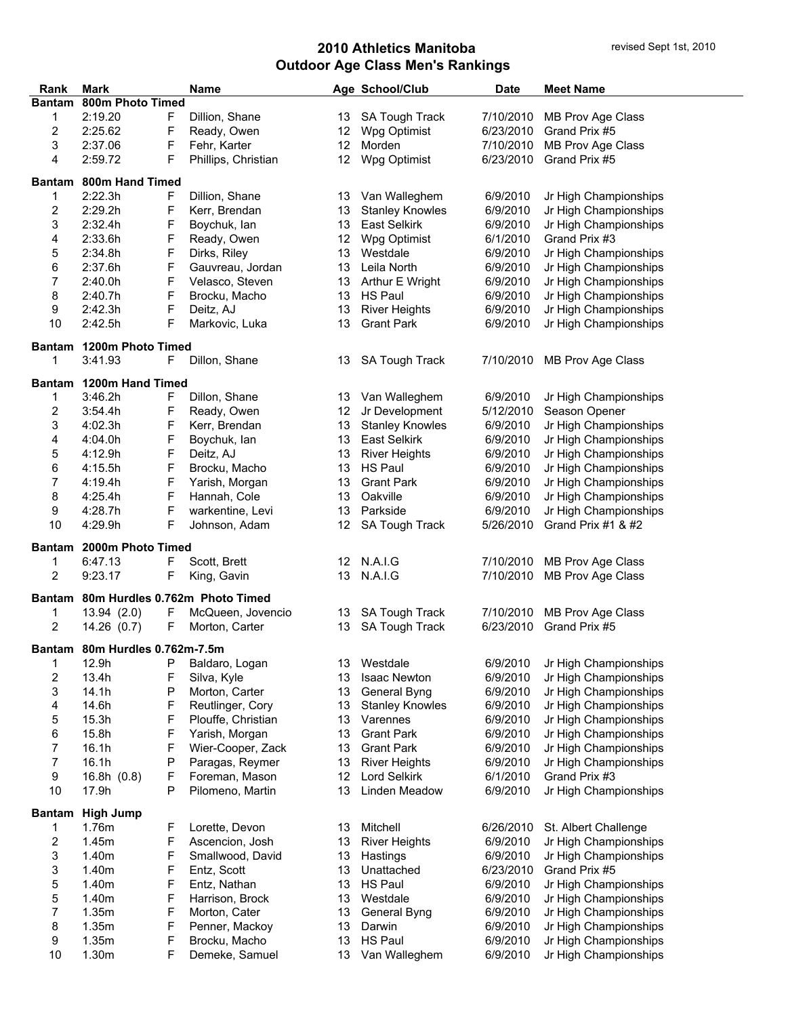| Rank                    | Mark                           | <b>Name</b>         |                  | Age School/Club        | <b>Date</b> | <b>Meet Name</b>            |
|-------------------------|--------------------------------|---------------------|------------------|------------------------|-------------|-----------------------------|
| <b>Bantam</b>           | 800m Photo Timed               |                     |                  |                        |             |                             |
| 1                       | 2:19.20<br>F                   | Dillion, Shane      |                  | 13 SA Tough Track      | 7/10/2010   | MB Prov Age Class           |
| 2                       | F<br>2:25.62                   | Ready, Owen         | 12 <sup>12</sup> | Wpg Optimist           | 6/23/2010   | Grand Prix #5               |
| 3                       | F<br>2:37.06                   | Fehr, Karter        | 12 <sup>2</sup>  | Morden                 | 7/10/2010   | MB Prov Age Class           |
| 4                       | F<br>2:59.72                   | Phillips, Christian | 12               | Wpg Optimist           | 6/23/2010   | Grand Prix #5               |
|                         |                                |                     |                  |                        |             |                             |
| <b>Bantam</b>           | 800m Hand Timed                |                     |                  |                        |             |                             |
| 1                       | 2:22.3h<br>F                   | Dillion, Shane      | 13               | Van Walleghem          | 6/9/2010    | Jr High Championships       |
| 2                       | F<br>2:29.2h                   | Kerr, Brendan       | 13               | <b>Stanley Knowles</b> | 6/9/2010    | Jr High Championships       |
| 3                       | F<br>2:32.4h                   | Boychuk, lan        | 13               | East Selkirk           | 6/9/2010    | Jr High Championships       |
| 4                       | F<br>2:33.6h                   | Ready, Owen         | 12               | Wpg Optimist           | 6/1/2010    | Grand Prix #3               |
| 5                       | F<br>2:34.8h                   | Dirks, Riley        | 13               | Westdale               | 6/9/2010    | Jr High Championships       |
| 6                       | F<br>2:37.6h                   | Gauvreau, Jordan    | 13               | Leila North            | 6/9/2010    | Jr High Championships       |
| 7                       | F<br>2:40.0h                   | Velasco, Steven     | 13               | Arthur E Wright        | 6/9/2010    | Jr High Championships       |
| 8                       | F<br>2:40.7h                   | Brocku, Macho       | 13               | <b>HS Paul</b>         | 6/9/2010    | Jr High Championships       |
| 9                       | F<br>2:42.3h                   | Deitz, AJ           | 13               | <b>River Heights</b>   | 6/9/2010    | Jr High Championships       |
| 10                      | F<br>2:42.5h                   | Markovic, Luka      | 13               | <b>Grant Park</b>      | 6/9/2010    | Jr High Championships       |
|                         |                                |                     |                  |                        |             |                             |
|                         | Bantam 1200m Photo Timed       |                     |                  |                        |             |                             |
| 1                       | 3:41.93<br>F                   | Dillon, Shane       | 13               | SA Tough Track         | 7/10/2010   | MB Prov Age Class           |
|                         |                                |                     |                  |                        |             |                             |
|                         | Bantam 1200m Hand Timed        |                     |                  |                        |             |                             |
| 1                       | 3:46.2h<br>F                   | Dillon, Shane       | 13               | Van Walleghem          | 6/9/2010    | Jr High Championships       |
| 2                       | F<br>3:54.4h                   | Ready, Owen         | 12 <sup>°</sup>  | Jr Development         | 5/12/2010   | Season Opener               |
| 3                       | F<br>4:02.3h                   | Kerr, Brendan       | 13               | <b>Stanley Knowles</b> | 6/9/2010    | Jr High Championships       |
| 4                       | F<br>4:04.0h                   | Boychuk, lan        | 13               | East Selkirk           | 6/9/2010    | Jr High Championships       |
| 5                       | F<br>4:12.9h                   | Deitz, AJ           | 13               | <b>River Heights</b>   | 6/9/2010    | Jr High Championships       |
| 6                       | F<br>4:15.5h                   | Brocku, Macho       | 13               | <b>HS Paul</b>         | 6/9/2010    | Jr High Championships       |
| 7                       | F<br>4:19.4h                   | Yarish, Morgan      | 13               | <b>Grant Park</b>      | 6/9/2010    | Jr High Championships       |
| 8                       | F<br>4:25.4h                   | Hannah, Cole        | 13               | Oakville               | 6/9/2010    | Jr High Championships       |
| 9                       | F<br>4:28.7h                   | warkentine, Levi    | 13               | Parkside               | 6/9/2010    | Jr High Championships       |
| 10                      | F<br>4:29.9h                   | Johnson, Adam       | 12               | SA Tough Track         | 5/26/2010   | Grand Prix #1 & #2          |
|                         |                                |                     |                  |                        |             |                             |
| <b>Bantam</b>           | 2000m Photo Timed              |                     |                  |                        |             |                             |
| 1                       | 6:47.13<br>F                   | Scott, Brett        |                  | 12 N.A.I.G             | 7/10/2010   | MB Prov Age Class           |
| 2                       | F<br>9:23.17                   | King, Gavin         |                  | 13 N.A.I.G             |             | 7/10/2010 MB Prov Age Class |
| <b>Bantam</b>           | 80m Hurdles 0.762m Photo Timed |                     |                  |                        |             |                             |
| 1                       | 13.94 (2.0)<br>F               | McQueen, Jovencio   | 13               | SA Tough Track         | 7/10/2010   | MB Prov Age Class           |
| $\overline{c}$          | 14.26(0.7)<br>F                | Morton, Carter      | 13               | SA Tough Track         | 6/23/2010   | Grand Prix #5               |
|                         |                                |                     |                  |                        |             |                             |
|                         | Bantam 80m Hurdles 0.762m-7.5m |                     |                  |                        |             |                             |
| 1                       | 12.9h<br>Ρ                     | Baldaro, Logan      | 13               | Westdale               | 6/9/2010    | Jr High Championships       |
| $\overline{\mathbf{c}}$ | 13.4h<br>F                     | Silva, Kyle         | 13               | Isaac Newton           | 6/9/2010    | Jr High Championships       |
| 3                       | 14.1h<br>P                     | Morton, Carter      | 13               | General Byng           | 6/9/2010    | Jr High Championships       |
| 4                       | F<br>14.6h                     | Reutlinger, Cory    | 13               | <b>Stanley Knowles</b> | 6/9/2010    | Jr High Championships       |
| 5                       | F<br>15.3h                     | Plouffe, Christian  | 13               | Varennes               | 6/9/2010    | Jr High Championships       |
| 6                       | F<br>15.8h                     | Yarish, Morgan      | 13               | <b>Grant Park</b>      | 6/9/2010    | Jr High Championships       |
| 7                       | F<br>16.1h                     | Wier-Cooper, Zack   | 13               | <b>Grant Park</b>      | 6/9/2010    | Jr High Championships       |
| $\overline{7}$          | 16.1h<br>P                     | Paragas, Reymer     | 13               | <b>River Heights</b>   | 6/9/2010    | Jr High Championships       |
| $\boldsymbol{9}$        | F<br>16.8h (0.8)               | Foreman, Mason      | 12               | Lord Selkirk           | 6/1/2010    | Grand Prix #3               |
| 10                      | 17.9h<br>Ρ                     | Pilomeno, Martin    | 13               | Linden Meadow          | 6/9/2010    | Jr High Championships       |
|                         |                                |                     |                  |                        |             |                             |
| <b>Bantam</b>           | <b>High Jump</b>               |                     |                  |                        |             |                             |
| 1                       | 1.76m<br>F                     | Lorette, Devon      | 13               | Mitchell               | 6/26/2010   | St. Albert Challenge        |
| 2                       | F<br>1.45m                     | Ascencion, Josh     | 13               | <b>River Heights</b>   | 6/9/2010    | Jr High Championships       |
| 3                       | F<br>1.40m                     | Smallwood, David    | 13               | Hastings               | 6/9/2010    | Jr High Championships       |
| 3                       | F<br>1.40m                     | Entz, Scott         | 13               | Unattached             | 6/23/2010   | Grand Prix #5               |
| 5                       | F<br>1.40m                     | Entz, Nathan        | 13               | <b>HS Paul</b>         | 6/9/2010    | Jr High Championships       |
| 5                       | F<br>1.40m                     | Harrison, Brock     | 13               | Westdale               | 6/9/2010    | Jr High Championships       |
| $\overline{7}$          | F<br>1.35m                     | Morton, Cater       | 13               | General Byng           | 6/9/2010    | Jr High Championships       |
| 8                       | F<br>1.35m                     | Penner, Mackoy      | 13               | Darwin                 | 6/9/2010    | Jr High Championships       |
| 9                       | F<br>1.35m                     | Brocku, Macho       | 13               | HS Paul                | 6/9/2010    | Jr High Championships       |
|                         | F                              |                     |                  |                        |             |                             |
| 10                      | 1.30m                          | Demeke, Samuel      | 13               | Van Walleghem          | 6/9/2010    | Jr High Championships       |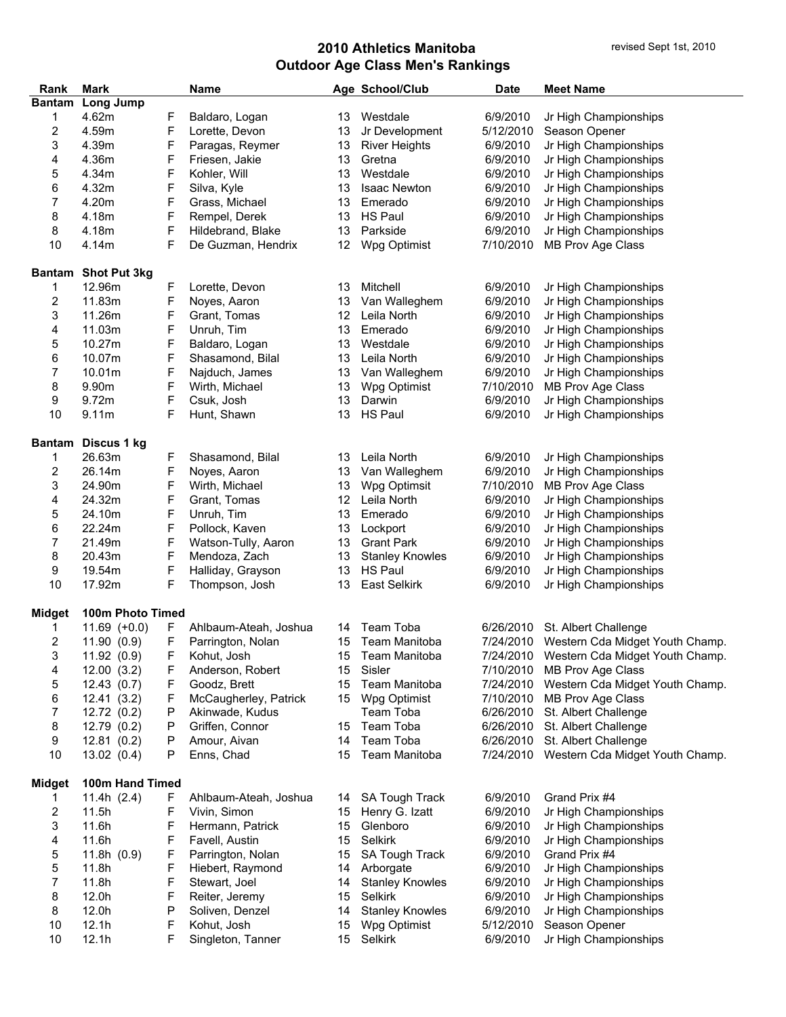| Rank                    | Mark                |   | <b>Name</b>           |    | Age School/Club        | <b>Date</b> | <b>Meet Name</b>                          |
|-------------------------|---------------------|---|-----------------------|----|------------------------|-------------|-------------------------------------------|
| <b>Bantam</b>           | Long Jump           |   |                       |    |                        |             |                                           |
| 1                       | 4.62m               | F | Baldaro, Logan        | 13 | Westdale               | 6/9/2010    | Jr High Championships                     |
| $\overline{\mathbf{c}}$ | 4.59m               | F | Lorette, Devon        | 13 | Jr Development         | 5/12/2010   | Season Opener                             |
| 3                       | 4.39m               | F | Paragas, Reymer       | 13 | <b>River Heights</b>   | 6/9/2010    | Jr High Championships                     |
| 4                       | 4.36m               | F | Friesen, Jakie        | 13 | Gretna                 | 6/9/2010    | Jr High Championships                     |
| 5                       | 4.34m               | F | Kohler, Will          | 13 | Westdale               | 6/9/2010    | Jr High Championships                     |
| 6                       | 4.32m               | F | Silva, Kyle           | 13 | <b>Isaac Newton</b>    | 6/9/2010    | Jr High Championships                     |
| 7                       | 4.20m               | F | Grass, Michael        | 13 | Emerado                | 6/9/2010    | Jr High Championships                     |
|                         |                     |   |                       |    |                        |             |                                           |
| 8                       | 4.18m               | F | Rempel, Derek         | 13 | <b>HS Paul</b>         | 6/9/2010    | Jr High Championships                     |
| 8                       | 4.18m               | F | Hildebrand, Blake     | 13 | Parkside               | 6/9/2010    | Jr High Championships                     |
| 10                      | 4.14m               | F | De Guzman, Hendrix    | 12 | Wpg Optimist           | 7/10/2010   | MB Prov Age Class                         |
|                         | Bantam Shot Put 3kg |   |                       |    |                        |             |                                           |
| 1                       | 12.96m              | F | Lorette, Devon        | 13 | Mitchell               | 6/9/2010    | Jr High Championships                     |
| 2                       | 11.83m              | F | Noyes, Aaron          | 13 | Van Walleghem          | 6/9/2010    | Jr High Championships                     |
| 3                       | 11.26m              | F | Grant, Tomas          |    | 12 Leila North         | 6/9/2010    | Jr High Championships                     |
| 4                       | 11.03m              | F | Unruh, Tim            | 13 | Emerado                | 6/9/2010    | Jr High Championships                     |
|                         | 10.27m              | F | Baldaro, Logan        | 13 | Westdale               | 6/9/2010    | Jr High Championships                     |
| 5                       |                     |   |                       |    |                        |             |                                           |
| 6                       | 10.07m              | F | Shasamond, Bilal      | 13 | Leila North            | 6/9/2010    | Jr High Championships                     |
| 7                       | 10.01m              | F | Najduch, James        | 13 | Van Walleghem          | 6/9/2010    | Jr High Championships                     |
| 8                       | 9.90m               | F | Wirth, Michael        | 13 | Wpg Optimist           | 7/10/2010   | MB Prov Age Class                         |
| 9                       | 9.72m               | F | Csuk, Josh            | 13 | Darwin                 | 6/9/2010    | Jr High Championships                     |
| 10                      | 9.11 <sub>m</sub>   | F | Hunt, Shawn           | 13 | <b>HS Paul</b>         | 6/9/2010    | Jr High Championships                     |
| <b>Bantam</b>           | Discus 1 kg         |   |                       |    |                        |             |                                           |
| 1                       | 26.63m              | F | Shasamond, Bilal      | 13 | Leila North            | 6/9/2010    | Jr High Championships                     |
|                         |                     |   |                       |    |                        |             |                                           |
| 2                       | 26.14m              | F | Noyes, Aaron          | 13 | Van Walleghem          | 6/9/2010    | Jr High Championships                     |
| 3                       | 24.90m              | F | Wirth, Michael        | 13 | Wpg Optimsit           | 7/10/2010   | MB Prov Age Class                         |
| 4                       | 24.32m              | F | Grant, Tomas          |    | 12 Leila North         | 6/9/2010    | Jr High Championships                     |
| 5                       | 24.10m              | F | Unruh, Tim            | 13 | Emerado                | 6/9/2010    | Jr High Championships                     |
| 6                       | 22.24m              | F | Pollock, Kaven        | 13 | Lockport               | 6/9/2010    | Jr High Championships                     |
| 7                       | 21.49m              | F | Watson-Tully, Aaron   | 13 | <b>Grant Park</b>      | 6/9/2010    | Jr High Championships                     |
| 8                       | 20.43m              | F | Mendoza, Zach         | 13 | <b>Stanley Knowles</b> | 6/9/2010    | Jr High Championships                     |
| 9                       | 19.54m              | F | Halliday, Grayson     | 13 | <b>HS Paul</b>         | 6/9/2010    | Jr High Championships                     |
| 10                      | 17.92m              | F | Thompson, Josh        | 13 | <b>East Selkirk</b>    | 6/9/2010    | Jr High Championships                     |
| <b>Midget</b>           | 100m Photo Timed    |   |                       |    |                        |             |                                           |
|                         |                     |   |                       |    |                        |             |                                           |
| 1                       | $11.69$ (+0.0)      | F | Ahlbaum-Ateah, Joshua | 14 | Team Toba              | 6/26/2010   | St. Albert Challenge                      |
| 2                       | 11.90(0.9)          | F | Parrington, Nolan     | 15 | Team Manitoba          |             | 7/24/2010 Western Cda Midget Youth Champ. |
| 3                       | 11.92(0.9)          | F | Kohut, Josh           | 15 | Team Manitoba          |             | 7/24/2010 Western Cda Midget Youth Champ. |
| 4                       | 12.00(3.2)          | F | Anderson, Robert      | 15 | Sisler                 |             | 7/10/2010 MB Prov Age Class               |
| 5                       | 12.43(0.7)          | F | Goodz, Brett          | 15 | Team Manitoba          | 7/24/2010   | Western Cda Midget Youth Champ.           |
| 6                       | 12.41(3.2)          | F | McCaugherley, Patrick | 15 | Wpg Optimist           | 7/10/2010   | MB Prov Age Class                         |
| 7                       | 12.72(0.2)          | P | Akinwade, Kudus       |    | Team Toba              | 6/26/2010   | St. Albert Challenge                      |
| 8                       | 12.79 (0.2)         | Ρ | Griffen, Connor       | 15 | Team Toba              | 6/26/2010   | St. Albert Challenge                      |
| 9                       | 12.81(0.2)          | P | Amour, Aivan          | 14 | Team Toba              | 6/26/2010   | St. Albert Challenge                      |
| 10                      | 13.02(0.4)          | P | Enns, Chad            | 15 | Team Manitoba          | 7/24/2010   | Western Cda Midget Youth Champ.           |
|                         | 100m Hand Timed     |   |                       |    |                        |             |                                           |
| <b>Midget</b>           |                     |   |                       |    |                        |             |                                           |
| 1                       | 11.4h $(2.4)$       | F | Ahlbaum-Ateah, Joshua | 14 | SA Tough Track         | 6/9/2010    | Grand Prix #4                             |
| 2                       | 11.5h               | F | Vivin, Simon          | 15 | Henry G. Izatt         | 6/9/2010    | Jr High Championships                     |
| 3                       | 11.6h               | F | Hermann, Patrick      | 15 | Glenboro               | 6/9/2010    | Jr High Championships                     |
| 4                       | 11.6h               | F | Favell, Austin        | 15 | Selkirk                | 6/9/2010    | Jr High Championships                     |
| 5                       | 11.8h $(0.9)$       | F | Parrington, Nolan     | 15 | SA Tough Track         | 6/9/2010    | Grand Prix #4                             |
| 5                       | 11.8h               | F | Hiebert, Raymond      | 14 | Arborgate              | 6/9/2010    | Jr High Championships                     |
| 7                       | 11.8h               | F | Stewart, Joel         | 14 | <b>Stanley Knowles</b> | 6/9/2010    | Jr High Championships                     |
| 8                       | 12.0h               | F | Reiter, Jeremy        | 15 | Selkirk                | 6/9/2010    | Jr High Championships                     |
| 8                       | 12.0h               | Ρ | Soliven, Denzel       | 14 | <b>Stanley Knowles</b> | 6/9/2010    | Jr High Championships                     |
| 10                      | 12.1h               | F | Kohut, Josh           | 15 | Wpg Optimist           | 5/12/2010   | Season Opener                             |
| 10                      | 12.1h               | F | Singleton, Tanner     | 15 | Selkirk                | 6/9/2010    | Jr High Championships                     |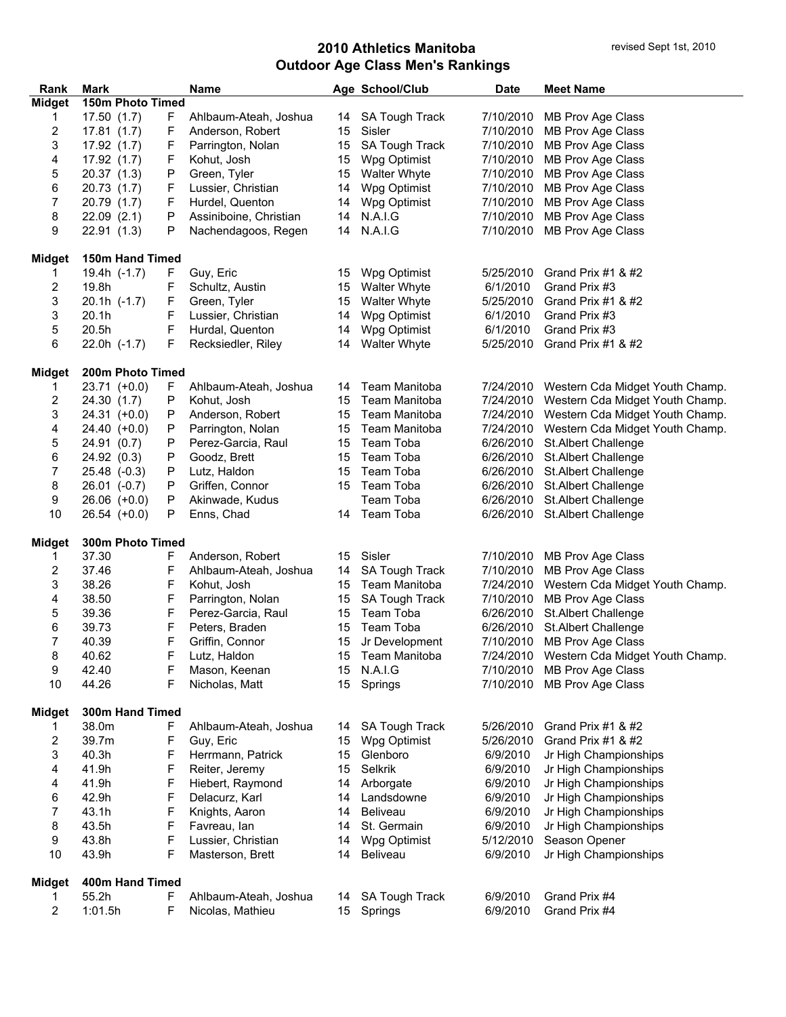| Rank                    | Mark             |    | <b>Name</b>            |    | Age School/Club       | <b>Date</b> | <b>Meet Name</b>                          |
|-------------------------|------------------|----|------------------------|----|-----------------------|-------------|-------------------------------------------|
| <b>Midget</b>           | 150m Photo Timed |    |                        |    |                       |             |                                           |
| 1                       | 17.50(1.7)       | F. | Ahlbaum-Ateah, Joshua  | 14 | <b>SA Tough Track</b> | 7/10/2010   | MB Prov Age Class                         |
| 2                       | 17.81(1.7)       | F  | Anderson, Robert       | 15 | Sisler                | 7/10/2010   | MB Prov Age Class                         |
| 3                       | 17.92 (1.7)      | F  | Parrington, Nolan      | 15 | SA Tough Track        | 7/10/2010   | MB Prov Age Class                         |
| 4                       | 17.92(1.7)       | F  | Kohut, Josh            | 15 | Wpg Optimist          | 7/10/2010   | MB Prov Age Class                         |
| 5                       | 20.37 (1.3)      | P  | Green, Tyler           | 15 | <b>Walter Whyte</b>   | 7/10/2010   | MB Prov Age Class                         |
| 6                       | 20.73 (1.7)      | F  |                        | 14 | Wpg Optimist          | 7/10/2010   | MB Prov Age Class                         |
|                         |                  |    | Lussier, Christian     |    |                       |             |                                           |
| 7                       | 20.79 (1.7)      | F  | Hurdel, Quenton        | 14 | Wpg Optimist          | 7/10/2010   | MB Prov Age Class                         |
| 8                       | 22.09(2.1)       | P  | Assiniboine, Christian | 14 | N.A.I.G               | 7/10/2010   | MB Prov Age Class                         |
| 9                       | 22.91 (1.3)      | Р  | Nachendagoos, Regen    | 14 | N.A.I.G               | 7/10/2010   | MB Prov Age Class                         |
| <b>Midget</b>           | 150m Hand Timed  |    |                        |    |                       |             |                                           |
| 1                       | 19.4h (-1.7)     | F. | Guy, Eric              | 15 | Wpg Optimist          | 5/25/2010   | Grand Prix #1 & #2                        |
| 2                       | 19.8h            | F  | Schultz, Austin        | 15 | <b>Walter Whyte</b>   | 6/1/2010    | Grand Prix #3                             |
| 3                       |                  |    |                        |    |                       | 5/25/2010   | Grand Prix #1 & #2                        |
|                         | $20.1h$ (-1.7)   | F  | Green, Tyler           | 15 | <b>Walter Whyte</b>   |             |                                           |
| 3                       | 20.1h            | F  | Lussier, Christian     | 14 | Wpg Optimist          | 6/1/2010    | Grand Prix #3                             |
| 5                       | 20.5h            | F  | Hurdal, Quenton        | 14 | Wpg Optimist          | 6/1/2010    | Grand Prix #3                             |
| 6                       | $22.0h$ $(-1.7)$ | F  | Recksiedler, Riley     | 14 | <b>Walter Whyte</b>   | 5/25/2010   | Grand Prix #1 & #2                        |
| <b>Midget</b>           | 200m Photo Timed |    |                        |    |                       |             |                                           |
| 1                       | 23.71 (+0.0)     | F  | Ahlbaum-Ateah, Joshua  | 14 | Team Manitoba         | 7/24/2010   | Western Cda Midget Youth Champ.           |
| 2                       | 24.30 (1.7)      | Ρ  | Kohut, Josh            | 15 | Team Manitoba         | 7/24/2010   | Western Cda Midget Youth Champ.           |
|                         |                  |    |                        |    | Team Manitoba         | 7/24/2010   |                                           |
| 3                       | $24.31 (+0.0)$   | P  | Anderson, Robert       | 15 |                       |             | Western Cda Midget Youth Champ.           |
| 4                       | 24.40 (+0.0)     | Ρ  | Parrington, Nolan      | 15 | Team Manitoba         | 7/24/2010   | Western Cda Midget Youth Champ.           |
| 5                       | 24.91 (0.7)      | P  | Perez-Garcia, Raul     | 15 | Team Toba             | 6/26/2010   | St.Albert Challenge                       |
| 6                       | 24.92 (0.3)      | P  | Goodz, Brett           | 15 | Team Toba             | 6/26/2010   | St.Albert Challenge                       |
| 7                       | 25.48 (-0.3)     | P  | Lutz, Haldon           | 15 | Team Toba             | 6/26/2010   | St.Albert Challenge                       |
| 8                       | $26.01$ $(-0.7)$ | P  | Griffen, Connor        | 15 | Team Toba             | 6/26/2010   | St.Albert Challenge                       |
| 9                       | $26.06 (+0.0)$   | P  | Akinwade, Kudus        |    | Team Toba             | 6/26/2010   | St.Albert Challenge                       |
| 10                      | $26.54$ $(+0.0)$ | P  | Enns, Chad             | 14 | Team Toba             |             | 6/26/2010 St.Albert Challenge             |
|                         | 300m Photo Timed |    |                        |    |                       |             |                                           |
| <b>Midget</b>           |                  |    |                        |    |                       |             |                                           |
| 1                       | 37.30            | F  | Anderson, Robert       | 15 | Sisler                | 7/10/2010   | MB Prov Age Class                         |
| 2                       | 37.46            | F  | Ahlbaum-Ateah, Joshua  | 14 | SA Tough Track        | 7/10/2010   | MB Prov Age Class                         |
| 3                       | 38.26            | F  | Kohut, Josh            | 15 | Team Manitoba         | 7/24/2010   | Western Cda Midget Youth Champ.           |
| 4                       | 38.50            | F  | Parrington, Nolan      | 15 | SA Tough Track        | 7/10/2010   | MB Prov Age Class                         |
| 5                       | 39.36            | F  | Perez-Garcia, Raul     | 15 | Team Toba             | 6/26/2010   | St.Albert Challenge                       |
| 6                       | 39.73            | F  | Peters, Braden         | 15 | Team Toba             | 6/26/2010   | St.Albert Challenge                       |
| 7                       | 40.39            | F  | Griffin, Connor        | 15 | Jr Development        |             | 7/10/2010 MB Prov Age Class               |
| 8                       | 40.62            | F  | Lutz, Haldon           | 15 | <b>Team Manitoba</b>  |             | 7/24/2010 Western Cda Midget Youth Champ. |
| 9                       | 42.40            | F  | Mason, Keenan          | 15 | N.A.I.G               |             | 7/10/2010 MB Prov Age Class               |
| 10                      | 44.26            | F  | Nicholas, Matt         | 15 | Springs               | 7/10/2010   | MB Prov Age Class                         |
|                         |                  |    |                        |    |                       |             |                                           |
| Midget                  | 300m Hand Timed  |    |                        |    |                       |             |                                           |
| 1                       | 38.0m            | F. | Ahlbaum-Ateah, Joshua  | 14 | <b>SA Tough Track</b> | 5/26/2010   | Grand Prix #1 & #2                        |
| 2                       | 39.7m            | F  | Guy, Eric              | 15 | Wpg Optimist          | 5/26/2010   | Grand Prix #1 & #2                        |
| 3                       | 40.3h            | F  | Herrmann, Patrick      | 15 | Glenboro              | 6/9/2010    | Jr High Championships                     |
| 4                       | 41.9h            | F  | Reiter, Jeremy         | 15 | Selkrik               | 6/9/2010    | Jr High Championships                     |
| 4                       | 41.9h            | F  | Hiebert, Raymond       | 14 | Arborgate             | 6/9/2010    | Jr High Championships                     |
| 6                       | 42.9h            | F  | Delacurz, Karl         | 14 | Landsdowne            | 6/9/2010    | Jr High Championships                     |
| 7                       | 43.1h            | F  | Knights, Aaron         | 14 | <b>Beliveau</b>       | 6/9/2010    | Jr High Championships                     |
| 8                       | 43.5h            | F  | Favreau, lan           | 14 | St. Germain           | 6/9/2010    | Jr High Championships                     |
| 9                       | 43.8h            | F  | Lussier, Christian     | 14 | Wpg Optimist          | 5/12/2010   | Season Opener                             |
| 10                      | 43.9h            | F  | Masterson, Brett       | 14 | <b>Beliveau</b>       | 6/9/2010    | Jr High Championships                     |
|                         |                  |    |                        |    |                       |             |                                           |
| Midget                  | 400m Hand Timed  |    |                        |    |                       |             |                                           |
| 1                       | 55.2h            | F. | Ahlbaum-Ateah, Joshua  | 14 | <b>SA Tough Track</b> | 6/9/2010    | Grand Prix #4                             |
| $\overline{\mathbf{c}}$ | 1:01.5h          | F  | Nicolas, Mathieu       | 15 | Springs               | 6/9/2010    | Grand Prix #4                             |
|                         |                  |    |                        |    |                       |             |                                           |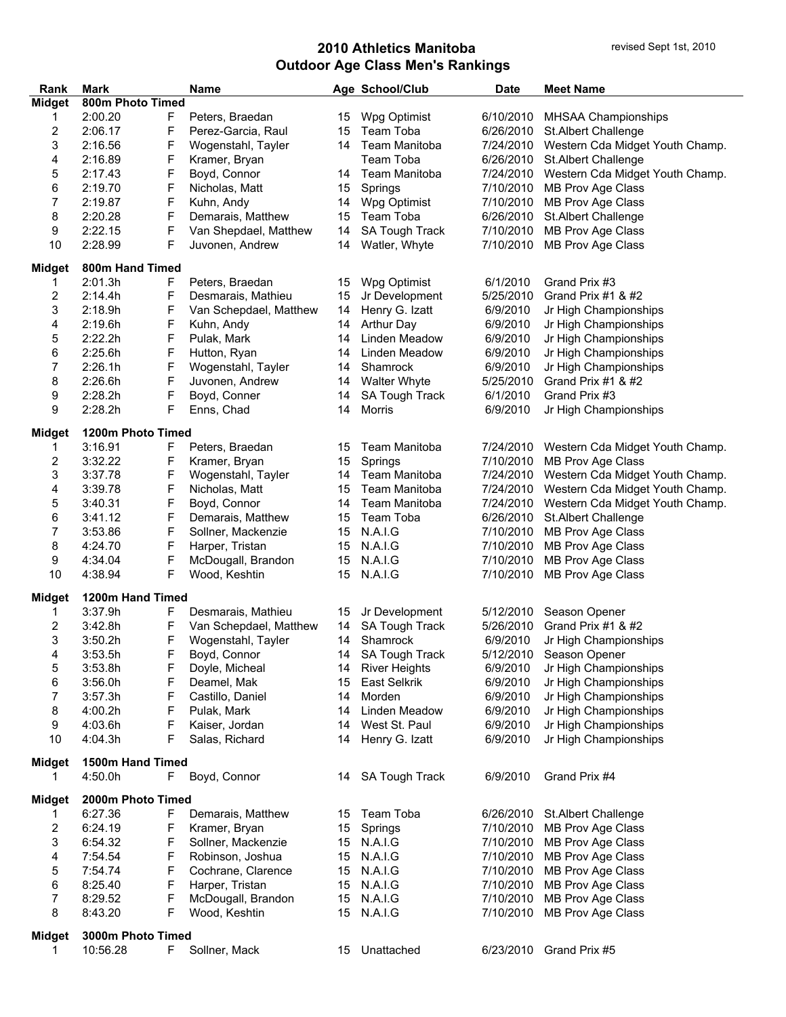| Rank                    | <b>Mark</b>       |    | <b>Name</b>            |    | Age School/Club       | <b>Date</b> | <b>Meet Name</b>                |
|-------------------------|-------------------|----|------------------------|----|-----------------------|-------------|---------------------------------|
| Midget                  | 800m Photo Timed  |    |                        |    |                       |             |                                 |
| 1                       | 2:00.20           | F  | Peters, Braedan        | 15 | Wpg Optimist          | 6/10/2010   | <b>MHSAA Championships</b>      |
| 2                       | 2:06.17           | F  | Perez-Garcia, Raul     | 15 | Team Toba             | 6/26/2010   | St.Albert Challenge             |
| 3                       | 2:16.56           | F  | Wogenstahl, Tayler     | 14 | Team Manitoba         | 7/24/2010   | Western Cda Midget Youth Champ. |
| 4                       | 2:16.89           | F  | Kramer, Bryan          |    | Team Toba             | 6/26/2010   | St.Albert Challenge             |
| 5                       | 2:17.43           | F  | Boyd, Connor           |    | 14 Team Manitoba      | 7/24/2010   | Western Cda Midget Youth Champ. |
| 6                       | 2:19.70           | F  | Nicholas, Matt         | 15 | Springs               | 7/10/2010   | MB Prov Age Class               |
| 7                       | 2:19.87           | F  | Kuhn, Andy             | 14 | Wpg Optimist          | 7/10/2010   | MB Prov Age Class               |
| 8                       | 2:20.28           | F  | Demarais, Matthew      | 15 | Team Toba             | 6/26/2010   | St.Albert Challenge             |
| 9                       | 2:22.15           | F  | Van Shepdael, Matthew  | 14 | <b>SA Tough Track</b> | 7/10/2010   | MB Prov Age Class               |
| 10                      | 2:28.99           | F  | Juvonen, Andrew        | 14 | Watler, Whyte         | 7/10/2010   | MB Prov Age Class               |
|                         |                   |    |                        |    |                       |             |                                 |
| <b>Midget</b>           | 800m Hand Timed   |    |                        |    |                       |             |                                 |
| 1                       | 2:01.3h           | F  | Peters, Braedan        | 15 | Wpg Optimist          | 6/1/2010    | Grand Prix #3                   |
| $\overline{\mathbf{c}}$ | 2:14.4h           | F  | Desmarais, Mathieu     | 15 | Jr Development        | 5/25/2010   | Grand Prix #1 & #2              |
| 3                       | 2:18.9h           | F  | Van Schepdael, Matthew | 14 | Henry G. Izatt        | 6/9/2010    | Jr High Championships           |
| 4                       | 2:19.6h           | F  | Kuhn, Andy             | 14 | <b>Arthur Day</b>     | 6/9/2010    | Jr High Championships           |
| 5                       | 2:22.2h           | F  | Pulak, Mark            | 14 | Linden Meadow         | 6/9/2010    | Jr High Championships           |
| 6                       | 2:25.6h           | F  | Hutton, Ryan           | 14 | Linden Meadow         | 6/9/2010    | Jr High Championships           |
| 7                       | 2:26.1h           | F  | Wogenstahl, Tayler     | 14 | Shamrock              | 6/9/2010    | Jr High Championships           |
| 8                       | 2:26.6h           | F  | Juvonen, Andrew        | 14 | <b>Walter Whyte</b>   | 5/25/2010   | Grand Prix #1 & #2              |
| 9                       | 2:28.2h           | F  | Boyd, Conner           | 14 | <b>SA Tough Track</b> | 6/1/2010    | Grand Prix #3                   |
| 9                       | 2:28.2h           | F  | Enns, Chad             | 14 | <b>Morris</b>         | 6/9/2010    | Jr High Championships           |
|                         |                   |    |                        |    |                       |             |                                 |
| <b>Midget</b>           | 1200m Photo Timed |    |                        |    |                       |             |                                 |
| 1                       | 3:16.91           | F  | Peters, Braedan        | 15 | Team Manitoba         | 7/24/2010   | Western Cda Midget Youth Champ. |
| 2                       | 3:32.22           | F  | Kramer, Bryan          | 15 | Springs               | 7/10/2010   | MB Prov Age Class               |
| 3                       | 3:37.78           | F  | Wogenstahl, Tayler     | 14 | Team Manitoba         | 7/24/2010   | Western Cda Midget Youth Champ. |
| 4                       | 3:39.78           | F  | Nicholas, Matt         | 15 | Team Manitoba         | 7/24/2010   | Western Cda Midget Youth Champ. |
| 5                       | 3:40.31           | F  | Boyd, Connor           | 14 | Team Manitoba         | 7/24/2010   | Western Cda Midget Youth Champ. |
| 6                       | 3:41.12           | F  | Demarais, Matthew      | 15 | Team Toba             | 6/26/2010   | St.Albert Challenge             |
| 7                       | 3:53.86           | F  | Sollner, Mackenzie     | 15 | N.A.I.G               | 7/10/2010   | <b>MB Prov Age Class</b>        |
| 8                       | 4:24.70           | F  | Harper, Tristan        | 15 | N.A.I.G               | 7/10/2010   | MB Prov Age Class               |
| 9                       | 4:34.04           | F  | McDougall, Brandon     | 15 | N.A.I.G               | 7/10/2010   | MB Prov Age Class               |
| 10                      | 4:38.94           | F  | Wood, Keshtin          | 15 | N.A.I.G               | 7/10/2010   | MB Prov Age Class               |
|                         |                   |    |                        |    |                       |             |                                 |
| Midget                  | 1200m Hand Timed  |    |                        |    |                       |             |                                 |
| 1                       | 3:37.9h           | F  | Desmarais, Mathieu     | 15 | Jr Development        | 5/12/2010   | Season Opener                   |
| 2                       | 3:42.8h           | F  | Van Schepdael, Matthew | 14 | <b>SA Tough Track</b> | 5/26/2010   | Grand Prix #1 & #2              |
| 3                       | 3:50.2h           | F  | Wogenstahl, Tayler     | 14 | Shamrock              | 6/9/2010    | Jr High Championships           |
| 4                       | 3:53.5h           | F  | Boyd, Connor           |    | 14 SA Tough Track     | 5/12/2010   | Season Opener                   |
| 5                       | 3:53.8h           | F  | Doyle, Micheal         |    | 14 River Heights      | 6/9/2010    | Jr High Championships           |
| 6                       | 3:56.0h           | F  | Deamel, Mak            | 15 | East Selkrik          | 6/9/2010    | Jr High Championships           |
| 7                       | 3:57.3h           | F  | Castillo, Daniel       | 14 | Morden                | 6/9/2010    | Jr High Championships           |
| 8                       | 4:00.2h           | F  | Pulak, Mark            |    | 14 Linden Meadow      | 6/9/2010    | Jr High Championships           |
| 9                       | 4:03.6h           | F  | Kaiser, Jordan         | 14 | West St. Paul         | 6/9/2010    | Jr High Championships           |
| 10                      | 4:04.3h           | F  | Salas, Richard         | 14 | Henry G. Izatt        | 6/9/2010    | Jr High Championships           |
|                         |                   |    |                        |    |                       |             |                                 |
| Midget                  | 1500m Hand Timed  |    |                        |    |                       |             |                                 |
|                         | 4:50.0h           | F. | Boyd, Connor           |    | 14 SA Tough Track     | 6/9/2010    | Grand Prix #4                   |
| Midget                  | 2000m Photo Timed |    |                        |    |                       |             |                                 |
| 1                       | 6:27.36           | F  | Demarais, Matthew      |    | 15 Team Toba          |             | 6/26/2010 St.Albert Challenge   |
| $\overline{\mathbf{c}}$ | 6:24.19           |    |                        |    | 15 Springs            | 7/10/2010   | MB Prov Age Class               |
| 3                       |                   | F  | Kramer, Bryan          |    | 15 N.A.I.G            |             |                                 |
|                         | 6:54.32           | F  | Sollner, Mackenzie     |    |                       | 7/10/2010   | MB Prov Age Class               |
| 4                       | 7:54.54           | F  | Robinson, Joshua       |    | 15 N.A.I.G            | 7/10/2010   | <b>MB Prov Age Class</b>        |
| 5                       | 7:54.74           | F  | Cochrane, Clarence     |    | 15 N.A.I.G            | 7/10/2010   | MB Prov Age Class               |
| 6                       | 8:25.40           | F  | Harper, Tristan        |    | 15 N.A.I.G            | 7/10/2010   | MB Prov Age Class               |
| $\overline{7}$          | 8:29.52           | F  | McDougall, Brandon     |    | 15 N.A.I.G            | 7/10/2010   | MB Prov Age Class               |
| 8                       | 8:43.20           | F  | Wood, Keshtin          |    | 15 N.A.I.G            | 7/10/2010   | MB Prov Age Class               |
| Midget                  | 3000m Photo Timed |    |                        |    |                       |             |                                 |
| 1                       | 10:56.28          | F. | Sollner, Mack          |    | 15 Unattached         |             | 6/23/2010 Grand Prix #5         |
|                         |                   |    |                        |    |                       |             |                                 |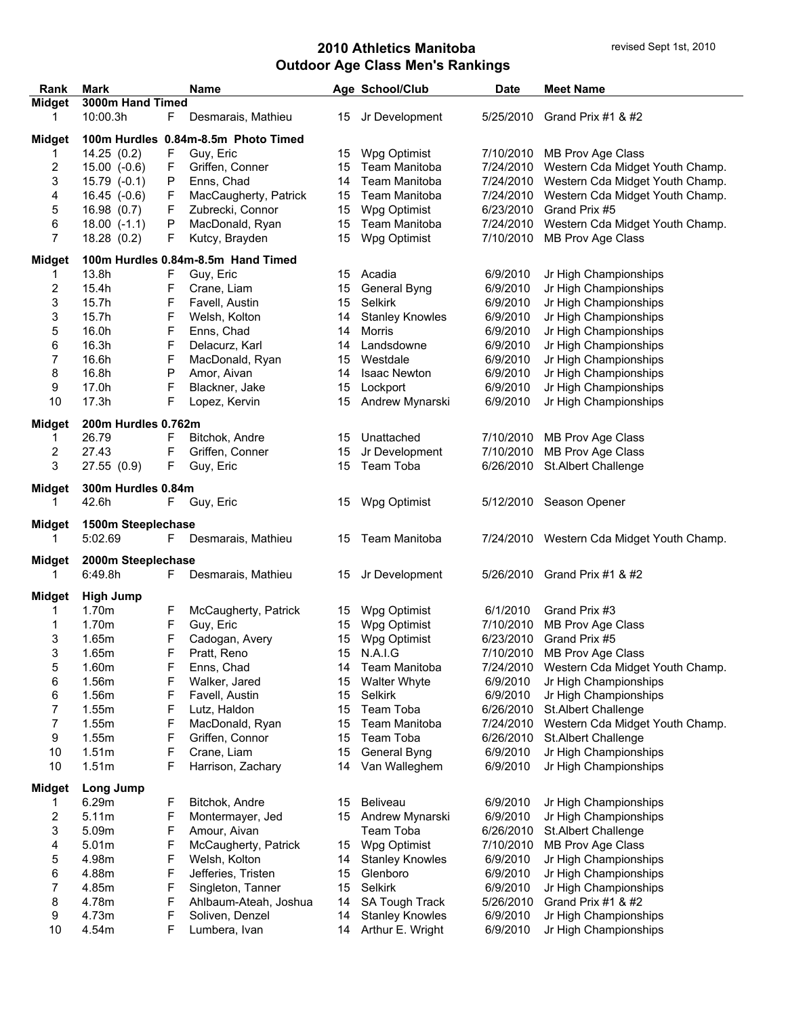| Rank          | <b>Mark</b>         |    | <b>Name</b>                         |    | Age School/Club        | <b>Date</b> | <b>Meet Name</b>                          |
|---------------|---------------------|----|-------------------------------------|----|------------------------|-------------|-------------------------------------------|
| <b>Midget</b> | 3000m Hand Timed    |    |                                     |    |                        |             |                                           |
| 1             | 10:00.3h            | F  | Desmarais, Mathieu                  | 15 | Jr Development         |             | 5/25/2010 Grand Prix #1 & #2              |
|               |                     |    |                                     |    |                        |             |                                           |
| Midget        |                     |    | 100m Hurdles 0.84m-8.5m Photo Timed |    |                        |             |                                           |
| 1             | 14.25(0.2)          | F  | Guy, Eric                           | 15 | Wpg Optimist           | 7/10/2010   | MB Prov Age Class                         |
| 2             | $15.00(-0.6)$       | F  | Griffen, Conner                     | 15 | Team Manitoba          | 7/24/2010   | Western Cda Midget Youth Champ.           |
| 3             | $15.79(-0.1)$       | P  | Enns, Chad                          | 14 | Team Manitoba          | 7/24/2010   | Western Cda Midget Youth Champ.           |
| 4             | $16.45$ (-0.6)      | F  | MacCaugherty, Patrick               | 15 | Team Manitoba          | 7/24/2010   | Western Cda Midget Youth Champ.           |
| 5             | 16.98(0.7)          | F  | Zubrecki, Connor                    | 15 | Wpg Optimist           | 6/23/2010   | Grand Prix #5                             |
| 6             | $18.00$ $(-1.1)$    | Ρ  | MacDonald, Ryan                     | 15 | Team Manitoba          | 7/24/2010   | Western Cda Midget Youth Champ.           |
| 7             | 18.28(0.2)          | F  | Kutcy, Brayden                      | 15 | Wpg Optimist           | 7/10/2010   | MB Prov Age Class                         |
|               |                     |    |                                     |    |                        |             |                                           |
| <b>Midget</b> |                     |    | 100m Hurdles 0.84m-8.5m Hand Timed  |    |                        |             |                                           |
| 1             | 13.8h               | F  | Guy, Eric                           | 15 | Acadia                 | 6/9/2010    | Jr High Championships                     |
| 2             | 15.4h               | F  | Crane, Liam                         | 15 | General Byng           | 6/9/2010    | Jr High Championships                     |
| 3             | 15.7h               | F  | Favell, Austin                      | 15 | Selkirk                | 6/9/2010    | Jr High Championships                     |
| 3             | 15.7h               | F  | Welsh, Kolton                       | 14 | <b>Stanley Knowles</b> | 6/9/2010    | Jr High Championships                     |
| 5             | 16.0h               | F  | Enns, Chad                          | 14 | Morris                 | 6/9/2010    | Jr High Championships                     |
| 6             | 16.3h               | F  | Delacurz, Karl                      | 14 | Landsdowne             | 6/9/2010    | Jr High Championships                     |
| 7             | 16.6h               | F  | MacDonald, Ryan                     | 15 | Westdale               | 6/9/2010    | Jr High Championships                     |
| 8             | 16.8h               | P  | Amor, Aivan                         | 14 | <b>Isaac Newton</b>    | 6/9/2010    | Jr High Championships                     |
| 9             | 17.0h               | F  | Blackner, Jake                      | 15 | Lockport               | 6/9/2010    | Jr High Championships                     |
| 10            | 17.3h               | F  | Lopez, Kervin                       | 15 | Andrew Mynarski        | 6/9/2010    | Jr High Championships                     |
|               |                     |    |                                     |    |                        |             |                                           |
| Midget        | 200m Hurdles 0.762m |    |                                     |    |                        |             |                                           |
| 1             | 26.79               | F  | Bitchok, Andre                      | 15 | Unattached             | 7/10/2010   | MB Prov Age Class                         |
| 2             | 27.43               | F  | Griffen, Conner                     | 15 | Jr Development         | 7/10/2010   | MB Prov Age Class                         |
| 3             | 27.55 (0.9)         | F. | Guy, Eric                           | 15 | Team Toba              | 6/26/2010   | St.Albert Challenge                       |
| Midget        | 300m Hurdles 0.84m  |    |                                     |    |                        |             |                                           |
| 1             | 42.6h               |    | F Guy, Eric                         | 15 | Wpg Optimist           |             | 5/12/2010 Season Opener                   |
|               |                     |    |                                     |    |                        |             |                                           |
| Midget        | 1500m Steeplechase  |    |                                     |    |                        |             |                                           |
| 1             | 5:02.69             | F. | Desmarais, Mathieu                  | 15 | Team Manitoba          |             | 7/24/2010 Western Cda Midget Youth Champ. |
|               |                     |    |                                     |    |                        |             |                                           |
| Midget        | 2000m Steeplechase  |    |                                     |    |                        |             |                                           |
| 1             | 6:49.8h             | F. | Desmarais, Mathieu                  | 15 | Jr Development         |             | 5/26/2010 Grand Prix #1 & #2              |
| Midget        | <b>High Jump</b>    |    |                                     |    |                        |             |                                           |
| 1.            | 1.70m               | F  | McCaugherty, Patrick                | 15 | Wpg Optimist           | 6/1/2010    | Grand Prix #3                             |
| 1             | 1.70m               | F  | Guy, Eric                           | 15 | Wpg Optimist           | 7/10/2010   | MB Prov Age Class                         |
| 3             | 1.65m               | F  | Cadogan, Avery                      | 15 | Wpg Optimist           | 6/23/2010   | Grand Prix #5                             |
| 3             | 1.65m               | F  | Pratt, Reno                         |    | 15 N.A.I.G             |             | 7/10/2010 MB Prov Age Class               |
| 5             | 1.60m               | F  | Enns, Chad                          |    | Team Manitoba          | 7/24/2010   | Western Cda Midget Youth Champ.           |
|               |                     |    |                                     | 14 |                        |             |                                           |
| 6             | 1.56m               | F  | Walker, Jared                       | 15 | <b>Walter Whyte</b>    | 6/9/2010    | Jr High Championships                     |
| 6             | 1.56m               | F  | Favell, Austin                      | 15 | Selkirk                | 6/9/2010    | Jr High Championships                     |
| 7             | 1.55m               | F  | Lutz, Haldon                        | 15 | Team Toba              | 6/26/2010   | St.Albert Challenge                       |
| 7             | 1.55m               | F  | MacDonald, Ryan                     | 15 | Team Manitoba          | 7/24/2010   | Western Cda Midget Youth Champ.           |
| 9             | 1.55m               | F  | Griffen, Connor                     | 15 | Team Toba              | 6/26/2010   | St.Albert Challenge                       |
| 10            | 1.51m               | F  | Crane, Liam                         | 15 | General Byng           | 6/9/2010    | Jr High Championships                     |
| 10            | 1.51 <sub>m</sub>   | F  | Harrison, Zachary                   | 14 | Van Walleghem          | 6/9/2010    | Jr High Championships                     |
|               | Long Jump           |    |                                     |    |                        |             |                                           |
| Midget        | 6.29m               |    | Bitchok, Andre                      |    | Beliveau               | 6/9/2010    | Jr High Championships                     |
| 1             | 5.11m               | F  |                                     | 15 |                        |             |                                           |
| 2             |                     | F  | Montermayer, Jed                    | 15 | Andrew Mynarski        | 6/9/2010    | Jr High Championships                     |
| 3             | 5.09m               | F  | Amour, Aivan                        |    | Team Toba              | 6/26/2010   | St.Albert Challenge                       |
| 4             | 5.01m               | F  | McCaugherty, Patrick                | 15 | Wpg Optimist           | 7/10/2010   | <b>MB Prov Age Class</b>                  |
| 5             | 4.98m               | F  | Welsh, Kolton                       | 14 | <b>Stanley Knowles</b> | 6/9/2010    | Jr High Championships                     |
| 6             | 4.88m               | F  | Jefferies, Tristen                  | 15 | Glenboro               | 6/9/2010    | Jr High Championships                     |
| 7             | 4.85m               | F  | Singleton, Tanner                   | 15 | Selkirk                | 6/9/2010    | Jr High Championships                     |
| 8             | 4.78m               | F  | Ahlbaum-Ateah, Joshua               | 14 | SA Tough Track         | 5/26/2010   | Grand Prix #1 & #2                        |
| 9             | 4.73m               | F  | Soliven, Denzel                     | 14 | <b>Stanley Knowles</b> | 6/9/2010    | Jr High Championships                     |
| 10            | 4.54m               | F  | Lumbera, Ivan                       | 14 | Arthur E. Wright       | 6/9/2010    | Jr High Championships                     |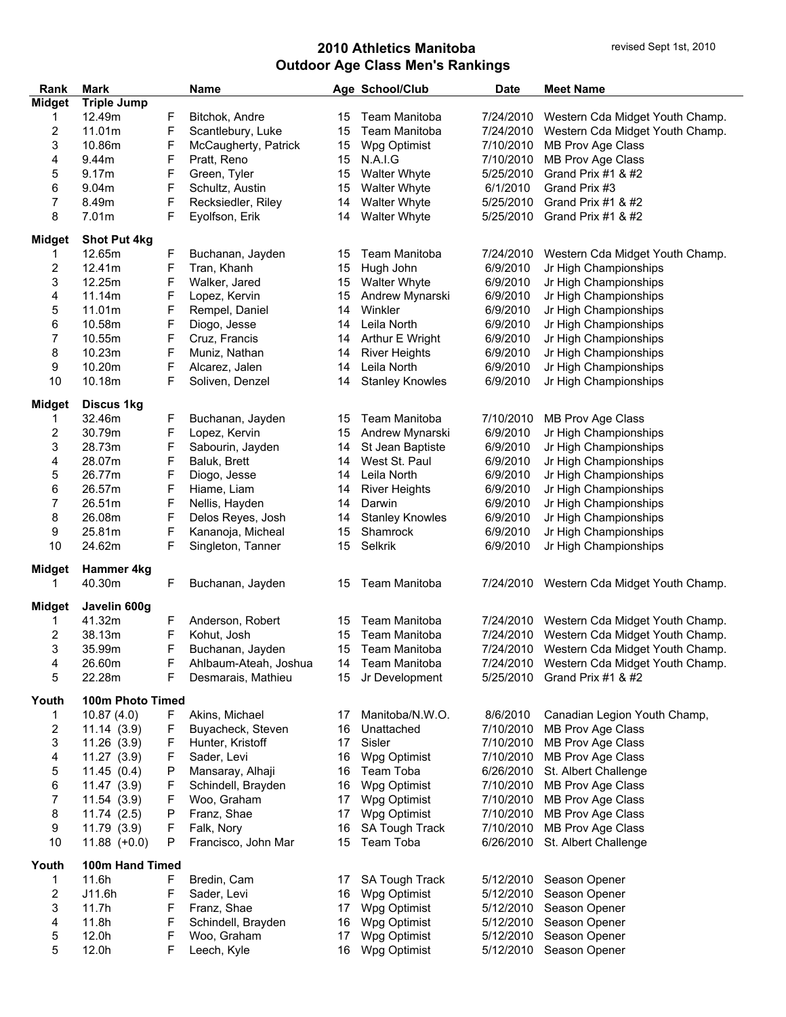÷,

| Rank                    | <b>Mark</b>                 |    | <b>Name</b>           |    | Age School/Club        | <b>Date</b> | <b>Meet Name</b>                          |
|-------------------------|-----------------------------|----|-----------------------|----|------------------------|-------------|-------------------------------------------|
| <b>Midget</b>           | <b>Triple Jump</b>          |    |                       |    |                        |             |                                           |
| 1                       | 12.49m                      | F  | Bitchok, Andre        | 15 | Team Manitoba          | 7/24/2010   | Western Cda Midget Youth Champ.           |
| 2                       | 11.01m                      | F  | Scantlebury, Luke     | 15 | Team Manitoba          | 7/24/2010   | Western Cda Midget Youth Champ.           |
| 3                       | 10.86m                      | F  | McCaugherty, Patrick  | 15 | Wpg Optimist           | 7/10/2010   | MB Prov Age Class                         |
| 4                       | 9.44m                       | F  | Pratt, Reno           | 15 | N.A.I.G                | 7/10/2010   | MB Prov Age Class                         |
| 5                       | 9.17m                       | F  | Green, Tyler          | 15 | <b>Walter Whyte</b>    | 5/25/2010   | Grand Prix #1 & #2                        |
| 6                       | 9.04 <sub>m</sub>           | F  | Schultz, Austin       | 15 | <b>Walter Whyte</b>    | 6/1/2010    | Grand Prix #3                             |
| 7                       | 8.49m                       | F  | Recksiedler, Riley    | 14 | <b>Walter Whyte</b>    | 5/25/2010   | Grand Prix #1 & #2                        |
| 8                       | 7.01m                       | F  | Eyolfson, Erik        | 14 | <b>Walter Whyte</b>    | 5/25/2010   | Grand Prix #1 & #2                        |
|                         |                             |    |                       |    |                        |             |                                           |
| <b>Midget</b>           | <b>Shot Put 4kg</b>         |    |                       |    |                        |             |                                           |
| 1                       | 12.65m                      | F  | Buchanan, Jayden      | 15 | <b>Team Manitoba</b>   | 7/24/2010   | Western Cda Midget Youth Champ.           |
| 2                       | 12.41m                      | F  | Tran, Khanh           | 15 | Hugh John              | 6/9/2010    | Jr High Championships                     |
| 3                       | 12.25m                      | F  | Walker, Jared         | 15 | <b>Walter Whyte</b>    | 6/9/2010    | Jr High Championships                     |
| 4                       | 11.14m                      | F  | Lopez, Kervin         | 15 | Andrew Mynarski        | 6/9/2010    | Jr High Championships                     |
| 5                       | 11.01m                      | F  | Rempel, Daniel        | 14 | Winkler                | 6/9/2010    | Jr High Championships                     |
| 6                       | 10.58m                      | F  | Diogo, Jesse          | 14 | Leila North            | 6/9/2010    | Jr High Championships                     |
| 7                       | 10.55m                      | F  | Cruz, Francis         | 14 | Arthur E Wright        | 6/9/2010    | Jr High Championships                     |
| 8                       | 10.23m                      | F  | Muniz, Nathan         | 14 | <b>River Heights</b>   | 6/9/2010    | Jr High Championships                     |
|                         |                             |    |                       |    |                        |             |                                           |
| 9                       | 10.20m                      | F  | Alcarez, Jalen        | 14 | Leila North            | 6/9/2010    | Jr High Championships                     |
| 10                      | 10.18m                      | F  | Soliven, Denzel       | 14 | <b>Stanley Knowles</b> | 6/9/2010    | Jr High Championships                     |
| <b>Midget</b>           | <b>Discus 1kg</b>           |    |                       |    |                        |             |                                           |
| 1                       | 32.46m                      | F  | Buchanan, Jayden      | 15 | Team Manitoba          | 7/10/2010   | MB Prov Age Class                         |
| 2                       | 30.79m                      | F  | Lopez, Kervin         | 15 | Andrew Mynarski        | 6/9/2010    | Jr High Championships                     |
| 3                       | 28.73m                      | F  | Sabourin, Jayden      | 14 | St Jean Baptiste       | 6/9/2010    | Jr High Championships                     |
|                         |                             |    |                       |    |                        |             |                                           |
| 4                       | 28.07m                      | F  | Baluk, Brett          | 14 | West St. Paul          | 6/9/2010    | Jr High Championships                     |
| 5                       | 26.77m                      | F  | Diogo, Jesse          | 14 | Leila North            | 6/9/2010    | Jr High Championships                     |
| 6                       | 26.57m                      | F  | Hiame, Liam           | 14 | <b>River Heights</b>   | 6/9/2010    | Jr High Championships                     |
| 7                       | 26.51m                      | F  | Nellis, Hayden        | 14 | Darwin                 | 6/9/2010    | Jr High Championships                     |
| 8                       | 26.08m                      | F  | Delos Reyes, Josh     | 14 | <b>Stanley Knowles</b> | 6/9/2010    | Jr High Championships                     |
| 9                       | 25.81m                      | F  | Kananoja, Micheal     | 15 | Shamrock               | 6/9/2010    | Jr High Championships                     |
| 10                      | 24.62m                      | F  | Singleton, Tanner     | 15 | Selkrik                | 6/9/2010    | Jr High Championships                     |
|                         |                             |    |                       |    |                        |             |                                           |
| <b>Midget</b><br>1      | <b>Hammer 4kg</b><br>40.30m | F  | Buchanan, Jayden      |    | Team Manitoba          |             |                                           |
|                         |                             |    |                       | 15 |                        |             | 7/24/2010 Western Cda Midget Youth Champ. |
| <b>Midget</b>           | Javelin 600g                |    |                       |    |                        |             |                                           |
| 1                       | 41.32m                      | F  | Anderson, Robert      | 15 | <b>Team Manitoba</b>   | 7/24/2010   | Western Cda Midget Youth Champ.           |
| $\overline{\mathbf{c}}$ | 38.13m                      | F  | Kohut, Josh           | 15 | Team Manitoba          |             | 7/24/2010 Western Cda Midget Youth Champ. |
| 3                       | 35.99m                      | F  | Buchanan, Jayden      | 15 | Team Manitoba          |             | 7/24/2010 Western Cda Midget Youth Champ. |
| 4                       | 26.60m                      | F  | Ahlbaum-Ateah, Joshua | 14 | Team Manitoba          | 7/24/2010   | Western Cda Midget Youth Champ.           |
| 5                       | 22.28m                      | F  | Desmarais, Mathieu    | 15 | Jr Development         | 5/25/2010   | Grand Prix #1 & #2                        |
|                         |                             |    |                       |    |                        |             |                                           |
| Youth                   | 100m Photo Timed            |    |                       |    |                        |             |                                           |
| 1                       | 10.87(4.0)                  | F. | Akins, Michael        | 17 | Manitoba/N.W.O.        | 8/6/2010    | Canadian Legion Youth Champ,              |
| 2                       | 11.14(3.9)                  | F  | Buyacheck, Steven     | 16 | Unattached             | 7/10/2010   | MB Prov Age Class                         |
| 3                       | 11.26(3.9)                  | F  | Hunter, Kristoff      | 17 | Sisler                 | 7/10/2010   | MB Prov Age Class                         |
| 4                       | 11.27(3.9)                  | F  | Sader, Levi           | 16 | Wpg Optimist           | 7/10/2010   | MB Prov Age Class                         |
| 5                       | 11.45(0.4)                  | Ρ  | Mansaray, Alhaji      | 16 | Team Toba              | 6/26/2010   | St. Albert Challenge                      |
| 6                       | 11.47(3.9)                  | F  | Schindell, Brayden    | 16 | Wpg Optimist           | 7/10/2010   | MB Prov Age Class                         |
| 7                       | 11.54(3.9)                  | F  | Woo, Graham           | 17 | Wpg Optimist           | 7/10/2010   | MB Prov Age Class                         |
| 8                       | 11.74(2.5)                  | Ρ  | Franz, Shae           | 17 | Wpg Optimist           | 7/10/2010   | MB Prov Age Class                         |
| 9                       | 11.79(3.9)                  | F  | Falk, Nory            | 16 | <b>SA Tough Track</b>  | 7/10/2010   | MB Prov Age Class                         |
| 10                      | $11.88 (+0.0)$              | P  | Francisco, John Mar   | 15 | Team Toba              | 6/26/2010   | St. Albert Challenge                      |
|                         |                             |    |                       |    |                        |             |                                           |
| Youth                   | 100m Hand Timed             |    |                       |    |                        |             |                                           |
| 1                       | 11.6h                       | F  | Bredin, Cam           | 17 | SA Tough Track         | 5/12/2010   | Season Opener                             |
| $\overline{\mathbf{c}}$ | J11.6h                      | F  | Sader, Levi           | 16 | Wpg Optimist           | 5/12/2010   | Season Opener                             |
| 3                       | 11.7h                       | F  | Franz, Shae           | 17 | Wpg Optimist           | 5/12/2010   | Season Opener                             |
| 4                       | 11.8h                       | F  | Schindell, Brayden    | 16 | Wpg Optimist           | 5/12/2010   | Season Opener                             |
| 5                       | 12.0h                       | F  | Woo, Graham           | 17 | Wpg Optimist           | 5/12/2010   | Season Opener                             |
| 5                       | 12.0h                       | F  | Leech, Kyle           | 16 | Wpg Optimist           | 5/12/2010   | Season Opener                             |
|                         |                             |    |                       |    |                        |             |                                           |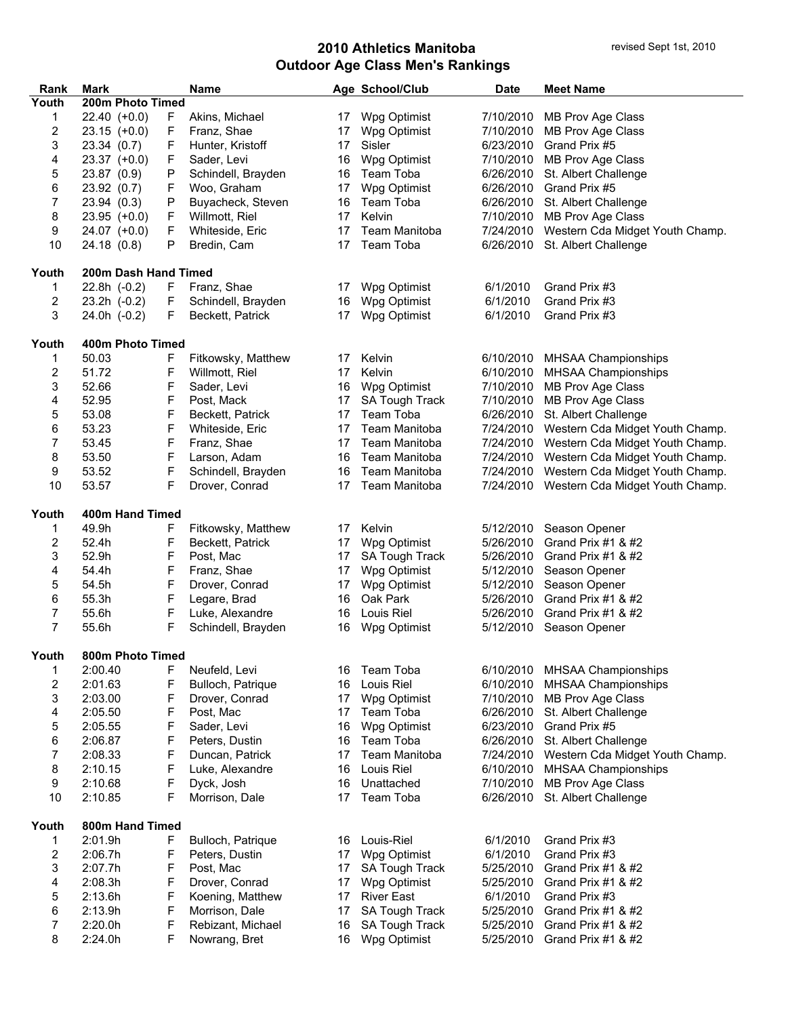| Rank  | <b>Mark</b>          |   | <b>Name</b>        |    | Age School/Club       | <b>Date</b> | <b>Meet Name</b>                          |
|-------|----------------------|---|--------------------|----|-----------------------|-------------|-------------------------------------------|
| Youth | 200m Photo Timed     |   |                    |    |                       |             |                                           |
| 1     | $22.40 (+0.0)$       | F | Akins, Michael     | 17 | Wpg Optimist          | 7/10/2010   | MB Prov Age Class                         |
| 2     | $23.15 (+0.0)$       | F | Franz, Shae        | 17 | Wpg Optimist          | 7/10/2010   | MB Prov Age Class                         |
| 3     | 23.34 (0.7)          | F | Hunter, Kristoff   | 17 | Sisler                | 6/23/2010   | Grand Prix #5                             |
| 4     | $23.37 (+0.0)$       | F | Sader, Levi        | 16 | Wpg Optimist          | 7/10/2010   | MB Prov Age Class                         |
| 5     | 23.87 (0.9)          | Ρ | Schindell, Brayden | 16 | Team Toba             | 6/26/2010   | St. Albert Challenge                      |
| 6     | 23.92 (0.7)          | F | Woo, Graham        | 17 | Wpg Optimist          | 6/26/2010   | Grand Prix #5                             |
| 7     | 23.94(0.3)           | Ρ | Buyacheck, Steven  | 16 | Team Toba             | 6/26/2010   | St. Albert Challenge                      |
| 8     | $23.95$ (+0.0)       | F | Willmott, Riel     | 17 | Kelvin                | 7/10/2010   | MB Prov Age Class                         |
| 9     | $24.07$ (+0.0)       | F | Whiteside, Eric    | 17 | Team Manitoba         | 7/24/2010   | Western Cda Midget Youth Champ.           |
| 10    | 24.18(0.8)           | Ρ | Bredin, Cam        | 17 | Team Toba             | 6/26/2010   | St. Albert Challenge                      |
| Youth | 200m Dash Hand Timed |   |                    |    |                       |             |                                           |
| 1.    | 22.8h (-0.2)         | F | Franz, Shae        | 17 | Wpg Optimist          | 6/1/2010    | Grand Prix #3                             |
| 2     | $23.2h$ $(-0.2)$     | F | Schindell, Brayden | 16 | Wpg Optimist          | 6/1/2010    | Grand Prix #3                             |
| 3     | 24.0h (-0.2)         | F | Beckett, Patrick   | 17 | Wpg Optimist          | 6/1/2010    | Grand Prix #3                             |
| Youth | 400m Photo Timed     |   |                    |    |                       |             |                                           |
| 1     | 50.03                | F | Fitkowsky, Matthew | 17 | Kelvin                | 6/10/2010   | MHSAA Championships                       |
| 2     | 51.72                | F | Willmott, Riel     | 17 | Kelvin                | 6/10/2010   | MHSAA Championships                       |
| 3     | 52.66                | F | Sader, Levi        | 16 | Wpg Optimist          | 7/10/2010   | MB Prov Age Class                         |
| 4     | 52.95                | F | Post, Mack         | 17 | SA Tough Track        | 7/10/2010   | MB Prov Age Class                         |
| 5     | 53.08                | F | Beckett, Patrick   | 17 | Team Toba             | 6/26/2010   | St. Albert Challenge                      |
| 6     | 53.23                | F | Whiteside, Eric    | 17 | Team Manitoba         | 7/24/2010   | Western Cda Midget Youth Champ.           |
| 7     | 53.45                | F | Franz, Shae        | 17 | Team Manitoba         | 7/24/2010   | Western Cda Midget Youth Champ.           |
| 8     | 53.50                | F | Larson, Adam       | 16 | Team Manitoba         | 7/24/2010   | Western Cda Midget Youth Champ.           |
| 9     | 53.52                | F | Schindell, Brayden | 16 | Team Manitoba         | 7/24/2010   | Western Cda Midget Youth Champ.           |
| 10    | 53.57                | F | Drover, Conrad     | 17 | Team Manitoba         |             | 7/24/2010 Western Cda Midget Youth Champ. |
| Youth | 400m Hand Timed      |   |                    |    |                       |             |                                           |
| 1     | 49.9h                | F | Fitkowsky, Matthew | 17 | Kelvin                | 5/12/2010   | Season Opener                             |
| 2     | 52.4h                | F | Beckett, Patrick   | 17 | Wpg Optimist          | 5/26/2010   | Grand Prix #1 & #2                        |
| 3     | 52.9h                | F | Post, Mac          | 17 | SA Tough Track        | 5/26/2010   | Grand Prix #1 & #2                        |
| 4     | 54.4h                | F | Franz, Shae        | 17 | Wpg Optimist          | 5/12/2010   | Season Opener                             |
| 5     | 54.5h                | F | Drover, Conrad     | 17 | Wpg Optimist          | 5/12/2010   | Season Opener                             |
| 6     | 55.3h                | F | Legare, Brad       | 16 | Oak Park              | 5/26/2010   | Grand Prix #1 & #2                        |
| 7     | 55.6h                | F | Luke, Alexandre    | 16 | Louis Riel            | 5/26/2010   | Grand Prix #1 & #2                        |
| 7     | 55.6h                | F | Schindell, Brayden | 16 | Wpg Optimist          | 5/12/2010   | Season Opener                             |
| Youth | 800m Photo Timed     |   |                    |    |                       |             |                                           |
| 1     | 2:00.40              | F | Neufeld, Levi      | 16 | Team Toba             | 6/10/2010   | <b>MHSAA Championships</b>                |
| 2     | 2:01.63              | F | Bulloch, Patrique  | 16 | Louis Riel            | 6/10/2010   | MHSAA Championships                       |
| 3     | 2:03.00              | F | Drover, Conrad     | 17 | Wpg Optimist          | 7/10/2010   | MB Prov Age Class                         |
| 4     | 2:05.50              | F | Post, Mac          | 17 | Team Toba             | 6/26/2010   | St. Albert Challenge                      |
| 5     | 2:05.55              | F | Sader, Levi        | 16 | Wpg Optimist          | 6/23/2010   | Grand Prix #5                             |
| 6     | 2:06.87              | F | Peters, Dustin     | 16 | Team Toba             | 6/26/2010   | St. Albert Challenge                      |
| 7     | 2:08.33              | F | Duncan, Patrick    | 17 | Team Manitoba         | 7/24/2010   | Western Cda Midget Youth Champ.           |
| 8     | 2:10.15              | F | Luke, Alexandre    | 16 | Louis Riel            | 6/10/2010   | MHSAA Championships                       |
| 9     | 2:10.68              | F | Dyck, Josh         | 16 | Unattached            | 7/10/2010   | MB Prov Age Class                         |
| 10    | 2:10.85              | F | Morrison, Dale     | 17 | Team Toba             | 6/26/2010   | St. Albert Challenge                      |
| Youth | 800m Hand Timed      |   |                    |    |                       |             |                                           |
| 1     | 2:01.9h              | F | Bulloch, Patrique  | 16 | Louis-Riel            | 6/1/2010    | Grand Prix #3                             |
| 2     | 2:06.7h              | F | Peters, Dustin     | 17 | Wpg Optimist          | 6/1/2010    | Grand Prix #3                             |
| 3     | 2:07.7h              | F | Post, Mac          | 17 | SA Tough Track        | 5/25/2010   | Grand Prix #1 & #2                        |
| 4     | 2:08.3h              | F | Drover, Conrad     | 17 | Wpg Optimist          | 5/25/2010   | Grand Prix #1 & #2                        |
| 5     | 2:13.6h              | F | Koening, Matthew   | 17 | <b>River East</b>     | 6/1/2010    | Grand Prix #3                             |
| 6     | 2:13.9h              | F | Morrison, Dale     | 17 | <b>SA Tough Track</b> | 5/25/2010   | Grand Prix #1 & #2                        |
| 7     | 2:20.0h              | F | Rebizant, Michael  | 16 | SA Tough Track        | 5/25/2010   | Grand Prix #1 & #2                        |
| 8     | 2:24.0h              | F | Nowrang, Bret      | 16 | Wpg Optimist          | 5/25/2010   | Grand Prix #1 & #2                        |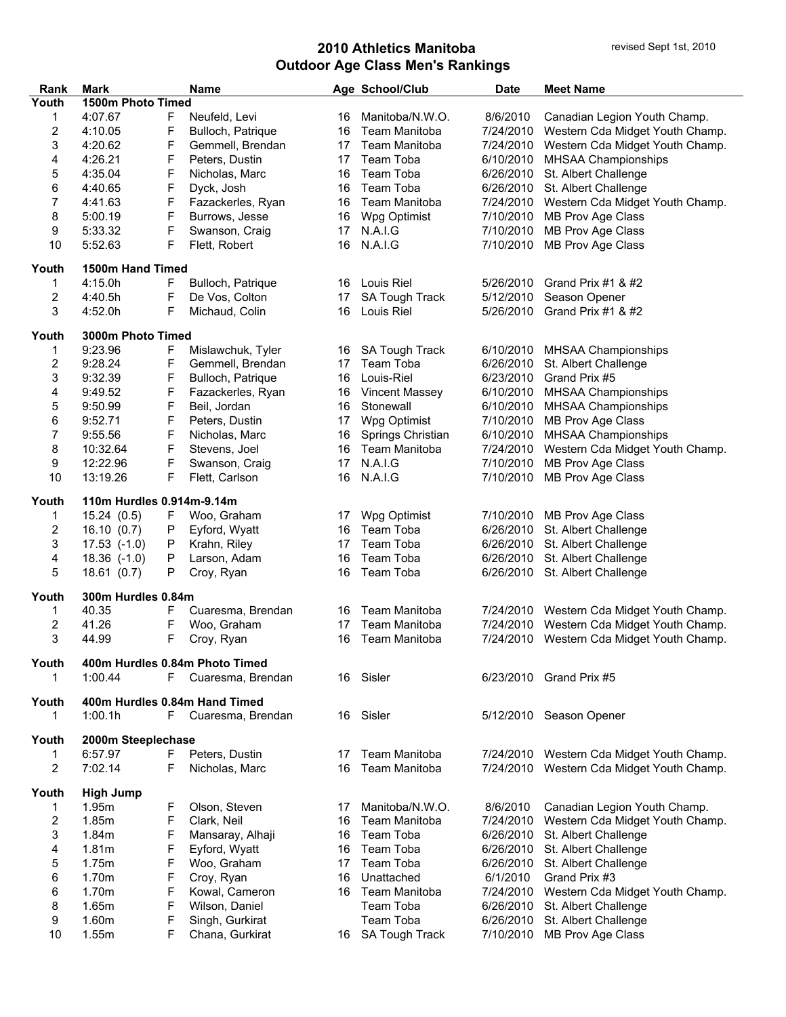| Rank  | <b>Mark</b>               |    | Name                           |    | Age School/Club       | <b>Date</b> | <b>Meet Name</b>                          |  |  |  |
|-------|---------------------------|----|--------------------------------|----|-----------------------|-------------|-------------------------------------------|--|--|--|
| Youth | 1500m Photo Timed         |    |                                |    |                       |             |                                           |  |  |  |
| 1     | 4:07.67                   | F  | Neufeld, Levi                  | 16 | Manitoba/N.W.O.       | 8/6/2010    | Canadian Legion Youth Champ.              |  |  |  |
| 2     | 4:10.05                   | F  | Bulloch, Patrique              | 16 | Team Manitoba         | 7/24/2010   | Western Cda Midget Youth Champ.           |  |  |  |
| 3     | 4:20.62                   | F  | Gemmell, Brendan               | 17 | <b>Team Manitoba</b>  | 7/24/2010   | Western Cda Midget Youth Champ.           |  |  |  |
| 4     | 4:26.21                   | F  | Peters, Dustin                 | 17 | Team Toba             | 6/10/2010   | MHSAA Championships                       |  |  |  |
| 5     | 4:35.04                   | F  | Nicholas, Marc                 | 16 | Team Toba             | 6/26/2010   | St. Albert Challenge                      |  |  |  |
| 6     | 4:40.65                   | F  | Dyck, Josh                     | 16 | Team Toba             | 6/26/2010   | St. Albert Challenge                      |  |  |  |
| 7     | 4:41.63                   | F  | Fazackerles, Ryan              | 16 | Team Manitoba         | 7/24/2010   | Western Cda Midget Youth Champ.           |  |  |  |
| 8     | 5:00.19                   | F  | Burrows, Jesse                 | 16 | Wpg Optimist          | 7/10/2010   | MB Prov Age Class                         |  |  |  |
| 9     | 5:33.32                   | F  | Swanson, Craig                 | 17 | N.A.I.G               | 7/10/2010   | MB Prov Age Class                         |  |  |  |
| 10    | 5:52.63                   | F  | Flett, Robert                  | 16 | N.A.I.G               | 7/10/2010   | MB Prov Age Class                         |  |  |  |
| Youth | 1500m Hand Timed          |    |                                |    |                       |             |                                           |  |  |  |
| 1     | 4:15.0h                   | F  | Bulloch, Patrique              | 16 | Louis Riel            | 5/26/2010   | Grand Prix #1 & #2                        |  |  |  |
| 2     | 4:40.5h                   | F  | De Vos, Colton                 | 17 | SA Tough Track        | 5/12/2010   | Season Opener                             |  |  |  |
| 3     | 4:52.0h                   | F  | Michaud, Colin                 | 16 | Louis Riel            | 5/26/2010   | Grand Prix #1 & #2                        |  |  |  |
|       |                           |    |                                |    |                       |             |                                           |  |  |  |
| Youth | 3000m Photo Timed         |    |                                |    |                       |             |                                           |  |  |  |
| 1     | 9:23.96                   | F  | Mislawchuk, Tyler              | 16 | SA Tough Track        | 6/10/2010   | MHSAA Championships                       |  |  |  |
| 2     | 9:28.24                   | F  | Gemmell, Brendan               | 17 | Team Toba             | 6/26/2010   | St. Albert Challenge                      |  |  |  |
| 3     | 9:32.39                   | F  | Bulloch, Patrique              | 16 | Louis-Riel            | 6/23/2010   | Grand Prix #5                             |  |  |  |
| 4     | 9:49.52                   | F  | Fazackerles, Ryan              | 16 | <b>Vincent Massey</b> | 6/10/2010   | <b>MHSAA Championships</b>                |  |  |  |
| 5     | 9:50.99                   | F  | Beil, Jordan                   | 16 | Stonewall             | 6/10/2010   | MHSAA Championships                       |  |  |  |
| 6     | 9:52.71                   | F  | Peters, Dustin                 | 17 | Wpg Optimist          | 7/10/2010   | MB Prov Age Class                         |  |  |  |
| 7     | 9:55.56                   | F  | Nicholas, Marc                 | 16 | Springs Christian     | 6/10/2010   | MHSAA Championships                       |  |  |  |
| 8     | 10:32.64                  | F  | Stevens, Joel                  | 16 | Team Manitoba         | 7/24/2010   | Western Cda Midget Youth Champ.           |  |  |  |
| 9     | 12:22.96                  | F  | Swanson, Craig                 | 17 | N.A.I.G               | 7/10/2010   | MB Prov Age Class                         |  |  |  |
| 10    | 13:19.26                  | F  | Flett, Carlson                 | 16 | N.A.I.G               | 7/10/2010   | MB Prov Age Class                         |  |  |  |
| Youth | 110m Hurdles 0.914m-9.14m |    |                                |    |                       |             |                                           |  |  |  |
|       |                           |    |                                |    | Wpg Optimist          |             |                                           |  |  |  |
| 1     | 15.24(0.5)                | F  | Woo, Graham                    | 17 |                       | 7/10/2010   | MB Prov Age Class                         |  |  |  |
| 2     | 16.10(0.7)                | Ρ  | Eyford, Wyatt                  | 16 | Team Toba             | 6/26/2010   | St. Albert Challenge                      |  |  |  |
| 3     | $17.53$ $(-1.0)$          | Ρ  | Krahn, Riley                   | 17 | Team Toba             | 6/26/2010   | St. Albert Challenge                      |  |  |  |
| 4     | $18.36$ $(-1.0)$          | Ρ  | Larson, Adam                   | 16 | Team Toba             | 6/26/2010   | St. Albert Challenge                      |  |  |  |
| 5     | 18.61(0.7)                | Ρ  | Croy, Ryan                     | 16 | Team Toba             | 6/26/2010   | St. Albert Challenge                      |  |  |  |
| Youth | 300m Hurdles 0.84m        |    |                                |    |                       |             |                                           |  |  |  |
| 1     | 40.35                     | F  | Cuaresma, Brendan              | 16 | <b>Team Manitoba</b>  | 7/24/2010   | Western Cda Midget Youth Champ.           |  |  |  |
| 2     | 41.26                     | F  | Woo, Graham                    | 17 | Team Manitoba         | 7/24/2010   | Western Cda Midget Youth Champ.           |  |  |  |
| 3     | 44.99                     | F  | Croy, Ryan                     | 16 | Team Manitoba         |             | 7/24/2010 Western Cda Midget Youth Champ. |  |  |  |
| Youth |                           |    | 400m Hurdles 0.84m Photo Timed |    |                       |             |                                           |  |  |  |
| 1.    | 1:00.44                   | F. | Cuaresma, Brendan              | 16 | Sisler                |             | 6/23/2010 Grand Prix #5                   |  |  |  |
|       |                           |    |                                |    |                       |             |                                           |  |  |  |
| Youth |                           |    | 400m Hurdles 0.84m Hand Timed  |    |                       |             |                                           |  |  |  |
| 1     | 1:00.1h                   | F. | Cuaresma, Brendan              | 16 | Sisler                |             | 5/12/2010 Season Opener                   |  |  |  |
| Youth | 2000m Steeplechase        |    |                                |    |                       |             |                                           |  |  |  |
| 1     | 6:57.97                   | F  | Peters, Dustin                 | 17 | Team Manitoba         | 7/24/2010   | Western Cda Midget Youth Champ.           |  |  |  |
| 2     | 7:02.14                   | F  | Nicholas, Marc                 | 16 | Team Manitoba         |             | 7/24/2010 Western Cda Midget Youth Champ. |  |  |  |
|       |                           |    |                                |    |                       |             |                                           |  |  |  |
| Youth | <b>High Jump</b>          |    |                                |    |                       |             |                                           |  |  |  |
| 1.    | 1.95m                     | F  | Olson, Steven                  | 17 | Manitoba/N.W.O.       | 8/6/2010    | Canadian Legion Youth Champ.              |  |  |  |
| 2     | 1.85m                     | F  | Clark, Neil                    | 16 | <b>Team Manitoba</b>  | 7/24/2010   | Western Cda Midget Youth Champ.           |  |  |  |
| 3     | 1.84m                     | F  | Mansaray, Alhaji               | 16 | Team Toba             | 6/26/2010   | St. Albert Challenge                      |  |  |  |
| 4     | 1.81m                     | F  | Eyford, Wyatt                  | 16 | Team Toba             | 6/26/2010   | St. Albert Challenge                      |  |  |  |
| 5     | 1.75m                     | F  | Woo, Graham                    | 17 | Team Toba             | 6/26/2010   | St. Albert Challenge                      |  |  |  |
| 6     | 1.70m                     | F  | Croy, Ryan                     | 16 | Unattached            | 6/1/2010    | Grand Prix #3                             |  |  |  |
| 6     | 1.70m                     | F  | Kowal, Cameron                 | 16 | Team Manitoba         | 7/24/2010   | Western Cda Midget Youth Champ.           |  |  |  |
| 8     | 1.65m                     | F  | Wilson, Daniel                 |    | Team Toba             | 6/26/2010   | St. Albert Challenge                      |  |  |  |
| 9     | 1.60m                     | F  | Singh, Gurkirat                |    | Team Toba             | 6/26/2010   | St. Albert Challenge                      |  |  |  |
| 10    | 1.55m                     | F  | Chana, Gurkirat                |    | 16 SA Tough Track     | 7/10/2010   | MB Prov Age Class                         |  |  |  |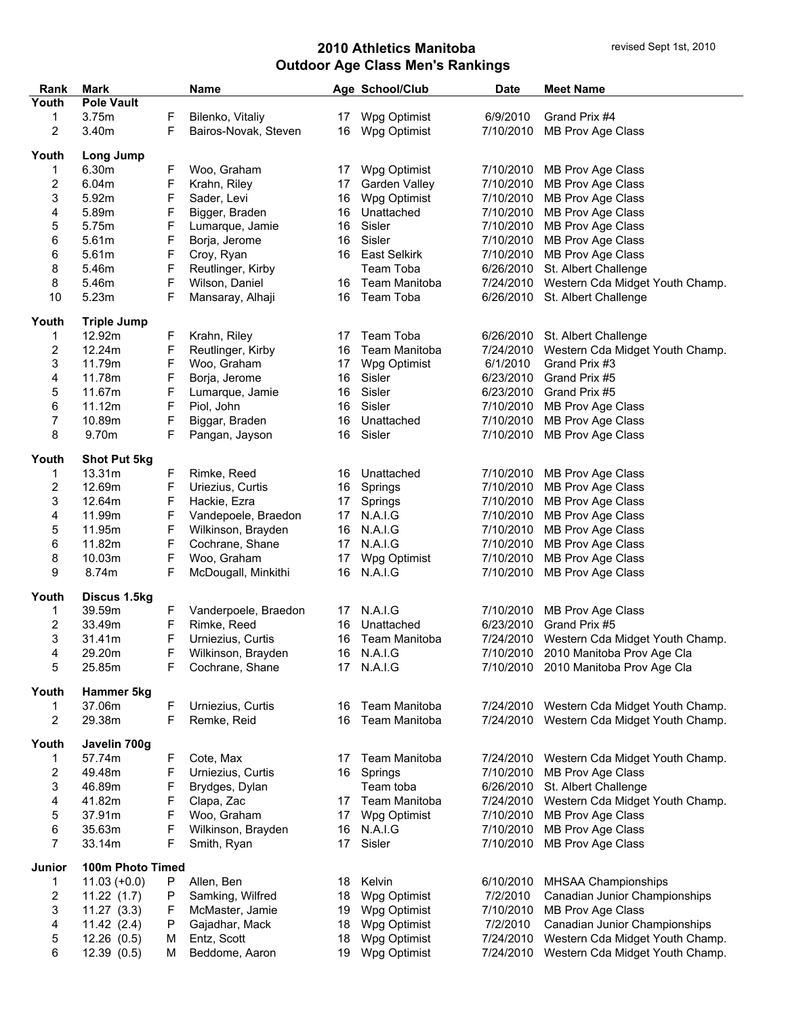| Rank                    | <b>Mark</b>         |    | Name                 |                 | Age School/Club      | <b>Date</b> | <b>Meet Name</b>                          |
|-------------------------|---------------------|----|----------------------|-----------------|----------------------|-------------|-------------------------------------------|
| Youth                   | <b>Pole Vault</b>   |    |                      |                 |                      |             |                                           |
| 1                       | 3.75m               | F  | Bilenko, Vitaliy     | 17              | Wpg Optimist         | 6/9/2010    | Grand Prix #4                             |
| 2                       | 3.40m               | F  | Bairos-Novak, Steven | 16              | Wpg Optimist         | 7/10/2010   | MB Prov Age Class                         |
|                         |                     |    |                      |                 |                      |             |                                           |
| Youth                   | Long Jump           |    |                      |                 |                      |             |                                           |
| 1                       | 6.30m               | F  | Woo, Graham          | 17              | Wpg Optimist         | 7/10/2010   | MB Prov Age Class                         |
| 2                       | 6.04m               | F  | Krahn, Riley         | 17              | Garden Valley        | 7/10/2010   | MB Prov Age Class                         |
| 3                       | 5.92m               | F  | Sader, Levi          | 16              | Wpg Optimist         | 7/10/2010   | MB Prov Age Class                         |
| 4                       | 5.89m               | F  | Bigger, Braden       | 16              | Unattached           | 7/10/2010   | MB Prov Age Class                         |
| 5                       | 5.75m               | F  | Lumarque, Jamie      | 16              | Sisler               | 7/10/2010   | MB Prov Age Class                         |
| 6                       | 5.61m               | F  | Borja, Jerome        | 16              | Sisler               | 7/10/2010   | MB Prov Age Class                         |
| 6                       | 5.61m               | F  | Croy, Ryan           |                 | 16 East Selkirk      | 7/10/2010   | MB Prov Age Class                         |
| 8                       | 5.46m               | F  | Reutlinger, Kirby    |                 | Team Toba            | 6/26/2010   | St. Albert Challenge                      |
|                         | 5.46m               |    |                      |                 | 16 Team Manitoba     |             |                                           |
| 8                       |                     | F  | Wilson, Daniel       |                 |                      |             | 7/24/2010 Western Cda Midget Youth Champ. |
| 10                      | 5.23m               | F  | Mansaray, Alhaji     | 16              | Team Toba            | 6/26/2010   | St. Albert Challenge                      |
| Youth                   | <b>Triple Jump</b>  |    |                      |                 |                      |             |                                           |
| 1                       | 12.92m              | F  | Krahn, Riley         | 17              | Team Toba            | 6/26/2010   | St. Albert Challenge                      |
| $\overline{\mathbf{c}}$ | 12.24m              | F  | Reutlinger, Kirby    | 16              | <b>Team Manitoba</b> | 7/24/2010   | Western Cda Midget Youth Champ.           |
| 3                       | 11.79m              | F  | Woo, Graham          | 17              | Wpg Optimist         | 6/1/2010    | Grand Prix #3                             |
|                         |                     |    |                      |                 |                      |             |                                           |
| 4                       | 11.78m              | F  | Borja, Jerome        | 16              | Sisler               | 6/23/2010   | Grand Prix #5                             |
| 5                       | 11.67m              | F  | Lumarque, Jamie      | 16              | Sisler               | 6/23/2010   | Grand Prix #5                             |
| 6                       | 11.12m              | F  | Piol, John           | 16              | Sisler               | 7/10/2010   | MB Prov Age Class                         |
| 7                       | 10.89m              | F  | Biggar, Braden       | 16              | Unattached           | 7/10/2010   | MB Prov Age Class                         |
| 8                       | 9.70m               | F  | Pangan, Jayson       | 16              | Sisler               | 7/10/2010   | MB Prov Age Class                         |
|                         |                     |    |                      |                 |                      |             |                                           |
| Youth                   | <b>Shot Put 5kg</b> |    |                      |                 |                      |             |                                           |
| 1                       | 13.31m              | F  | Rimke, Reed          |                 | 16 Unattached        |             | 7/10/2010 MB Prov Age Class               |
| 2                       | 12.69m              | F  | Uriezius, Curtis     | 16              | Springs              | 7/10/2010   | MB Prov Age Class                         |
| 3                       | 12.64m              | F  | Hackie, Ezra         | 17              | Springs              | 7/10/2010   | MB Prov Age Class                         |
| 4                       | 11.99m              | F  | Vandepoele, Braedon  | 17 <sub>1</sub> | N.A.I.G              | 7/10/2010   | MB Prov Age Class                         |
| 5                       | 11.95m              | F  | Wilkinson, Brayden   |                 | 16 N.A.I.G           | 7/10/2010   | MB Prov Age Class                         |
| 6                       | 11.82m              | F  | Cochrane, Shane      | 17              | N.A.I.G              | 7/10/2010   | MB Prov Age Class                         |
| 8                       | 10.03m              | F  | Woo, Graham          | 17 <sub>1</sub> | Wpg Optimist         | 7/10/2010   | MB Prov Age Class                         |
| 9                       | 8.74m               | F  | McDougall, Minkithi  |                 | 16 N.A.I.G           | 7/10/2010   | MB Prov Age Class                         |
|                         |                     |    |                      |                 |                      |             |                                           |
| Youth                   | Discus 1.5kg        |    |                      |                 |                      |             |                                           |
| 1                       | 39.59m              | F. | Vanderpoele, Braedon |                 | 17 N.A.I.G           | 7/10/2010   | MB Prov Age Class                         |
| 2                       | 33.49m              | F  | Rimke, Reed          | 16              | Unattached           | 6/23/2010   | Grand Prix #5                             |
| 3                       | 31.41m              | F  | Urniezius, Curtis    |                 | 16 Team Manitoba     |             | 7/24/2010 Western Cda Midget Youth Champ. |
| 4                       | 29.20m              |    | Wilkinson, Brayden   |                 | 16 N.A.I.G           |             | 7/10/2010 2010 Manitoba Prov Age Cla      |
| 5                       | 25.85m              |    | Cochrane, Shane      | 17              | N.A.I.G              |             | 7/10/2010 2010 Manitoba Prov Age Cla      |
|                         |                     |    |                      |                 |                      |             |                                           |
| Youth                   | Hammer 5kg          |    |                      |                 |                      |             |                                           |
| 1                       | 37.06m              | F  | Urniezius, Curtis    | 16              | Team Manitoba        |             | 7/24/2010 Western Cda Midget Youth Champ. |
| $\overline{c}$          | 29.38m              | F  | Remke, Reid          | 16              | Team Manitoba        |             | 7/24/2010 Western Cda Midget Youth Champ. |
| Youth                   | Javelin 700g        |    |                      |                 |                      |             |                                           |
| 1                       | 57.74m              | F  | Cote, Max            |                 | Team Manitoba        | 7/24/2010   | Western Cda Midget Youth Champ.           |
|                         | 49.48m              |    |                      | 17<br>16        |                      | 7/10/2010   | MB Prov Age Class                         |
| 2                       |                     | F  | Urniezius, Curtis    |                 | Springs              |             |                                           |
| 3                       | 46.89m              | F  | Brydges, Dylan       |                 | Team toba            | 6/26/2010   | St. Albert Challenge                      |
| 4                       | 41.82m              | F  | Clapa, Zac           | 17              | Team Manitoba        | 7/24/2010   | Western Cda Midget Youth Champ.           |
| 5                       | 37.91m              | F  | Woo, Graham          | 17              | Wpg Optimist         | 7/10/2010   | MB Prov Age Class                         |
| 6                       | 35.63m              | F  | Wilkinson, Brayden   | 16              | N.A.I.G              | 7/10/2010   | MB Prov Age Class                         |
| $\overline{7}$          | 33.14m              | F  | Smith, Ryan          | 17              | Sisler               | 7/10/2010   | MB Prov Age Class                         |
|                         |                     |    |                      |                 |                      |             |                                           |
| Junior                  | 100m Photo Timed    |    |                      |                 |                      |             |                                           |
| 1                       | $11.03 (+0.0)$      | P  | Allen, Ben           | 18              | Kelvin               | 6/10/2010   | <b>MHSAA Championships</b>                |
| $\overline{\mathbf{c}}$ | 11.22(1.7)          | P  | Samking, Wilfred     | 18              | Wpg Optimist         | 7/2/2010    | Canadian Junior Championships             |
| 3                       | 11.27(3.3)          | F  | McMaster, Jamie      | 19              | Wpg Optimist         | 7/10/2010   | MB Prov Age Class                         |
| 4                       | 11.42(2.4)          | P  | Gajadhar, Mack       | 18              | Wpg Optimist         | 7/2/2010    | Canadian Junior Championships             |
| 5                       | 12.26(0.5)          | м  | Entz, Scott          | 18              | Wpg Optimist         | 7/24/2010   | Western Cda Midget Youth Champ.           |
| 6                       | 12.39(0.5)          | M  | Beddome, Aaron       | 19              | Wpg Optimist         | 7/24/2010   | Western Cda Midget Youth Champ.           |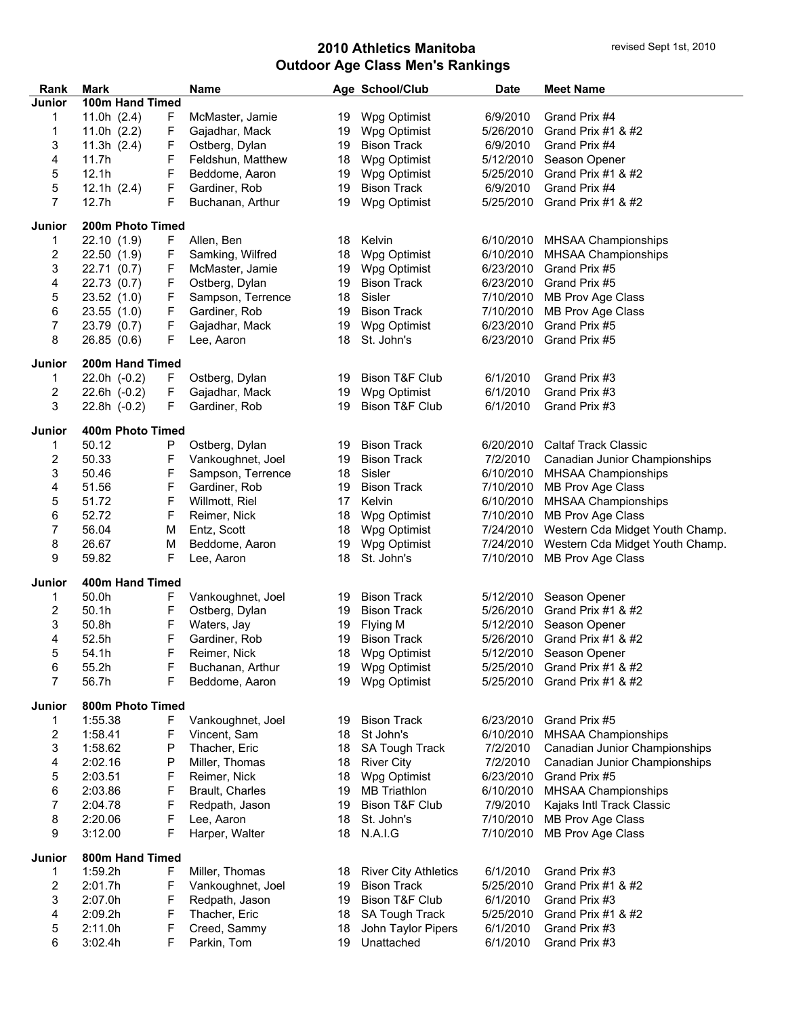| 100m Hand Timed<br>Junior<br>11.0h $(2.4)$<br>19 Wpg Optimist<br>6/9/2010<br>Grand Prix #4<br>1<br>F.<br>McMaster, Jamie<br>F<br>5/26/2010<br>1<br>11.0h $(2.2)$<br>Gajadhar, Mack<br>19 Wpg Optimist<br>Grand Prix #1 $&$ #2<br>F<br>3<br>6/9/2010<br>11.3h $(2.4)$<br>Ostberg, Dylan<br>19<br><b>Bison Track</b><br>Grand Prix #4<br>F<br>4<br>11.7h<br>Feldshun, Matthew<br>Wpg Optimist<br>5/12/2010<br>Season Opener<br>18<br>12.1h<br>F<br>5/25/2010<br>5<br>Beddome, Aaron<br>19<br>Wpg Optimist<br>Grand Prix #1 $&$ #2<br>5<br>F<br><b>Bison Track</b><br>12.1h $(2.4)$<br>Gardiner, Rob<br>19<br>6/9/2010<br>Grand Prix #4<br>7<br>F<br>12.7h<br>19<br>Wpg Optimist<br>5/25/2010<br>Grand Prix #1 $&$ #2<br>Buchanan, Arthur<br>200m Photo Timed<br>Junior<br>Kelvin<br>22.10 (1.9)<br>F<br>Allen, Ben<br>6/10/2010<br><b>MHSAA Championships</b><br>1<br>18<br>2<br>6/10/2010<br>22.50 (1.9)<br>F<br>Samking, Wilfred<br>18<br>Wpg Optimist<br><b>MHSAA Championships</b><br>3<br>F<br>22.71 (0.7)<br>McMaster, Jamie<br>Wpg Optimist<br>6/23/2010<br>Grand Prix #5<br>19<br>4<br>22.73 (0.7)<br>F<br>Ostberg, Dylan<br><b>Bison Track</b><br>6/23/2010<br>Grand Prix #5<br>19<br>23.52(1.0)<br>F<br>Sampson, Terrence<br>18<br>Sisler<br>7/10/2010<br>MB Prov Age Class<br>5<br>6<br>F<br>Gardiner, Rob<br><b>Bison Track</b><br>MB Prov Age Class<br>23.55(1.0)<br>19<br>7/10/2010<br>7<br>F<br>Wpg Optimist<br>6/23/2010<br>Grand Prix #5<br>23.79 (0.7)<br>Gajadhar, Mack<br>19<br>8<br>6/23/2010<br>26.85 (0.6)<br>F<br>Lee, Aaron<br>18<br>St. John's<br>Grand Prix #5<br>Junior<br>200m Hand Timed<br><b>Bison T&amp;F Club</b><br>6/1/2010<br>$22.0h$ $(-0.2)$<br>F<br>Ostberg, Dylan<br>Grand Prix #3<br>1<br>19<br>F<br>2<br>6/1/2010<br>Gajadhar, Mack<br>19<br>Wpg Optimist<br>Grand Prix #3<br>$22.6h$ (-0.2)<br>3<br>Bison T&F Club<br>6/1/2010<br>22.8h (-0.2)<br>F<br>Gardiner, Rob<br>19<br>Grand Prix #3<br>400m Photo Timed<br>Junior<br><b>Bison Track</b><br>50.12<br>Ostberg, Dylan<br>6/20/2010<br><b>Caltaf Track Classic</b><br>1<br>P<br>19<br>2<br>50.33<br>Vankoughnet, Joel<br>19<br><b>Bison Track</b><br>7/2/2010<br>Canadian Junior Championships<br>F<br>3<br>F<br>Sampson, Terrence<br>Sisler<br>6/10/2010<br><b>MHSAA Championships</b><br>50.46<br>18<br>51.56<br>F<br>MB Prov Age Class<br>4<br>Gardiner, Rob<br>19<br><b>Bison Track</b><br>7/10/2010<br>F<br>51.72<br>6/10/2010<br>5<br>Willmott, Riel<br>17 <sup>2</sup><br>Kelvin<br><b>MHSAA Championships</b><br>F<br>6<br>52.72<br>MB Prov Age Class<br>Reimer, Nick<br>Wpg Optimist<br>7/10/2010<br>18<br>7<br>Western Cda Midget Youth Champ.<br>56.04<br>M<br>Entz, Scott<br>18<br>Wpg Optimist<br>7/24/2010<br>8<br>26.67<br>Beddome, Aaron<br>19<br>Wpg Optimist<br>7/24/2010<br>Western Cda Midget Youth Champ.<br>M<br>9<br>F<br>59.82<br>Lee, Aaron<br>18<br>St. John's<br>7/10/2010<br>MB Prov Age Class<br>400m Hand Timed<br>Junior<br><b>Bison Track</b><br>50.0h<br>Vankoughnet, Joel<br>5/12/2010<br>Season Opener<br>F.<br>1<br>19<br>2<br>F<br><b>Bison Track</b><br>Grand Prix #1 & #2<br>50.1h<br>Ostberg, Dylan<br>19<br>5/26/2010<br>3<br>F<br>50.8h<br>Waters, Jay<br>19<br>Flying M<br>5/12/2010<br>Season Opener<br>52.5h<br>F<br>4<br>Gardiner, Rob<br>19<br><b>Bison Track</b><br>5/26/2010 Grand Prix #1 & #2<br>5<br>F<br>18 Wpg Optimist<br>54.1h<br>Reimer, Nick<br>5/12/2010 Season Opener<br>6<br>55.2h<br>Buchanan, Arthur<br>19 Wpg Optimist<br>5/25/2010 Grand Prix #1 & #2<br>F<br>7<br>56.7h<br>F<br>Beddome, Aaron<br>19<br>Wpg Optimist<br>5/25/2010 Grand Prix #1 & #2<br>800m Photo Timed<br>Junior<br>1:55.38<br>Vankoughnet, Joel<br><b>Bison Track</b><br>6/23/2010<br>Grand Prix #5<br>1<br>F.<br>19<br>2<br>St John's<br>1:58.41<br>F<br>Vincent, Sam<br>18<br>6/10/2010<br><b>MHSAA Championships</b><br>3<br>7/2/2010<br>1:58.62<br>P<br>Thacher, Eric<br>SA Tough Track<br>Canadian Junior Championships<br>18<br>4<br>2:02.16<br>P<br>Miller, Thomas<br>18 River City<br>7/2/2010<br>Canadian Junior Championships<br>Wpg Optimist<br>5<br>2:03.51<br>F<br>Reimer, Nick<br>18<br>6/23/2010<br>Grand Prix #5<br><b>MB Triathlon</b><br>6<br>2:03.86<br>F<br>6/10/2010<br><b>MHSAA Championships</b><br>Brault, Charles<br>19<br>7<br>2:04.78<br>F<br>Redpath, Jason<br>19<br><b>Bison T&amp;F Club</b><br>7/9/2010<br>Kajaks Intl Track Classic<br>8<br>2:20.06<br>F<br>Lee, Aaron<br>18<br>St. John's<br>7/10/2010<br>MB Prov Age Class<br>F<br>9<br>N.A.I.G<br>3:12.00<br>Harper, Walter<br>18<br>7/10/2010<br>MB Prov Age Class<br>800m Hand Timed<br>Junior<br>1:59.2h<br>F<br>Miller, Thomas<br>18 River City Athletics<br>6/1/2010<br>Grand Prix #3<br>1<br>2<br><b>Bison Track</b><br>2:01.7h<br>F<br>Vankoughnet, Joel<br>5/25/2010<br>Grand Prix #1 & #2<br>19<br>3<br><b>Bison T&amp;F Club</b><br>6/1/2010<br>2:07.0h<br>F<br>Redpath, Jason<br>19<br>Grand Prix #3<br>2:09.2h<br>F<br>Thacher, Eric<br><b>SA Tough Track</b><br>5/25/2010<br>Grand Prix #1 & #2<br>4<br>18<br>2:11.0h<br>F<br>Creed, Sammy<br>John Taylor Pipers<br>6/1/2010<br>Grand Prix #3<br>5<br>18<br>6<br>F<br>Parkin, Tom<br>Unattached<br>6/1/2010<br>3:02.4h<br>19<br>Grand Prix #3 | Rank | <b>Mark</b> | Name | Age School/Club | <b>Date</b> | <b>Meet Name</b> |
|----------------------------------------------------------------------------------------------------------------------------------------------------------------------------------------------------------------------------------------------------------------------------------------------------------------------------------------------------------------------------------------------------------------------------------------------------------------------------------------------------------------------------------------------------------------------------------------------------------------------------------------------------------------------------------------------------------------------------------------------------------------------------------------------------------------------------------------------------------------------------------------------------------------------------------------------------------------------------------------------------------------------------------------------------------------------------------------------------------------------------------------------------------------------------------------------------------------------------------------------------------------------------------------------------------------------------------------------------------------------------------------------------------------------------------------------------------------------------------------------------------------------------------------------------------------------------------------------------------------------------------------------------------------------------------------------------------------------------------------------------------------------------------------------------------------------------------------------------------------------------------------------------------------------------------------------------------------------------------------------------------------------------------------------------------------------------------------------------------------------------------------------------------------------------------------------------------------------------------------------------------------------------------------------------------------------------------------------------------------------------------------------------------------------------------------------------------------------------------------------------------------------------------------------------------------------------------------------------------------------------------------------------------------------------------------------------------------------------------------------------------------------------------------------------------------------------------------------------------------------------------------------------------------------------------------------------------------------------------------------------------------------------------------------------------------------------------------------------------------------------------------------------------------------------------------------------------------------------------------------------------------------------------------------------------------------------------------------------------------------------------------------------------------------------------------------------------------------------------------------------------------------------------------------------------------------------------------------------------------------------------------------------------------------------------------------------------------------------------------------------------------------------------------------------------------------------------------------------------------------------------------------------------------------------------------------------------------------------------------------------------------------------------------------------------------------------------------------------------------------------------------------------------------------------------------------------------------------------------------------------------------------------------------------------------------------------------------------------------------------------------------------------------------------------------------------------------------------------------------------------------------------------------------------------------------------------------------------------------------------------------------------------------------------------------------------------------------------------------------------------------------------------------------------------------------------------------------------------------------------------------------------------------------------------------------------------------------------------------------------------------------------------------------------------------------------------------------------------------------------------------------------------------------------------------------------------------------------------------|------|-------------|------|-----------------|-------------|------------------|
|                                                                                                                                                                                                                                                                                                                                                                                                                                                                                                                                                                                                                                                                                                                                                                                                                                                                                                                                                                                                                                                                                                                                                                                                                                                                                                                                                                                                                                                                                                                                                                                                                                                                                                                                                                                                                                                                                                                                                                                                                                                                                                                                                                                                                                                                                                                                                                                                                                                                                                                                                                                                                                                                                                                                                                                                                                                                                                                                                                                                                                                                                                                                                                                                                                                                                                                                                                                                                                                                                                                                                                                                                                                                                                                                                                                                                                                                                                                                                                                                                                                                                                                                                                                                                                                                                                                                                                                                                                                                                                                                                                                                                                                                                                                                                                                                                                                                                                                                                                                                                                                                                                                                                                                                                                  |      |             |      |                 |             |                  |
|                                                                                                                                                                                                                                                                                                                                                                                                                                                                                                                                                                                                                                                                                                                                                                                                                                                                                                                                                                                                                                                                                                                                                                                                                                                                                                                                                                                                                                                                                                                                                                                                                                                                                                                                                                                                                                                                                                                                                                                                                                                                                                                                                                                                                                                                                                                                                                                                                                                                                                                                                                                                                                                                                                                                                                                                                                                                                                                                                                                                                                                                                                                                                                                                                                                                                                                                                                                                                                                                                                                                                                                                                                                                                                                                                                                                                                                                                                                                                                                                                                                                                                                                                                                                                                                                                                                                                                                                                                                                                                                                                                                                                                                                                                                                                                                                                                                                                                                                                                                                                                                                                                                                                                                                                                  |      |             |      |                 |             |                  |
|                                                                                                                                                                                                                                                                                                                                                                                                                                                                                                                                                                                                                                                                                                                                                                                                                                                                                                                                                                                                                                                                                                                                                                                                                                                                                                                                                                                                                                                                                                                                                                                                                                                                                                                                                                                                                                                                                                                                                                                                                                                                                                                                                                                                                                                                                                                                                                                                                                                                                                                                                                                                                                                                                                                                                                                                                                                                                                                                                                                                                                                                                                                                                                                                                                                                                                                                                                                                                                                                                                                                                                                                                                                                                                                                                                                                                                                                                                                                                                                                                                                                                                                                                                                                                                                                                                                                                                                                                                                                                                                                                                                                                                                                                                                                                                                                                                                                                                                                                                                                                                                                                                                                                                                                                                  |      |             |      |                 |             |                  |
|                                                                                                                                                                                                                                                                                                                                                                                                                                                                                                                                                                                                                                                                                                                                                                                                                                                                                                                                                                                                                                                                                                                                                                                                                                                                                                                                                                                                                                                                                                                                                                                                                                                                                                                                                                                                                                                                                                                                                                                                                                                                                                                                                                                                                                                                                                                                                                                                                                                                                                                                                                                                                                                                                                                                                                                                                                                                                                                                                                                                                                                                                                                                                                                                                                                                                                                                                                                                                                                                                                                                                                                                                                                                                                                                                                                                                                                                                                                                                                                                                                                                                                                                                                                                                                                                                                                                                                                                                                                                                                                                                                                                                                                                                                                                                                                                                                                                                                                                                                                                                                                                                                                                                                                                                                  |      |             |      |                 |             |                  |
|                                                                                                                                                                                                                                                                                                                                                                                                                                                                                                                                                                                                                                                                                                                                                                                                                                                                                                                                                                                                                                                                                                                                                                                                                                                                                                                                                                                                                                                                                                                                                                                                                                                                                                                                                                                                                                                                                                                                                                                                                                                                                                                                                                                                                                                                                                                                                                                                                                                                                                                                                                                                                                                                                                                                                                                                                                                                                                                                                                                                                                                                                                                                                                                                                                                                                                                                                                                                                                                                                                                                                                                                                                                                                                                                                                                                                                                                                                                                                                                                                                                                                                                                                                                                                                                                                                                                                                                                                                                                                                                                                                                                                                                                                                                                                                                                                                                                                                                                                                                                                                                                                                                                                                                                                                  |      |             |      |                 |             |                  |
|                                                                                                                                                                                                                                                                                                                                                                                                                                                                                                                                                                                                                                                                                                                                                                                                                                                                                                                                                                                                                                                                                                                                                                                                                                                                                                                                                                                                                                                                                                                                                                                                                                                                                                                                                                                                                                                                                                                                                                                                                                                                                                                                                                                                                                                                                                                                                                                                                                                                                                                                                                                                                                                                                                                                                                                                                                                                                                                                                                                                                                                                                                                                                                                                                                                                                                                                                                                                                                                                                                                                                                                                                                                                                                                                                                                                                                                                                                                                                                                                                                                                                                                                                                                                                                                                                                                                                                                                                                                                                                                                                                                                                                                                                                                                                                                                                                                                                                                                                                                                                                                                                                                                                                                                                                  |      |             |      |                 |             |                  |
|                                                                                                                                                                                                                                                                                                                                                                                                                                                                                                                                                                                                                                                                                                                                                                                                                                                                                                                                                                                                                                                                                                                                                                                                                                                                                                                                                                                                                                                                                                                                                                                                                                                                                                                                                                                                                                                                                                                                                                                                                                                                                                                                                                                                                                                                                                                                                                                                                                                                                                                                                                                                                                                                                                                                                                                                                                                                                                                                                                                                                                                                                                                                                                                                                                                                                                                                                                                                                                                                                                                                                                                                                                                                                                                                                                                                                                                                                                                                                                                                                                                                                                                                                                                                                                                                                                                                                                                                                                                                                                                                                                                                                                                                                                                                                                                                                                                                                                                                                                                                                                                                                                                                                                                                                                  |      |             |      |                 |             |                  |
|                                                                                                                                                                                                                                                                                                                                                                                                                                                                                                                                                                                                                                                                                                                                                                                                                                                                                                                                                                                                                                                                                                                                                                                                                                                                                                                                                                                                                                                                                                                                                                                                                                                                                                                                                                                                                                                                                                                                                                                                                                                                                                                                                                                                                                                                                                                                                                                                                                                                                                                                                                                                                                                                                                                                                                                                                                                                                                                                                                                                                                                                                                                                                                                                                                                                                                                                                                                                                                                                                                                                                                                                                                                                                                                                                                                                                                                                                                                                                                                                                                                                                                                                                                                                                                                                                                                                                                                                                                                                                                                                                                                                                                                                                                                                                                                                                                                                                                                                                                                                                                                                                                                                                                                                                                  |      |             |      |                 |             |                  |
|                                                                                                                                                                                                                                                                                                                                                                                                                                                                                                                                                                                                                                                                                                                                                                                                                                                                                                                                                                                                                                                                                                                                                                                                                                                                                                                                                                                                                                                                                                                                                                                                                                                                                                                                                                                                                                                                                                                                                                                                                                                                                                                                                                                                                                                                                                                                                                                                                                                                                                                                                                                                                                                                                                                                                                                                                                                                                                                                                                                                                                                                                                                                                                                                                                                                                                                                                                                                                                                                                                                                                                                                                                                                                                                                                                                                                                                                                                                                                                                                                                                                                                                                                                                                                                                                                                                                                                                                                                                                                                                                                                                                                                                                                                                                                                                                                                                                                                                                                                                                                                                                                                                                                                                                                                  |      |             |      |                 |             |                  |
|                                                                                                                                                                                                                                                                                                                                                                                                                                                                                                                                                                                                                                                                                                                                                                                                                                                                                                                                                                                                                                                                                                                                                                                                                                                                                                                                                                                                                                                                                                                                                                                                                                                                                                                                                                                                                                                                                                                                                                                                                                                                                                                                                                                                                                                                                                                                                                                                                                                                                                                                                                                                                                                                                                                                                                                                                                                                                                                                                                                                                                                                                                                                                                                                                                                                                                                                                                                                                                                                                                                                                                                                                                                                                                                                                                                                                                                                                                                                                                                                                                                                                                                                                                                                                                                                                                                                                                                                                                                                                                                                                                                                                                                                                                                                                                                                                                                                                                                                                                                                                                                                                                                                                                                                                                  |      |             |      |                 |             |                  |
|                                                                                                                                                                                                                                                                                                                                                                                                                                                                                                                                                                                                                                                                                                                                                                                                                                                                                                                                                                                                                                                                                                                                                                                                                                                                                                                                                                                                                                                                                                                                                                                                                                                                                                                                                                                                                                                                                                                                                                                                                                                                                                                                                                                                                                                                                                                                                                                                                                                                                                                                                                                                                                                                                                                                                                                                                                                                                                                                                                                                                                                                                                                                                                                                                                                                                                                                                                                                                                                                                                                                                                                                                                                                                                                                                                                                                                                                                                                                                                                                                                                                                                                                                                                                                                                                                                                                                                                                                                                                                                                                                                                                                                                                                                                                                                                                                                                                                                                                                                                                                                                                                                                                                                                                                                  |      |             |      |                 |             |                  |
|                                                                                                                                                                                                                                                                                                                                                                                                                                                                                                                                                                                                                                                                                                                                                                                                                                                                                                                                                                                                                                                                                                                                                                                                                                                                                                                                                                                                                                                                                                                                                                                                                                                                                                                                                                                                                                                                                                                                                                                                                                                                                                                                                                                                                                                                                                                                                                                                                                                                                                                                                                                                                                                                                                                                                                                                                                                                                                                                                                                                                                                                                                                                                                                                                                                                                                                                                                                                                                                                                                                                                                                                                                                                                                                                                                                                                                                                                                                                                                                                                                                                                                                                                                                                                                                                                                                                                                                                                                                                                                                                                                                                                                                                                                                                                                                                                                                                                                                                                                                                                                                                                                                                                                                                                                  |      |             |      |                 |             |                  |
|                                                                                                                                                                                                                                                                                                                                                                                                                                                                                                                                                                                                                                                                                                                                                                                                                                                                                                                                                                                                                                                                                                                                                                                                                                                                                                                                                                                                                                                                                                                                                                                                                                                                                                                                                                                                                                                                                                                                                                                                                                                                                                                                                                                                                                                                                                                                                                                                                                                                                                                                                                                                                                                                                                                                                                                                                                                                                                                                                                                                                                                                                                                                                                                                                                                                                                                                                                                                                                                                                                                                                                                                                                                                                                                                                                                                                                                                                                                                                                                                                                                                                                                                                                                                                                                                                                                                                                                                                                                                                                                                                                                                                                                                                                                                                                                                                                                                                                                                                                                                                                                                                                                                                                                                                                  |      |             |      |                 |             |                  |
|                                                                                                                                                                                                                                                                                                                                                                                                                                                                                                                                                                                                                                                                                                                                                                                                                                                                                                                                                                                                                                                                                                                                                                                                                                                                                                                                                                                                                                                                                                                                                                                                                                                                                                                                                                                                                                                                                                                                                                                                                                                                                                                                                                                                                                                                                                                                                                                                                                                                                                                                                                                                                                                                                                                                                                                                                                                                                                                                                                                                                                                                                                                                                                                                                                                                                                                                                                                                                                                                                                                                                                                                                                                                                                                                                                                                                                                                                                                                                                                                                                                                                                                                                                                                                                                                                                                                                                                                                                                                                                                                                                                                                                                                                                                                                                                                                                                                                                                                                                                                                                                                                                                                                                                                                                  |      |             |      |                 |             |                  |
|                                                                                                                                                                                                                                                                                                                                                                                                                                                                                                                                                                                                                                                                                                                                                                                                                                                                                                                                                                                                                                                                                                                                                                                                                                                                                                                                                                                                                                                                                                                                                                                                                                                                                                                                                                                                                                                                                                                                                                                                                                                                                                                                                                                                                                                                                                                                                                                                                                                                                                                                                                                                                                                                                                                                                                                                                                                                                                                                                                                                                                                                                                                                                                                                                                                                                                                                                                                                                                                                                                                                                                                                                                                                                                                                                                                                                                                                                                                                                                                                                                                                                                                                                                                                                                                                                                                                                                                                                                                                                                                                                                                                                                                                                                                                                                                                                                                                                                                                                                                                                                                                                                                                                                                                                                  |      |             |      |                 |             |                  |
|                                                                                                                                                                                                                                                                                                                                                                                                                                                                                                                                                                                                                                                                                                                                                                                                                                                                                                                                                                                                                                                                                                                                                                                                                                                                                                                                                                                                                                                                                                                                                                                                                                                                                                                                                                                                                                                                                                                                                                                                                                                                                                                                                                                                                                                                                                                                                                                                                                                                                                                                                                                                                                                                                                                                                                                                                                                                                                                                                                                                                                                                                                                                                                                                                                                                                                                                                                                                                                                                                                                                                                                                                                                                                                                                                                                                                                                                                                                                                                                                                                                                                                                                                                                                                                                                                                                                                                                                                                                                                                                                                                                                                                                                                                                                                                                                                                                                                                                                                                                                                                                                                                                                                                                                                                  |      |             |      |                 |             |                  |
|                                                                                                                                                                                                                                                                                                                                                                                                                                                                                                                                                                                                                                                                                                                                                                                                                                                                                                                                                                                                                                                                                                                                                                                                                                                                                                                                                                                                                                                                                                                                                                                                                                                                                                                                                                                                                                                                                                                                                                                                                                                                                                                                                                                                                                                                                                                                                                                                                                                                                                                                                                                                                                                                                                                                                                                                                                                                                                                                                                                                                                                                                                                                                                                                                                                                                                                                                                                                                                                                                                                                                                                                                                                                                                                                                                                                                                                                                                                                                                                                                                                                                                                                                                                                                                                                                                                                                                                                                                                                                                                                                                                                                                                                                                                                                                                                                                                                                                                                                                                                                                                                                                                                                                                                                                  |      |             |      |                 |             |                  |
|                                                                                                                                                                                                                                                                                                                                                                                                                                                                                                                                                                                                                                                                                                                                                                                                                                                                                                                                                                                                                                                                                                                                                                                                                                                                                                                                                                                                                                                                                                                                                                                                                                                                                                                                                                                                                                                                                                                                                                                                                                                                                                                                                                                                                                                                                                                                                                                                                                                                                                                                                                                                                                                                                                                                                                                                                                                                                                                                                                                                                                                                                                                                                                                                                                                                                                                                                                                                                                                                                                                                                                                                                                                                                                                                                                                                                                                                                                                                                                                                                                                                                                                                                                                                                                                                                                                                                                                                                                                                                                                                                                                                                                                                                                                                                                                                                                                                                                                                                                                                                                                                                                                                                                                                                                  |      |             |      |                 |             |                  |
|                                                                                                                                                                                                                                                                                                                                                                                                                                                                                                                                                                                                                                                                                                                                                                                                                                                                                                                                                                                                                                                                                                                                                                                                                                                                                                                                                                                                                                                                                                                                                                                                                                                                                                                                                                                                                                                                                                                                                                                                                                                                                                                                                                                                                                                                                                                                                                                                                                                                                                                                                                                                                                                                                                                                                                                                                                                                                                                                                                                                                                                                                                                                                                                                                                                                                                                                                                                                                                                                                                                                                                                                                                                                                                                                                                                                                                                                                                                                                                                                                                                                                                                                                                                                                                                                                                                                                                                                                                                                                                                                                                                                                                                                                                                                                                                                                                                                                                                                                                                                                                                                                                                                                                                                                                  |      |             |      |                 |             |                  |
|                                                                                                                                                                                                                                                                                                                                                                                                                                                                                                                                                                                                                                                                                                                                                                                                                                                                                                                                                                                                                                                                                                                                                                                                                                                                                                                                                                                                                                                                                                                                                                                                                                                                                                                                                                                                                                                                                                                                                                                                                                                                                                                                                                                                                                                                                                                                                                                                                                                                                                                                                                                                                                                                                                                                                                                                                                                                                                                                                                                                                                                                                                                                                                                                                                                                                                                                                                                                                                                                                                                                                                                                                                                                                                                                                                                                                                                                                                                                                                                                                                                                                                                                                                                                                                                                                                                                                                                                                                                                                                                                                                                                                                                                                                                                                                                                                                                                                                                                                                                                                                                                                                                                                                                                                                  |      |             |      |                 |             |                  |
|                                                                                                                                                                                                                                                                                                                                                                                                                                                                                                                                                                                                                                                                                                                                                                                                                                                                                                                                                                                                                                                                                                                                                                                                                                                                                                                                                                                                                                                                                                                                                                                                                                                                                                                                                                                                                                                                                                                                                                                                                                                                                                                                                                                                                                                                                                                                                                                                                                                                                                                                                                                                                                                                                                                                                                                                                                                                                                                                                                                                                                                                                                                                                                                                                                                                                                                                                                                                                                                                                                                                                                                                                                                                                                                                                                                                                                                                                                                                                                                                                                                                                                                                                                                                                                                                                                                                                                                                                                                                                                                                                                                                                                                                                                                                                                                                                                                                                                                                                                                                                                                                                                                                                                                                                                  |      |             |      |                 |             |                  |
|                                                                                                                                                                                                                                                                                                                                                                                                                                                                                                                                                                                                                                                                                                                                                                                                                                                                                                                                                                                                                                                                                                                                                                                                                                                                                                                                                                                                                                                                                                                                                                                                                                                                                                                                                                                                                                                                                                                                                                                                                                                                                                                                                                                                                                                                                                                                                                                                                                                                                                                                                                                                                                                                                                                                                                                                                                                                                                                                                                                                                                                                                                                                                                                                                                                                                                                                                                                                                                                                                                                                                                                                                                                                                                                                                                                                                                                                                                                                                                                                                                                                                                                                                                                                                                                                                                                                                                                                                                                                                                                                                                                                                                                                                                                                                                                                                                                                                                                                                                                                                                                                                                                                                                                                                                  |      |             |      |                 |             |                  |
|                                                                                                                                                                                                                                                                                                                                                                                                                                                                                                                                                                                                                                                                                                                                                                                                                                                                                                                                                                                                                                                                                                                                                                                                                                                                                                                                                                                                                                                                                                                                                                                                                                                                                                                                                                                                                                                                                                                                                                                                                                                                                                                                                                                                                                                                                                                                                                                                                                                                                                                                                                                                                                                                                                                                                                                                                                                                                                                                                                                                                                                                                                                                                                                                                                                                                                                                                                                                                                                                                                                                                                                                                                                                                                                                                                                                                                                                                                                                                                                                                                                                                                                                                                                                                                                                                                                                                                                                                                                                                                                                                                                                                                                                                                                                                                                                                                                                                                                                                                                                                                                                                                                                                                                                                                  |      |             |      |                 |             |                  |
|                                                                                                                                                                                                                                                                                                                                                                                                                                                                                                                                                                                                                                                                                                                                                                                                                                                                                                                                                                                                                                                                                                                                                                                                                                                                                                                                                                                                                                                                                                                                                                                                                                                                                                                                                                                                                                                                                                                                                                                                                                                                                                                                                                                                                                                                                                                                                                                                                                                                                                                                                                                                                                                                                                                                                                                                                                                                                                                                                                                                                                                                                                                                                                                                                                                                                                                                                                                                                                                                                                                                                                                                                                                                                                                                                                                                                                                                                                                                                                                                                                                                                                                                                                                                                                                                                                                                                                                                                                                                                                                                                                                                                                                                                                                                                                                                                                                                                                                                                                                                                                                                                                                                                                                                                                  |      |             |      |                 |             |                  |
|                                                                                                                                                                                                                                                                                                                                                                                                                                                                                                                                                                                                                                                                                                                                                                                                                                                                                                                                                                                                                                                                                                                                                                                                                                                                                                                                                                                                                                                                                                                                                                                                                                                                                                                                                                                                                                                                                                                                                                                                                                                                                                                                                                                                                                                                                                                                                                                                                                                                                                                                                                                                                                                                                                                                                                                                                                                                                                                                                                                                                                                                                                                                                                                                                                                                                                                                                                                                                                                                                                                                                                                                                                                                                                                                                                                                                                                                                                                                                                                                                                                                                                                                                                                                                                                                                                                                                                                                                                                                                                                                                                                                                                                                                                                                                                                                                                                                                                                                                                                                                                                                                                                                                                                                                                  |      |             |      |                 |             |                  |
|                                                                                                                                                                                                                                                                                                                                                                                                                                                                                                                                                                                                                                                                                                                                                                                                                                                                                                                                                                                                                                                                                                                                                                                                                                                                                                                                                                                                                                                                                                                                                                                                                                                                                                                                                                                                                                                                                                                                                                                                                                                                                                                                                                                                                                                                                                                                                                                                                                                                                                                                                                                                                                                                                                                                                                                                                                                                                                                                                                                                                                                                                                                                                                                                                                                                                                                                                                                                                                                                                                                                                                                                                                                                                                                                                                                                                                                                                                                                                                                                                                                                                                                                                                                                                                                                                                                                                                                                                                                                                                                                                                                                                                                                                                                                                                                                                                                                                                                                                                                                                                                                                                                                                                                                                                  |      |             |      |                 |             |                  |
|                                                                                                                                                                                                                                                                                                                                                                                                                                                                                                                                                                                                                                                                                                                                                                                                                                                                                                                                                                                                                                                                                                                                                                                                                                                                                                                                                                                                                                                                                                                                                                                                                                                                                                                                                                                                                                                                                                                                                                                                                                                                                                                                                                                                                                                                                                                                                                                                                                                                                                                                                                                                                                                                                                                                                                                                                                                                                                                                                                                                                                                                                                                                                                                                                                                                                                                                                                                                                                                                                                                                                                                                                                                                                                                                                                                                                                                                                                                                                                                                                                                                                                                                                                                                                                                                                                                                                                                                                                                                                                                                                                                                                                                                                                                                                                                                                                                                                                                                                                                                                                                                                                                                                                                                                                  |      |             |      |                 |             |                  |
|                                                                                                                                                                                                                                                                                                                                                                                                                                                                                                                                                                                                                                                                                                                                                                                                                                                                                                                                                                                                                                                                                                                                                                                                                                                                                                                                                                                                                                                                                                                                                                                                                                                                                                                                                                                                                                                                                                                                                                                                                                                                                                                                                                                                                                                                                                                                                                                                                                                                                                                                                                                                                                                                                                                                                                                                                                                                                                                                                                                                                                                                                                                                                                                                                                                                                                                                                                                                                                                                                                                                                                                                                                                                                                                                                                                                                                                                                                                                                                                                                                                                                                                                                                                                                                                                                                                                                                                                                                                                                                                                                                                                                                                                                                                                                                                                                                                                                                                                                                                                                                                                                                                                                                                                                                  |      |             |      |                 |             |                  |
|                                                                                                                                                                                                                                                                                                                                                                                                                                                                                                                                                                                                                                                                                                                                                                                                                                                                                                                                                                                                                                                                                                                                                                                                                                                                                                                                                                                                                                                                                                                                                                                                                                                                                                                                                                                                                                                                                                                                                                                                                                                                                                                                                                                                                                                                                                                                                                                                                                                                                                                                                                                                                                                                                                                                                                                                                                                                                                                                                                                                                                                                                                                                                                                                                                                                                                                                                                                                                                                                                                                                                                                                                                                                                                                                                                                                                                                                                                                                                                                                                                                                                                                                                                                                                                                                                                                                                                                                                                                                                                                                                                                                                                                                                                                                                                                                                                                                                                                                                                                                                                                                                                                                                                                                                                  |      |             |      |                 |             |                  |
|                                                                                                                                                                                                                                                                                                                                                                                                                                                                                                                                                                                                                                                                                                                                                                                                                                                                                                                                                                                                                                                                                                                                                                                                                                                                                                                                                                                                                                                                                                                                                                                                                                                                                                                                                                                                                                                                                                                                                                                                                                                                                                                                                                                                                                                                                                                                                                                                                                                                                                                                                                                                                                                                                                                                                                                                                                                                                                                                                                                                                                                                                                                                                                                                                                                                                                                                                                                                                                                                                                                                                                                                                                                                                                                                                                                                                                                                                                                                                                                                                                                                                                                                                                                                                                                                                                                                                                                                                                                                                                                                                                                                                                                                                                                                                                                                                                                                                                                                                                                                                                                                                                                                                                                                                                  |      |             |      |                 |             |                  |
|                                                                                                                                                                                                                                                                                                                                                                                                                                                                                                                                                                                                                                                                                                                                                                                                                                                                                                                                                                                                                                                                                                                                                                                                                                                                                                                                                                                                                                                                                                                                                                                                                                                                                                                                                                                                                                                                                                                                                                                                                                                                                                                                                                                                                                                                                                                                                                                                                                                                                                                                                                                                                                                                                                                                                                                                                                                                                                                                                                                                                                                                                                                                                                                                                                                                                                                                                                                                                                                                                                                                                                                                                                                                                                                                                                                                                                                                                                                                                                                                                                                                                                                                                                                                                                                                                                                                                                                                                                                                                                                                                                                                                                                                                                                                                                                                                                                                                                                                                                                                                                                                                                                                                                                                                                  |      |             |      |                 |             |                  |
|                                                                                                                                                                                                                                                                                                                                                                                                                                                                                                                                                                                                                                                                                                                                                                                                                                                                                                                                                                                                                                                                                                                                                                                                                                                                                                                                                                                                                                                                                                                                                                                                                                                                                                                                                                                                                                                                                                                                                                                                                                                                                                                                                                                                                                                                                                                                                                                                                                                                                                                                                                                                                                                                                                                                                                                                                                                                                                                                                                                                                                                                                                                                                                                                                                                                                                                                                                                                                                                                                                                                                                                                                                                                                                                                                                                                                                                                                                                                                                                                                                                                                                                                                                                                                                                                                                                                                                                                                                                                                                                                                                                                                                                                                                                                                                                                                                                                                                                                                                                                                                                                                                                                                                                                                                  |      |             |      |                 |             |                  |
|                                                                                                                                                                                                                                                                                                                                                                                                                                                                                                                                                                                                                                                                                                                                                                                                                                                                                                                                                                                                                                                                                                                                                                                                                                                                                                                                                                                                                                                                                                                                                                                                                                                                                                                                                                                                                                                                                                                                                                                                                                                                                                                                                                                                                                                                                                                                                                                                                                                                                                                                                                                                                                                                                                                                                                                                                                                                                                                                                                                                                                                                                                                                                                                                                                                                                                                                                                                                                                                                                                                                                                                                                                                                                                                                                                                                                                                                                                                                                                                                                                                                                                                                                                                                                                                                                                                                                                                                                                                                                                                                                                                                                                                                                                                                                                                                                                                                                                                                                                                                                                                                                                                                                                                                                                  |      |             |      |                 |             |                  |
|                                                                                                                                                                                                                                                                                                                                                                                                                                                                                                                                                                                                                                                                                                                                                                                                                                                                                                                                                                                                                                                                                                                                                                                                                                                                                                                                                                                                                                                                                                                                                                                                                                                                                                                                                                                                                                                                                                                                                                                                                                                                                                                                                                                                                                                                                                                                                                                                                                                                                                                                                                                                                                                                                                                                                                                                                                                                                                                                                                                                                                                                                                                                                                                                                                                                                                                                                                                                                                                                                                                                                                                                                                                                                                                                                                                                                                                                                                                                                                                                                                                                                                                                                                                                                                                                                                                                                                                                                                                                                                                                                                                                                                                                                                                                                                                                                                                                                                                                                                                                                                                                                                                                                                                                                                  |      |             |      |                 |             |                  |
|                                                                                                                                                                                                                                                                                                                                                                                                                                                                                                                                                                                                                                                                                                                                                                                                                                                                                                                                                                                                                                                                                                                                                                                                                                                                                                                                                                                                                                                                                                                                                                                                                                                                                                                                                                                                                                                                                                                                                                                                                                                                                                                                                                                                                                                                                                                                                                                                                                                                                                                                                                                                                                                                                                                                                                                                                                                                                                                                                                                                                                                                                                                                                                                                                                                                                                                                                                                                                                                                                                                                                                                                                                                                                                                                                                                                                                                                                                                                                                                                                                                                                                                                                                                                                                                                                                                                                                                                                                                                                                                                                                                                                                                                                                                                                                                                                                                                                                                                                                                                                                                                                                                                                                                                                                  |      |             |      |                 |             |                  |
|                                                                                                                                                                                                                                                                                                                                                                                                                                                                                                                                                                                                                                                                                                                                                                                                                                                                                                                                                                                                                                                                                                                                                                                                                                                                                                                                                                                                                                                                                                                                                                                                                                                                                                                                                                                                                                                                                                                                                                                                                                                                                                                                                                                                                                                                                                                                                                                                                                                                                                                                                                                                                                                                                                                                                                                                                                                                                                                                                                                                                                                                                                                                                                                                                                                                                                                                                                                                                                                                                                                                                                                                                                                                                                                                                                                                                                                                                                                                                                                                                                                                                                                                                                                                                                                                                                                                                                                                                                                                                                                                                                                                                                                                                                                                                                                                                                                                                                                                                                                                                                                                                                                                                                                                                                  |      |             |      |                 |             |                  |
|                                                                                                                                                                                                                                                                                                                                                                                                                                                                                                                                                                                                                                                                                                                                                                                                                                                                                                                                                                                                                                                                                                                                                                                                                                                                                                                                                                                                                                                                                                                                                                                                                                                                                                                                                                                                                                                                                                                                                                                                                                                                                                                                                                                                                                                                                                                                                                                                                                                                                                                                                                                                                                                                                                                                                                                                                                                                                                                                                                                                                                                                                                                                                                                                                                                                                                                                                                                                                                                                                                                                                                                                                                                                                                                                                                                                                                                                                                                                                                                                                                                                                                                                                                                                                                                                                                                                                                                                                                                                                                                                                                                                                                                                                                                                                                                                                                                                                                                                                                                                                                                                                                                                                                                                                                  |      |             |      |                 |             |                  |
|                                                                                                                                                                                                                                                                                                                                                                                                                                                                                                                                                                                                                                                                                                                                                                                                                                                                                                                                                                                                                                                                                                                                                                                                                                                                                                                                                                                                                                                                                                                                                                                                                                                                                                                                                                                                                                                                                                                                                                                                                                                                                                                                                                                                                                                                                                                                                                                                                                                                                                                                                                                                                                                                                                                                                                                                                                                                                                                                                                                                                                                                                                                                                                                                                                                                                                                                                                                                                                                                                                                                                                                                                                                                                                                                                                                                                                                                                                                                                                                                                                                                                                                                                                                                                                                                                                                                                                                                                                                                                                                                                                                                                                                                                                                                                                                                                                                                                                                                                                                                                                                                                                                                                                                                                                  |      |             |      |                 |             |                  |
|                                                                                                                                                                                                                                                                                                                                                                                                                                                                                                                                                                                                                                                                                                                                                                                                                                                                                                                                                                                                                                                                                                                                                                                                                                                                                                                                                                                                                                                                                                                                                                                                                                                                                                                                                                                                                                                                                                                                                                                                                                                                                                                                                                                                                                                                                                                                                                                                                                                                                                                                                                                                                                                                                                                                                                                                                                                                                                                                                                                                                                                                                                                                                                                                                                                                                                                                                                                                                                                                                                                                                                                                                                                                                                                                                                                                                                                                                                                                                                                                                                                                                                                                                                                                                                                                                                                                                                                                                                                                                                                                                                                                                                                                                                                                                                                                                                                                                                                                                                                                                                                                                                                                                                                                                                  |      |             |      |                 |             |                  |
|                                                                                                                                                                                                                                                                                                                                                                                                                                                                                                                                                                                                                                                                                                                                                                                                                                                                                                                                                                                                                                                                                                                                                                                                                                                                                                                                                                                                                                                                                                                                                                                                                                                                                                                                                                                                                                                                                                                                                                                                                                                                                                                                                                                                                                                                                                                                                                                                                                                                                                                                                                                                                                                                                                                                                                                                                                                                                                                                                                                                                                                                                                                                                                                                                                                                                                                                                                                                                                                                                                                                                                                                                                                                                                                                                                                                                                                                                                                                                                                                                                                                                                                                                                                                                                                                                                                                                                                                                                                                                                                                                                                                                                                                                                                                                                                                                                                                                                                                                                                                                                                                                                                                                                                                                                  |      |             |      |                 |             |                  |
|                                                                                                                                                                                                                                                                                                                                                                                                                                                                                                                                                                                                                                                                                                                                                                                                                                                                                                                                                                                                                                                                                                                                                                                                                                                                                                                                                                                                                                                                                                                                                                                                                                                                                                                                                                                                                                                                                                                                                                                                                                                                                                                                                                                                                                                                                                                                                                                                                                                                                                                                                                                                                                                                                                                                                                                                                                                                                                                                                                                                                                                                                                                                                                                                                                                                                                                                                                                                                                                                                                                                                                                                                                                                                                                                                                                                                                                                                                                                                                                                                                                                                                                                                                                                                                                                                                                                                                                                                                                                                                                                                                                                                                                                                                                                                                                                                                                                                                                                                                                                                                                                                                                                                                                                                                  |      |             |      |                 |             |                  |
|                                                                                                                                                                                                                                                                                                                                                                                                                                                                                                                                                                                                                                                                                                                                                                                                                                                                                                                                                                                                                                                                                                                                                                                                                                                                                                                                                                                                                                                                                                                                                                                                                                                                                                                                                                                                                                                                                                                                                                                                                                                                                                                                                                                                                                                                                                                                                                                                                                                                                                                                                                                                                                                                                                                                                                                                                                                                                                                                                                                                                                                                                                                                                                                                                                                                                                                                                                                                                                                                                                                                                                                                                                                                                                                                                                                                                                                                                                                                                                                                                                                                                                                                                                                                                                                                                                                                                                                                                                                                                                                                                                                                                                                                                                                                                                                                                                                                                                                                                                                                                                                                                                                                                                                                                                  |      |             |      |                 |             |                  |
|                                                                                                                                                                                                                                                                                                                                                                                                                                                                                                                                                                                                                                                                                                                                                                                                                                                                                                                                                                                                                                                                                                                                                                                                                                                                                                                                                                                                                                                                                                                                                                                                                                                                                                                                                                                                                                                                                                                                                                                                                                                                                                                                                                                                                                                                                                                                                                                                                                                                                                                                                                                                                                                                                                                                                                                                                                                                                                                                                                                                                                                                                                                                                                                                                                                                                                                                                                                                                                                                                                                                                                                                                                                                                                                                                                                                                                                                                                                                                                                                                                                                                                                                                                                                                                                                                                                                                                                                                                                                                                                                                                                                                                                                                                                                                                                                                                                                                                                                                                                                                                                                                                                                                                                                                                  |      |             |      |                 |             |                  |
|                                                                                                                                                                                                                                                                                                                                                                                                                                                                                                                                                                                                                                                                                                                                                                                                                                                                                                                                                                                                                                                                                                                                                                                                                                                                                                                                                                                                                                                                                                                                                                                                                                                                                                                                                                                                                                                                                                                                                                                                                                                                                                                                                                                                                                                                                                                                                                                                                                                                                                                                                                                                                                                                                                                                                                                                                                                                                                                                                                                                                                                                                                                                                                                                                                                                                                                                                                                                                                                                                                                                                                                                                                                                                                                                                                                                                                                                                                                                                                                                                                                                                                                                                                                                                                                                                                                                                                                                                                                                                                                                                                                                                                                                                                                                                                                                                                                                                                                                                                                                                                                                                                                                                                                                                                  |      |             |      |                 |             |                  |
|                                                                                                                                                                                                                                                                                                                                                                                                                                                                                                                                                                                                                                                                                                                                                                                                                                                                                                                                                                                                                                                                                                                                                                                                                                                                                                                                                                                                                                                                                                                                                                                                                                                                                                                                                                                                                                                                                                                                                                                                                                                                                                                                                                                                                                                                                                                                                                                                                                                                                                                                                                                                                                                                                                                                                                                                                                                                                                                                                                                                                                                                                                                                                                                                                                                                                                                                                                                                                                                                                                                                                                                                                                                                                                                                                                                                                                                                                                                                                                                                                                                                                                                                                                                                                                                                                                                                                                                                                                                                                                                                                                                                                                                                                                                                                                                                                                                                                                                                                                                                                                                                                                                                                                                                                                  |      |             |      |                 |             |                  |
|                                                                                                                                                                                                                                                                                                                                                                                                                                                                                                                                                                                                                                                                                                                                                                                                                                                                                                                                                                                                                                                                                                                                                                                                                                                                                                                                                                                                                                                                                                                                                                                                                                                                                                                                                                                                                                                                                                                                                                                                                                                                                                                                                                                                                                                                                                                                                                                                                                                                                                                                                                                                                                                                                                                                                                                                                                                                                                                                                                                                                                                                                                                                                                                                                                                                                                                                                                                                                                                                                                                                                                                                                                                                                                                                                                                                                                                                                                                                                                                                                                                                                                                                                                                                                                                                                                                                                                                                                                                                                                                                                                                                                                                                                                                                                                                                                                                                                                                                                                                                                                                                                                                                                                                                                                  |      |             |      |                 |             |                  |
|                                                                                                                                                                                                                                                                                                                                                                                                                                                                                                                                                                                                                                                                                                                                                                                                                                                                                                                                                                                                                                                                                                                                                                                                                                                                                                                                                                                                                                                                                                                                                                                                                                                                                                                                                                                                                                                                                                                                                                                                                                                                                                                                                                                                                                                                                                                                                                                                                                                                                                                                                                                                                                                                                                                                                                                                                                                                                                                                                                                                                                                                                                                                                                                                                                                                                                                                                                                                                                                                                                                                                                                                                                                                                                                                                                                                                                                                                                                                                                                                                                                                                                                                                                                                                                                                                                                                                                                                                                                                                                                                                                                                                                                                                                                                                                                                                                                                                                                                                                                                                                                                                                                                                                                                                                  |      |             |      |                 |             |                  |
|                                                                                                                                                                                                                                                                                                                                                                                                                                                                                                                                                                                                                                                                                                                                                                                                                                                                                                                                                                                                                                                                                                                                                                                                                                                                                                                                                                                                                                                                                                                                                                                                                                                                                                                                                                                                                                                                                                                                                                                                                                                                                                                                                                                                                                                                                                                                                                                                                                                                                                                                                                                                                                                                                                                                                                                                                                                                                                                                                                                                                                                                                                                                                                                                                                                                                                                                                                                                                                                                                                                                                                                                                                                                                                                                                                                                                                                                                                                                                                                                                                                                                                                                                                                                                                                                                                                                                                                                                                                                                                                                                                                                                                                                                                                                                                                                                                                                                                                                                                                                                                                                                                                                                                                                                                  |      |             |      |                 |             |                  |
|                                                                                                                                                                                                                                                                                                                                                                                                                                                                                                                                                                                                                                                                                                                                                                                                                                                                                                                                                                                                                                                                                                                                                                                                                                                                                                                                                                                                                                                                                                                                                                                                                                                                                                                                                                                                                                                                                                                                                                                                                                                                                                                                                                                                                                                                                                                                                                                                                                                                                                                                                                                                                                                                                                                                                                                                                                                                                                                                                                                                                                                                                                                                                                                                                                                                                                                                                                                                                                                                                                                                                                                                                                                                                                                                                                                                                                                                                                                                                                                                                                                                                                                                                                                                                                                                                                                                                                                                                                                                                                                                                                                                                                                                                                                                                                                                                                                                                                                                                                                                                                                                                                                                                                                                                                  |      |             |      |                 |             |                  |
|                                                                                                                                                                                                                                                                                                                                                                                                                                                                                                                                                                                                                                                                                                                                                                                                                                                                                                                                                                                                                                                                                                                                                                                                                                                                                                                                                                                                                                                                                                                                                                                                                                                                                                                                                                                                                                                                                                                                                                                                                                                                                                                                                                                                                                                                                                                                                                                                                                                                                                                                                                                                                                                                                                                                                                                                                                                                                                                                                                                                                                                                                                                                                                                                                                                                                                                                                                                                                                                                                                                                                                                                                                                                                                                                                                                                                                                                                                                                                                                                                                                                                                                                                                                                                                                                                                                                                                                                                                                                                                                                                                                                                                                                                                                                                                                                                                                                                                                                                                                                                                                                                                                                                                                                                                  |      |             |      |                 |             |                  |
|                                                                                                                                                                                                                                                                                                                                                                                                                                                                                                                                                                                                                                                                                                                                                                                                                                                                                                                                                                                                                                                                                                                                                                                                                                                                                                                                                                                                                                                                                                                                                                                                                                                                                                                                                                                                                                                                                                                                                                                                                                                                                                                                                                                                                                                                                                                                                                                                                                                                                                                                                                                                                                                                                                                                                                                                                                                                                                                                                                                                                                                                                                                                                                                                                                                                                                                                                                                                                                                                                                                                                                                                                                                                                                                                                                                                                                                                                                                                                                                                                                                                                                                                                                                                                                                                                                                                                                                                                                                                                                                                                                                                                                                                                                                                                                                                                                                                                                                                                                                                                                                                                                                                                                                                                                  |      |             |      |                 |             |                  |
|                                                                                                                                                                                                                                                                                                                                                                                                                                                                                                                                                                                                                                                                                                                                                                                                                                                                                                                                                                                                                                                                                                                                                                                                                                                                                                                                                                                                                                                                                                                                                                                                                                                                                                                                                                                                                                                                                                                                                                                                                                                                                                                                                                                                                                                                                                                                                                                                                                                                                                                                                                                                                                                                                                                                                                                                                                                                                                                                                                                                                                                                                                                                                                                                                                                                                                                                                                                                                                                                                                                                                                                                                                                                                                                                                                                                                                                                                                                                                                                                                                                                                                                                                                                                                                                                                                                                                                                                                                                                                                                                                                                                                                                                                                                                                                                                                                                                                                                                                                                                                                                                                                                                                                                                                                  |      |             |      |                 |             |                  |
|                                                                                                                                                                                                                                                                                                                                                                                                                                                                                                                                                                                                                                                                                                                                                                                                                                                                                                                                                                                                                                                                                                                                                                                                                                                                                                                                                                                                                                                                                                                                                                                                                                                                                                                                                                                                                                                                                                                                                                                                                                                                                                                                                                                                                                                                                                                                                                                                                                                                                                                                                                                                                                                                                                                                                                                                                                                                                                                                                                                                                                                                                                                                                                                                                                                                                                                                                                                                                                                                                                                                                                                                                                                                                                                                                                                                                                                                                                                                                                                                                                                                                                                                                                                                                                                                                                                                                                                                                                                                                                                                                                                                                                                                                                                                                                                                                                                                                                                                                                                                                                                                                                                                                                                                                                  |      |             |      |                 |             |                  |
|                                                                                                                                                                                                                                                                                                                                                                                                                                                                                                                                                                                                                                                                                                                                                                                                                                                                                                                                                                                                                                                                                                                                                                                                                                                                                                                                                                                                                                                                                                                                                                                                                                                                                                                                                                                                                                                                                                                                                                                                                                                                                                                                                                                                                                                                                                                                                                                                                                                                                                                                                                                                                                                                                                                                                                                                                                                                                                                                                                                                                                                                                                                                                                                                                                                                                                                                                                                                                                                                                                                                                                                                                                                                                                                                                                                                                                                                                                                                                                                                                                                                                                                                                                                                                                                                                                                                                                                                                                                                                                                                                                                                                                                                                                                                                                                                                                                                                                                                                                                                                                                                                                                                                                                                                                  |      |             |      |                 |             |                  |
|                                                                                                                                                                                                                                                                                                                                                                                                                                                                                                                                                                                                                                                                                                                                                                                                                                                                                                                                                                                                                                                                                                                                                                                                                                                                                                                                                                                                                                                                                                                                                                                                                                                                                                                                                                                                                                                                                                                                                                                                                                                                                                                                                                                                                                                                                                                                                                                                                                                                                                                                                                                                                                                                                                                                                                                                                                                                                                                                                                                                                                                                                                                                                                                                                                                                                                                                                                                                                                                                                                                                                                                                                                                                                                                                                                                                                                                                                                                                                                                                                                                                                                                                                                                                                                                                                                                                                                                                                                                                                                                                                                                                                                                                                                                                                                                                                                                                                                                                                                                                                                                                                                                                                                                                                                  |      |             |      |                 |             |                  |
|                                                                                                                                                                                                                                                                                                                                                                                                                                                                                                                                                                                                                                                                                                                                                                                                                                                                                                                                                                                                                                                                                                                                                                                                                                                                                                                                                                                                                                                                                                                                                                                                                                                                                                                                                                                                                                                                                                                                                                                                                                                                                                                                                                                                                                                                                                                                                                                                                                                                                                                                                                                                                                                                                                                                                                                                                                                                                                                                                                                                                                                                                                                                                                                                                                                                                                                                                                                                                                                                                                                                                                                                                                                                                                                                                                                                                                                                                                                                                                                                                                                                                                                                                                                                                                                                                                                                                                                                                                                                                                                                                                                                                                                                                                                                                                                                                                                                                                                                                                                                                                                                                                                                                                                                                                  |      |             |      |                 |             |                  |
|                                                                                                                                                                                                                                                                                                                                                                                                                                                                                                                                                                                                                                                                                                                                                                                                                                                                                                                                                                                                                                                                                                                                                                                                                                                                                                                                                                                                                                                                                                                                                                                                                                                                                                                                                                                                                                                                                                                                                                                                                                                                                                                                                                                                                                                                                                                                                                                                                                                                                                                                                                                                                                                                                                                                                                                                                                                                                                                                                                                                                                                                                                                                                                                                                                                                                                                                                                                                                                                                                                                                                                                                                                                                                                                                                                                                                                                                                                                                                                                                                                                                                                                                                                                                                                                                                                                                                                                                                                                                                                                                                                                                                                                                                                                                                                                                                                                                                                                                                                                                                                                                                                                                                                                                                                  |      |             |      |                 |             |                  |
|                                                                                                                                                                                                                                                                                                                                                                                                                                                                                                                                                                                                                                                                                                                                                                                                                                                                                                                                                                                                                                                                                                                                                                                                                                                                                                                                                                                                                                                                                                                                                                                                                                                                                                                                                                                                                                                                                                                                                                                                                                                                                                                                                                                                                                                                                                                                                                                                                                                                                                                                                                                                                                                                                                                                                                                                                                                                                                                                                                                                                                                                                                                                                                                                                                                                                                                                                                                                                                                                                                                                                                                                                                                                                                                                                                                                                                                                                                                                                                                                                                                                                                                                                                                                                                                                                                                                                                                                                                                                                                                                                                                                                                                                                                                                                                                                                                                                                                                                                                                                                                                                                                                                                                                                                                  |      |             |      |                 |             |                  |
|                                                                                                                                                                                                                                                                                                                                                                                                                                                                                                                                                                                                                                                                                                                                                                                                                                                                                                                                                                                                                                                                                                                                                                                                                                                                                                                                                                                                                                                                                                                                                                                                                                                                                                                                                                                                                                                                                                                                                                                                                                                                                                                                                                                                                                                                                                                                                                                                                                                                                                                                                                                                                                                                                                                                                                                                                                                                                                                                                                                                                                                                                                                                                                                                                                                                                                                                                                                                                                                                                                                                                                                                                                                                                                                                                                                                                                                                                                                                                                                                                                                                                                                                                                                                                                                                                                                                                                                                                                                                                                                                                                                                                                                                                                                                                                                                                                                                                                                                                                                                                                                                                                                                                                                                                                  |      |             |      |                 |             |                  |
|                                                                                                                                                                                                                                                                                                                                                                                                                                                                                                                                                                                                                                                                                                                                                                                                                                                                                                                                                                                                                                                                                                                                                                                                                                                                                                                                                                                                                                                                                                                                                                                                                                                                                                                                                                                                                                                                                                                                                                                                                                                                                                                                                                                                                                                                                                                                                                                                                                                                                                                                                                                                                                                                                                                                                                                                                                                                                                                                                                                                                                                                                                                                                                                                                                                                                                                                                                                                                                                                                                                                                                                                                                                                                                                                                                                                                                                                                                                                                                                                                                                                                                                                                                                                                                                                                                                                                                                                                                                                                                                                                                                                                                                                                                                                                                                                                                                                                                                                                                                                                                                                                                                                                                                                                                  |      |             |      |                 |             |                  |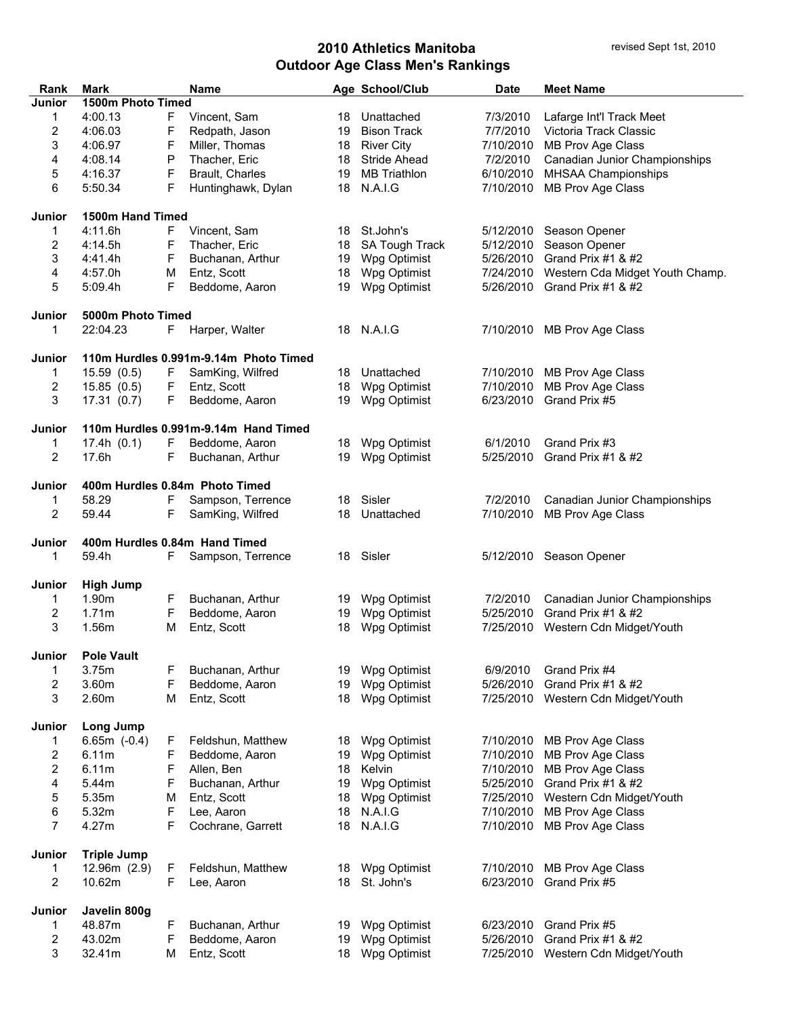| Rank                    | <b>Mark</b>        |    | Name                                  |    | Age School/Club                    | <b>Date</b> | <b>Meet Name</b>                   |
|-------------------------|--------------------|----|---------------------------------------|----|------------------------------------|-------------|------------------------------------|
| Junior                  | 1500m Photo Timed  |    |                                       |    |                                    |             |                                    |
| 1                       | 4:00.13            | F  | Vincent, Sam                          | 18 | Unattached                         | 7/3/2010    | Lafarge Int'l Track Meet           |
| $\overline{\mathbf{c}}$ | 4:06.03            | F  | Redpath, Jason                        | 19 | <b>Bison Track</b>                 | 7/7/2010    | Victoria Track Classic             |
| 3                       | 4:06.97            | F  | Miller, Thomas                        | 18 | <b>River City</b>                  | 7/10/2010   | MB Prov Age Class                  |
| 4                       | 4:08.14            | P  | Thacher, Eric                         | 18 | <b>Stride Ahead</b>                | 7/2/2010    | Canadian Junior Championships      |
| 5                       | 4:16.37            | F  | Brault, Charles                       | 19 | <b>MB Triathlon</b>                | 6/10/2010   | <b>MHSAA Championships</b>         |
| 6                       | 5:50.34            | F  | Huntinghawk, Dylan                    | 18 | N.A.I.G                            | 7/10/2010   | MB Prov Age Class                  |
|                         |                    |    |                                       |    |                                    |             |                                    |
| <b>Junior</b>           | 1500m Hand Timed   |    |                                       |    |                                    |             |                                    |
| 1                       | 4:11.6h            | F  | Vincent, Sam                          | 18 | St.John's                          |             | 5/12/2010 Season Opener            |
| 2                       | 4:14.5h            | F  | Thacher, Eric                         | 18 | SA Tough Track                     | 5/12/2010   | Season Opener                      |
| 3                       | 4:41.4h            | F  | Buchanan, Arthur                      | 19 | Wpg Optimist                       | 5/26/2010   | Grand Prix #1 & #2                 |
| 4                       | 4:57.0h            | М  | Entz, Scott                           | 18 | Wpg Optimist                       | 7/24/2010   | Western Cda Midget Youth Champ.    |
| 5                       | 5:09.4h            | F  | Beddome, Aaron                        | 19 | Wpg Optimist                       | 5/26/2010   | Grand Prix #1 $8$ #2               |
| Junior                  | 5000m Photo Timed  |    |                                       |    |                                    |             |                                    |
| 1                       | 22:04.23           | F  | Harper, Walter                        |    | 18 N.A.I.G                         | 7/10/2010   | MB Prov Age Class                  |
| Junior                  |                    |    | 110m Hurdles 0.991m-9.14m Photo Timed |    |                                    |             |                                    |
| 1                       | 15.59(0.5)         | F. | SamKing, Wilfred                      | 18 | Unattached                         | 7/10/2010   | MB Prov Age Class                  |
| 2                       | 15.85(0.5)         | F  | Entz, Scott                           | 18 | Wpg Optimist                       | 7/10/2010   | MB Prov Age Class                  |
| 3                       | 17.31(0.7)         | F  | Beddome, Aaron                        | 19 | Wpg Optimist                       | 6/23/2010   | Grand Prix #5                      |
|                         |                    |    |                                       |    |                                    |             |                                    |
| Junior                  |                    |    | 110m Hurdles 0.991m-9.14m Hand Timed  |    |                                    |             |                                    |
| 1                       | 17.4h(0.1)         | F  | Beddome, Aaron                        | 18 | Wpg Optimist                       | 6/1/2010    | Grand Prix #3                      |
| 2                       | 17.6h              | F  | Buchanan, Arthur                      | 19 | Wpg Optimist                       | 5/25/2010   | Grand Prix #1 & #2                 |
| <b>Junior</b>           |                    |    | 400m Hurdles 0.84m Photo Timed        |    |                                    |             |                                    |
| 1                       | 58.29              | F  | Sampson, Terrence                     | 18 | Sisler                             | 7/2/2010    | Canadian Junior Championships      |
| 2                       | 59.44              | F  | SamKing, Wilfred                      | 18 | Unattached                         | 7/10/2010   | MB Prov Age Class                  |
| Junior                  |                    |    | 400m Hurdles 0.84m Hand Timed         |    |                                    |             |                                    |
| 1                       | 59.4h              | F. | Sampson, Terrence                     | 18 | Sisler                             |             | 5/12/2010 Season Opener            |
|                         |                    |    |                                       |    |                                    |             |                                    |
| Junior                  | <b>High Jump</b>   |    |                                       |    |                                    |             |                                    |
| 1                       | 1.90m              | F  | Buchanan, Arthur                      | 19 | Wpg Optimist                       | 7/2/2010    | Canadian Junior Championships      |
| 2                       | 1.71m              | F  | Beddome, Aaron                        | 19 | Wpg Optimist                       | 5/25/2010   | Grand Prix #1 & #2                 |
| 3                       | 1.56m              | м  | Entz, Scott                           | 18 | Wpg Optimist                       | 7/25/2010   | Western Cdn Midget/Youth           |
|                         |                    |    |                                       |    |                                    |             |                                    |
| Junior                  | <b>Pole Vault</b>  |    |                                       |    |                                    |             |                                    |
| 1                       | 3.75m              | F  | Buchanan, Arthur                      |    | 19 Wpg Optimist                    | 6/9/2010    | Grand Prix #4                      |
| 2                       | 3.60m              | F  | Beddome, Aaron                        | 19 | Wpg Optimist                       | 5/26/2010   | Grand Prix #1 & #2                 |
| 3                       | 2.60m              | М  | Entz, Scott                           | 18 | Wpg Optimist                       | 7/25/2010   | Western Cdn Midget/Youth           |
| Junior                  | Long Jump          |    |                                       |    |                                    |             |                                    |
| 1                       | $6.65m (-0.4)$     | F. | Feldshun, Matthew                     |    | 18 Wpg Optimist                    | 7/10/2010   | MB Prov Age Class                  |
| 2                       | 6.11m              | F  | Beddome, Aaron                        |    | 19 Wpg Optimist                    | 7/10/2010   | MB Prov Age Class                  |
| 2                       | 6.11m              | F  | Allen, Ben                            | 18 | Kelvin                             | 7/10/2010   | MB Prov Age Class                  |
| 4                       | 5.44m              | F  | Buchanan, Arthur                      | 19 | Wpg Optimist                       | 5/25/2010   | Grand Prix #1 & #2                 |
| 5                       | 5.35m              | M  | Entz, Scott                           | 18 | Wpg Optimist                       |             | 7/25/2010 Western Cdn Midget/Youth |
| 6                       | 5.32m              | F  | Lee, Aaron                            | 18 | N.A.I.G                            | 7/10/2010   | MB Prov Age Class                  |
| 7                       | 4.27m              | F  | Cochrane, Garrett                     | 18 | N.A.I.G                            | 7/10/2010   | MB Prov Age Class                  |
| Junior                  | <b>Triple Jump</b> |    |                                       |    |                                    |             |                                    |
| 1                       | 12.96m (2.9)       | F  | Feldshun, Matthew                     |    | 18 Wpg Optimist                    | 7/10/2010   | MB Prov Age Class                  |
| 2                       | 10.62m             | F  | Lee, Aaron                            | 18 | St. John's                         | 6/23/2010   | Grand Prix #5                      |
|                         |                    |    |                                       |    |                                    |             |                                    |
| Junior                  | Javelin 800g       |    |                                       |    |                                    |             |                                    |
| 1                       | 48.87m             | F  | Buchanan, Arthur                      | 19 | Wpg Optimist                       | 6/23/2010   | Grand Prix #5                      |
| 2                       | 43.02m             | F  | Beddome, Aaron                        |    | 19 Wpg Optimist<br>18 Wpg Optimist | 5/26/2010   | Grand Prix #1 & #2                 |
| 3                       | 32.41m             | М  | Entz, Scott                           |    |                                    |             | 7/25/2010 Western Cdn Midget/Youth |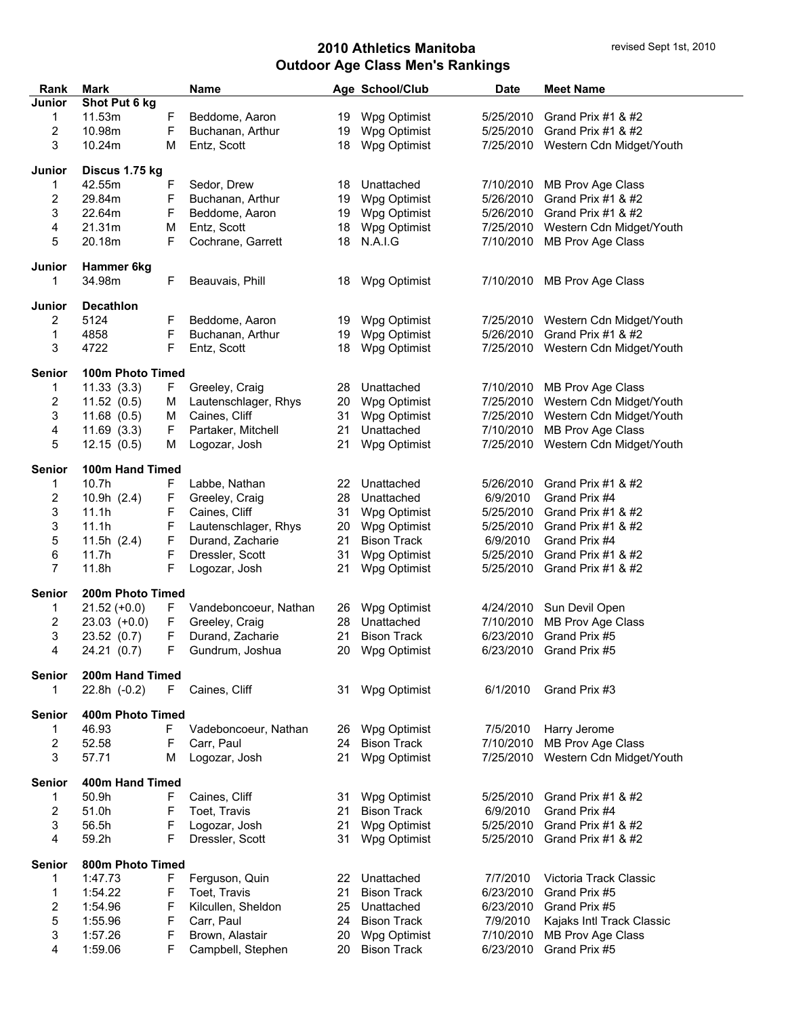| Rank               | Mark             |    | <b>Name</b>           |    | Age School/Club    | Date      | <b>Meet Name</b>                   |
|--------------------|------------------|----|-----------------------|----|--------------------|-----------|------------------------------------|
| <b>Junior</b>      | Shot Put 6 kg    |    |                       |    |                    |           |                                    |
| 1                  | 11.53m           | F  | Beddome, Aaron        |    | 19 Wpg Optimist    | 5/25/2010 | Grand Prix #1 & #2                 |
| 2                  | 10.98m           | F  | Buchanan, Arthur      | 19 | Wpg Optimist       | 5/25/2010 | Grand Prix #1 & #2                 |
| 3                  | 10.24m           | M  | Entz, Scott           | 18 | Wpg Optimist       |           | 7/25/2010 Western Cdn Midget/Youth |
|                    |                  |    |                       |    |                    |           |                                    |
| Junior             | Discus 1.75 kg   |    |                       |    |                    |           |                                    |
| 1                  | 42.55m           | F  | Sedor, Drew           | 18 | Unattached         | 7/10/2010 | MB Prov Age Class                  |
| 2                  | 29.84m           | F  | Buchanan, Arthur      | 19 | Wpg Optimist       | 5/26/2010 | Grand Prix $#1$ & $#2$             |
| 3                  | 22.64m           | F  | Beddome, Aaron        | 19 | Wpg Optimist       | 5/26/2010 | Grand Prix #1 $&$ #2               |
| 4                  | 21.31m           | М  | Entz, Scott           | 18 | Wpg Optimist       | 7/25/2010 | Western Cdn Midget/Youth           |
| 5                  | 20.18m           | F  | Cochrane, Garrett     | 18 | N.A.I.G            | 7/10/2010 | MB Prov Age Class                  |
| Junior             | Hammer 6kg       |    |                       |    |                    |           |                                    |
| 1                  | 34.98m           | F  | Beauvais, Phill       | 18 | Wpg Optimist       | 7/10/2010 | MB Prov Age Class                  |
|                    |                  |    |                       |    |                    |           |                                    |
| Junior             | <b>Decathlon</b> |    |                       |    |                    |           |                                    |
| 2                  | 5124             | F  | Beddome, Aaron        | 19 | Wpg Optimist       | 7/25/2010 | Western Cdn Midget/Youth           |
| 1                  | 4858             | F  | Buchanan, Arthur      | 19 | Wpg Optimist       | 5/26/2010 | Grand Prix #1 & #2                 |
| 3                  | 4722             | F  | Entz, Scott           | 18 | Wpg Optimist       |           | 7/25/2010 Western Cdn Midget/Youth |
|                    |                  |    |                       |    |                    |           |                                    |
| <b>Senior</b>      | 100m Photo Timed |    |                       |    |                    |           |                                    |
| $\mathbf{1}$       | 11.33(3.3)       | F. | Greeley, Craig        | 28 | Unattached         |           | 7/10/2010 MB Prov Age Class        |
| 2                  | 11.52(0.5)       | м  | Lautenschlager, Rhys  | 20 | Wpg Optimist       |           | 7/25/2010 Western Cdn Midget/Youth |
| 3                  | 11.68(0.5)       | м  | Caines, Cliff         | 31 | Wpg Optimist       | 7/25/2010 | Western Cdn Midget/Youth           |
| 4                  | 11.69(3.3)       | F  | Partaker, Mitchell    | 21 | Unattached         |           | 7/10/2010 MB Prov Age Class        |
| 5                  | 12.15(0.5)       | м  | Logozar, Josh         | 21 | Wpg Optimist       |           | 7/25/2010 Western Cdn Midget/Youth |
|                    |                  |    |                       |    |                    |           |                                    |
| <b>Senior</b>      | 100m Hand Timed  |    |                       |    |                    |           |                                    |
| 1                  | 10.7h            | F  | Labbe, Nathan         | 22 | Unattached         | 5/26/2010 | Grand Prix #1 & #2                 |
| 2                  | 10.9h $(2.4)$    | F  | Greeley, Craig        | 28 | Unattached         | 6/9/2010  | Grand Prix #4                      |
| 3                  | 11.1h            | F  | Caines, Cliff         | 31 | Wpg Optimist       | 5/25/2010 | Grand Prix #1 & #2                 |
| 3                  | 11.1h            | F  | Lautenschlager, Rhys  | 20 | Wpg Optimist       | 5/25/2010 | Grand Prix #1 $&$ #2               |
| 5                  | 11.5h $(2.4)$    | F  | Durand, Zacharie      | 21 | <b>Bison Track</b> | 6/9/2010  | Grand Prix #4                      |
| 6                  | 11.7h            | F  | Dressler, Scott       | 31 | Wpg Optimist       | 5/25/2010 | Grand Prix #1 & #2                 |
| $\overline{7}$     | 11.8h            | F  | Logozar, Josh         | 21 | Wpg Optimist       | 5/25/2010 | Grand Prix #1 $&$ #2               |
|                    |                  |    |                       |    |                    |           |                                    |
| <b>Senior</b>      | 200m Photo Timed |    |                       |    |                    |           |                                    |
| 1                  | $21.52 (+0.0)$   | F. | Vandeboncoeur, Nathan | 26 | Wpg Optimist       |           | 4/24/2010 Sun Devil Open           |
| 2                  | $23.03$ (+0.0)   | F  | Greeley, Craig        | 28 | Unattached         | 7/10/2010 | MB Prov Age Class                  |
| 3                  | 23.52 (0.7)      | F  | Durand, Zacharie      | 21 | <b>Bison Track</b> | 6/23/2010 | Grand Prix #5                      |
| 4                  | 24.21 (0.7)      |    | F Gundrum, Joshua     |    | 20 Wpg Optimist    |           | 6/23/2010 Grand Prix #5            |
|                    |                  |    |                       |    |                    |           |                                    |
| <b>Senior</b><br>1 | 200m Hand Timed  | F. | Caines, Cliff         | 31 | Wpg Optimist       | 6/1/2010  | Grand Prix #3                      |
|                    | $22.8h$ (-0.2)   |    |                       |    |                    |           |                                    |
| <b>Senior</b>      | 400m Photo Timed |    |                       |    |                    |           |                                    |
| 1                  | 46.93            | F  | Vadeboncoeur, Nathan  |    | 26 Wpg Optimist    | 7/5/2010  | Harry Jerome                       |
| 2                  | 52.58            | F  | Carr, Paul            | 24 | <b>Bison Track</b> | 7/10/2010 | MB Prov Age Class                  |
| 3                  | 57.71            | м  | Logozar, Josh         | 21 | Wpg Optimist       | 7/25/2010 | Western Cdn Midget/Youth           |
|                    |                  |    |                       |    |                    |           |                                    |
| <b>Senior</b>      | 400m Hand Timed  |    |                       |    |                    |           |                                    |
| 1                  | 50.9h            | F  | Caines, Cliff         | 31 | Wpg Optimist       | 5/25/2010 | Grand Prix #1 & #2                 |
| 2                  | 51.0h            | F  | Toet, Travis          | 21 | <b>Bison Track</b> | 6/9/2010  | Grand Prix #4                      |
| 3                  | 56.5h            | F  | Logozar, Josh         | 21 | Wpg Optimist       | 5/25/2010 | Grand Prix #1 & #2                 |
| 4                  | 59.2h            | F  | Dressler, Scott       | 31 | Wpg Optimist       | 5/25/2010 | Grand Prix #1 & #2                 |
|                    |                  |    |                       |    |                    |           |                                    |
| <b>Senior</b>      | 800m Photo Timed |    |                       |    |                    |           |                                    |
| 1                  | 1:47.73          | F  | Ferguson, Quin        | 22 | Unattached         | 7/7/2010  | Victoria Track Classic             |
| 1                  | 1:54.22          | F  | Toet, Travis          | 21 | <b>Bison Track</b> | 6/23/2010 | Grand Prix #5                      |
| 2                  | 1:54.96          | F  | Kilcullen, Sheldon    | 25 | Unattached         | 6/23/2010 | Grand Prix #5                      |
| 5                  | 1:55.96          | F  | Carr, Paul            | 24 | <b>Bison Track</b> | 7/9/2010  | Kajaks Intl Track Classic          |
| 3                  | 1:57.26          | F  | Brown, Alastair       | 20 | Wpg Optimist       | 7/10/2010 | MB Prov Age Class                  |
| 4                  | 1:59.06          | F  | Campbell, Stephen     | 20 | <b>Bison Track</b> | 6/23/2010 | Grand Prix #5                      |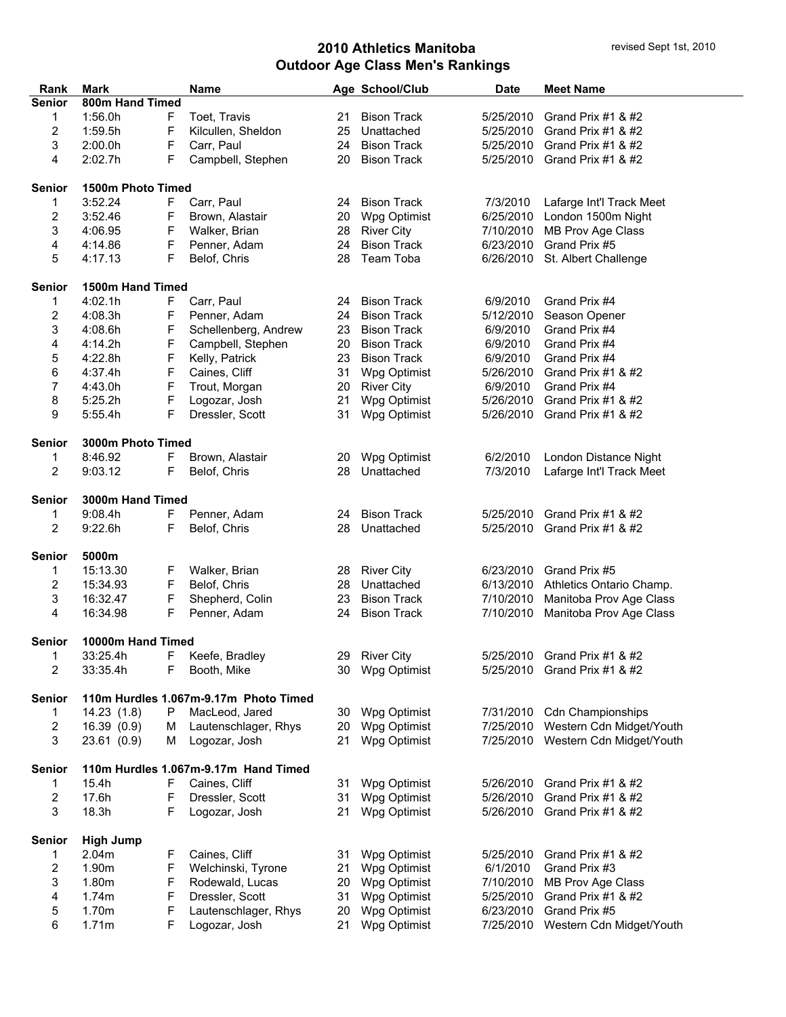| Rank                                                  | Mark              |             | <b>Name</b>                           |    | Age School/Club    | <b>Date</b> | <b>Meet Name</b>             |  |
|-------------------------------------------------------|-------------------|-------------|---------------------------------------|----|--------------------|-------------|------------------------------|--|
| <b>Senior</b>                                         | 800m Hand Timed   |             |                                       |    |                    |             |                              |  |
| 1                                                     | 1:56.0h           | F           | Toet, Travis                          | 21 | <b>Bison Track</b> | 5/25/2010   | Grand Prix #1 & #2           |  |
| 2                                                     | 1:59.5h           | F           | Kilcullen, Sheldon                    | 25 | Unattached         | 5/25/2010   | Grand Prix #1 & #2           |  |
| 3                                                     | 2:00.0h           | F           | Carr, Paul                            | 24 | <b>Bison Track</b> | 5/25/2010   | Grand Prix #1 & #2           |  |
| 4                                                     | 2:02.7h           | F           | Campbell, Stephen                     | 20 | <b>Bison Track</b> | 5/25/2010   | Grand Prix #1 & #2           |  |
|                                                       |                   |             |                                       |    |                    |             |                              |  |
| <b>Senior</b>                                         | 1500m Photo Timed |             |                                       |    |                    |             |                              |  |
| 1                                                     | 3:52.24           | F           | Carr, Paul                            | 24 | <b>Bison Track</b> | 7/3/2010    | Lafarge Int'l Track Meet     |  |
| 2                                                     | 3:52.46           | F           | Brown, Alastair                       | 20 | Wpg Optimist       | 6/25/2010   | London 1500m Night           |  |
| 3                                                     | 4:06.95           | $\mathsf F$ | Walker, Brian                         | 28 | <b>River City</b>  | 7/10/2010   | MB Prov Age Class            |  |
| 4                                                     | 4:14.86           | F           | Penner, Adam                          | 24 | <b>Bison Track</b> | 6/23/2010   | Grand Prix #5                |  |
| 5                                                     | 4:17.13           | F           | Belof, Chris                          | 28 | Team Toba          | 6/26/2010   | St. Albert Challenge         |  |
|                                                       |                   |             |                                       |    |                    |             |                              |  |
| <b>Senior</b>                                         | 1500m Hand Timed  |             |                                       |    |                    |             |                              |  |
| 1                                                     | 4:02.1h           | F           | Carr, Paul                            | 24 | <b>Bison Track</b> | 6/9/2010    | Grand Prix #4                |  |
| 2                                                     | 4:08.3h           | F           | Penner, Adam                          | 24 | <b>Bison Track</b> | 5/12/2010   | Season Opener                |  |
| 3                                                     | 4:08.6h           | $\mathsf F$ | Schellenberg, Andrew                  | 23 | <b>Bison Track</b> | 6/9/2010    | Grand Prix #4                |  |
| 4                                                     | 4:14.2h           | $\mathsf F$ | Campbell, Stephen                     | 20 | <b>Bison Track</b> | 6/9/2010    | Grand Prix #4                |  |
| 5                                                     | 4:22.8h           | F           | Kelly, Patrick                        | 23 | <b>Bison Track</b> | 6/9/2010    | Grand Prix #4                |  |
| 6                                                     | 4:37.4h           | F           | Caines, Cliff                         | 31 | Wpg Optimist       | 5/26/2010   | Grand Prix #1 & #2           |  |
| 7                                                     | 4:43.0h           | F           | Trout, Morgan                         | 20 | <b>River City</b>  | 6/9/2010    | Grand Prix #4                |  |
| 8                                                     | 5:25.2h           | F           | Logozar, Josh                         | 21 | Wpg Optimist       | 5/26/2010   | Grand Prix #1 & #2           |  |
| 9                                                     | 5:55.4h           | F           | Dressler, Scott                       | 31 | Wpg Optimist       | 5/26/2010   | Grand Prix #1 & #2           |  |
|                                                       |                   |             |                                       |    |                    |             |                              |  |
| <b>Senior</b>                                         | 3000m Photo Timed |             |                                       |    |                    |             |                              |  |
| 1                                                     | 8:46.92           | F           | Brown, Alastair                       | 20 | Wpg Optimist       | 6/2/2010    | London Distance Night        |  |
| 2                                                     | 9:03.12           | F           | Belof, Chris                          | 28 | Unattached         | 7/3/2010    | Lafarge Int'l Track Meet     |  |
|                                                       |                   |             |                                       |    |                    |             |                              |  |
| <b>Senior</b>                                         | 3000m Hand Timed  |             |                                       |    |                    |             |                              |  |
| 1                                                     | 9:08.4h           | F           | Penner, Adam                          | 24 | <b>Bison Track</b> | 5/25/2010   | Grand Prix #1 & #2           |  |
| 2                                                     | 9:22.6h           | F           | Belof, Chris                          | 28 | Unattached         | 5/25/2010   | Grand Prix #1 & #2           |  |
| <b>Senior</b>                                         | 5000m             |             |                                       |    |                    |             |                              |  |
| 1                                                     | 15:13.30          | F           | Walker, Brian                         | 28 | <b>River City</b>  | 6/23/2010   | Grand Prix #5                |  |
| 2                                                     | 15:34.93          | $\mathsf F$ | Belof, Chris                          | 28 | Unattached         | 6/13/2010   | Athletics Ontario Champ.     |  |
| 3                                                     | 16:32.47          | F           | Shepherd, Colin                       | 23 | <b>Bison Track</b> | 7/10/2010   | Manitoba Prov Age Class      |  |
| 4                                                     | 16:34.98          | F           | Penner, Adam                          | 24 | <b>Bison Track</b> | 7/10/2010   | Manitoba Prov Age Class      |  |
|                                                       |                   |             |                                       |    |                    |             |                              |  |
| Senior                                                | 10000m Hand Timed |             |                                       |    |                    |             |                              |  |
| 1                                                     | 33:25.4h          | F           | Keefe, Bradley                        | 29 | <b>River City</b>  |             | 5/25/2010 Grand Prix #1 & #2 |  |
| 2                                                     | 33:35.4h          | F           | Booth, Mike                           | 30 | Wpg Optimist       |             | 5/25/2010 Grand Prix #1 & #2 |  |
|                                                       |                   |             |                                       |    |                    |             |                              |  |
| <b>Senior</b>                                         |                   |             | 110m Hurdles 1.067m-9.17m Photo Timed |    |                    |             |                              |  |
| 1                                                     | 14.23(1.8)        | P           | MacLeod, Jared                        | 30 | Wpg Optimist       | 7/31/2010   | <b>Cdn Championships</b>     |  |
| 2                                                     | 16.39(0.9)        | м           | Lautenschlager, Rhys                  | 20 | Wpg Optimist       | 7/25/2010   | Western Cdn Midget/Youth     |  |
| 3                                                     | 23.61 (0.9)       | м           | Logozar, Josh                         | 21 | Wpg Optimist       | 7/25/2010   | Western Cdn Midget/Youth     |  |
| 110m Hurdles 1.067m-9.17m Hand Timed<br><b>Senior</b> |                   |             |                                       |    |                    |             |                              |  |
| 1                                                     | 15.4h             | F           | Caines, Cliff                         | 31 | Wpg Optimist       | 5/26/2010   | Grand Prix #1 & #2           |  |
| 2                                                     | 17.6h             | F           | Dressler, Scott                       | 31 | Wpg Optimist       | 5/26/2010   | Grand Prix #1 & #2           |  |
|                                                       | 18.3h             | F           |                                       | 21 |                    | 5/26/2010   | Grand Prix #1 & #2           |  |
| 3                                                     |                   |             | Logozar, Josh                         |    | Wpg Optimist       |             |                              |  |
| <b>Senior</b>                                         | <b>High Jump</b>  |             |                                       |    |                    |             |                              |  |
| 1                                                     | 2.04m             | F           | Caines, Cliff                         | 31 | Wpg Optimist       | 5/25/2010   | Grand Prix #1 $&$ #2         |  |
| 2                                                     | 1.90m             | F           | Welchinski, Tyrone                    | 21 | Wpg Optimist       | 6/1/2010    | Grand Prix #3                |  |
| 3                                                     | 1.80m             | F           | Rodewald, Lucas                       | 20 | Wpg Optimist       | 7/10/2010   | MB Prov Age Class            |  |
| 4                                                     | 1.74m             | F           | Dressler, Scott                       | 31 | Wpg Optimist       | 5/25/2010   | Grand Prix #1 & #2           |  |
| 5                                                     | 1.70m             | F           | Lautenschlager, Rhys                  | 20 | Wpg Optimist       | 6/23/2010   | Grand Prix #5                |  |
| 6                                                     | 1.71m             | F           | Logozar, Josh                         | 21 | Wpg Optimist       | 7/25/2010   | Western Cdn Midget/Youth     |  |
|                                                       |                   |             |                                       |    |                    |             |                              |  |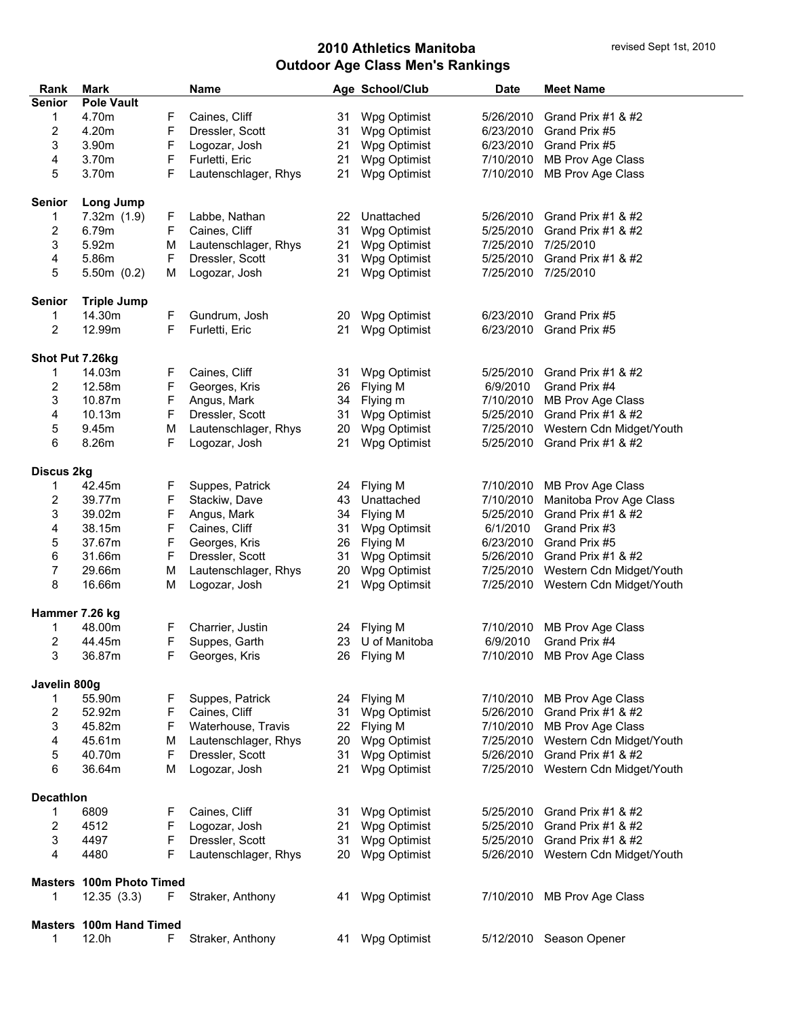| Rank                    | <b>Mark</b>                     |    | <b>Name</b>          |    | Age School/Club | <b>Date</b> | <b>Meet Name</b>                   |  |
|-------------------------|---------------------------------|----|----------------------|----|-----------------|-------------|------------------------------------|--|
| <b>Senior</b>           | <b>Pole Vault</b>               |    |                      |    |                 |             |                                    |  |
| 1                       | 4.70m                           | F  | Caines, Cliff        | 31 | Wpg Optimist    | 5/26/2010   | Grand Prix #1 & #2                 |  |
| 2                       | 4.20m                           | F  | Dressler, Scott      | 31 | Wpg Optimist    | 6/23/2010   | Grand Prix #5                      |  |
| 3                       | 3.90m                           | F  | Logozar, Josh        | 21 | Wpg Optimist    | 6/23/2010   | Grand Prix #5                      |  |
| 4                       | 3.70m                           | F  | Furletti, Eric       | 21 | Wpg Optimist    | 7/10/2010   | MB Prov Age Class                  |  |
| 5                       | 3.70m                           | F  | Lautenschlager, Rhys | 21 | Wpg Optimist    | 7/10/2010   | MB Prov Age Class                  |  |
| <b>Senior</b>           | Long Jump                       |    |                      |    |                 |             |                                    |  |
| 1                       | 7.32m(1.9)                      | F  | Labbe, Nathan        | 22 | Unattached      | 5/26/2010   | Grand Prix #1 & #2                 |  |
| $\overline{\mathbf{c}}$ | 6.79m                           | F  | Caines, Cliff        | 31 | Wpg Optimist    | 5/25/2010   | Grand Prix #1 & #2                 |  |
| 3                       | 5.92m                           | М  | Lautenschlager, Rhys | 21 | Wpg Optimist    | 7/25/2010   | 7/25/2010                          |  |
| 4                       | 5.86m                           | F  | Dressler, Scott      | 31 | Wpg Optimist    | 5/25/2010   | Grand Prix #1 & #2                 |  |
| 5                       | 5.50m(0.2)                      | М  | Logozar, Josh        | 21 | Wpg Optimist    | 7/25/2010   | 7/25/2010                          |  |
| Senior                  | <b>Triple Jump</b>              |    |                      |    |                 |             |                                    |  |
| 1                       | 14.30m                          | F  | Gundrum, Josh        | 20 | Wpg Optimist    | 6/23/2010   | Grand Prix #5                      |  |
| 2                       | 12.99m                          | F  | Furletti, Eric       | 21 | Wpg Optimist    | 6/23/2010   | Grand Prix #5                      |  |
|                         |                                 |    |                      |    |                 |             |                                    |  |
| Shot Put 7.26kg         |                                 |    |                      |    |                 |             |                                    |  |
| 1                       | 14.03m                          | F  | Caines, Cliff        | 31 | Wpg Optimist    | 5/25/2010   | Grand Prix #1 & #2                 |  |
| $\overline{c}$          | 12.58m                          | F  | Georges, Kris        | 26 | Flying M        | 6/9/2010    | Grand Prix #4                      |  |
| 3                       | 10.87m                          | F  | Angus, Mark          | 34 | Flying m        | 7/10/2010   | <b>MB Prov Age Class</b>           |  |
| 4                       | 10.13m                          | F  | Dressler, Scott      | 31 | Wpg Optimist    | 5/25/2010   | Grand Prix #1 & #2                 |  |
| 5                       | 9.45m                           | M  | Lautenschlager, Rhys | 20 | Wpg Optimist    | 7/25/2010   | Western Cdn Midget/Youth           |  |
| 6                       | 8.26m                           | F  | Logozar, Josh        | 21 | Wpg Optimist    | 5/25/2010   | Grand Prix $#1$ & $#2$             |  |
| <b>Discus 2kg</b>       |                                 |    |                      |    |                 |             |                                    |  |
| 1                       | 42.45m                          | F  | Suppes, Patrick      | 24 | Flying M        | 7/10/2010   | <b>MB Prov Age Class</b>           |  |
| $\overline{\mathbf{c}}$ | 39.77m                          | F  | Stackiw, Dave        | 43 | Unattached      | 7/10/2010   | Manitoba Prov Age Class            |  |
| 3                       | 39.02m                          | F  | Angus, Mark          | 34 | Flying M        | 5/25/2010   | Grand Prix #1 & #2                 |  |
| 4                       | 38.15m                          | F  | Caines, Cliff        | 31 | Wpg Optimsit    | 6/1/2010    | Grand Prix #3                      |  |
| 5                       | 37.67m                          | F  | Georges, Kris        | 26 | Flying M        | 6/23/2010   | Grand Prix #5                      |  |
| 6                       | 31.66m                          | F  | Dressler, Scott      | 31 | Wpg Optimsit    | 5/26/2010   | Grand Prix #1 & #2                 |  |
| 7                       | 29.66m                          | M  | Lautenschlager, Rhys | 20 | Wpg Optimist    | 7/25/2010   | Western Cdn Midget/Youth           |  |
| 8                       | 16.66m                          | M  | Logozar, Josh        | 21 | Wpg Optimsit    | 7/25/2010   | Western Cdn Midget/Youth           |  |
| Hammer 7.26 kg          |                                 |    |                      |    |                 |             |                                    |  |
| 1                       | 48.00m                          | F  | Charrier, Justin     | 24 | Flying M        | 7/10/2010   | MB Prov Age Class                  |  |
| 2                       | 44.45m                          | F  | Suppes, Garth        | 23 | U of Manitoba   | 6/9/2010    | Grand Prix #4                      |  |
| 3                       | 36.87m                          | F  | Georges, Kris        |    | 26 Flying M     |             | 7/10/2010 MB Prov Age Class        |  |
|                         |                                 |    |                      |    |                 |             |                                    |  |
| Javelin 800g            |                                 |    |                      |    |                 |             |                                    |  |
| 1                       | 55.90m                          | F  | Suppes, Patrick      |    | 24 Flying M     |             | 7/10/2010 MB Prov Age Class        |  |
| 2                       | 52.92m                          | F  | Caines, Cliff        |    | 31 Wpg Optimist |             | 5/26/2010 Grand Prix #1 & #2       |  |
| 3                       | 45.82m                          | F  | Waterhouse, Travis   |    | 22 Flying M     |             | 7/10/2010 MB Prov Age Class        |  |
| 4                       | 45.61m                          | M  | Lautenschlager, Rhys | 20 | Wpg Optimist    |             | 7/25/2010 Western Cdn Midget/Youth |  |
| 5                       | 40.70m                          | F  | Dressler, Scott      | 31 | Wpg Optimist    | 5/26/2010   | Grand Prix #1 & #2                 |  |
| 6                       | 36.64m                          | M  | Logozar, Josh        | 21 | Wpg Optimist    |             | 7/25/2010 Western Cdn Midget/Youth |  |
| <b>Decathlon</b>        |                                 |    |                      |    |                 |             |                                    |  |
| 1                       | 6809                            | F  | Caines, Cliff        | 31 | Wpg Optimist    | 5/25/2010   | Grand Prix #1 & #2                 |  |
| 2                       | 4512                            | F  | Logozar, Josh        | 21 | Wpg Optimist    | 5/25/2010   | Grand Prix #1 & #2                 |  |
| 3                       | 4497                            | F  | Dressler, Scott      | 31 | Wpg Optimist    |             | 5/25/2010 Grand Prix #1 & #2       |  |
| 4                       | 4480                            | F  | Lautenschlager, Rhys | 20 | Wpg Optimist    |             | 5/26/2010 Western Cdn Midget/Youth |  |
|                         | <b>Masters 100m Photo Timed</b> |    |                      |    |                 |             |                                    |  |
| 1                       | 12.35(3.3)                      | F  | Straker, Anthony     | 41 | Wpg Optimist    |             | 7/10/2010 MB Prov Age Class        |  |
|                         |                                 |    |                      |    |                 |             |                                    |  |
|                         | <b>Masters 100m Hand Timed</b>  |    |                      |    |                 |             |                                    |  |
| 1                       | 12.0h                           | F. | Straker, Anthony     | 41 | Wpg Optimist    |             | 5/12/2010 Season Opener            |  |